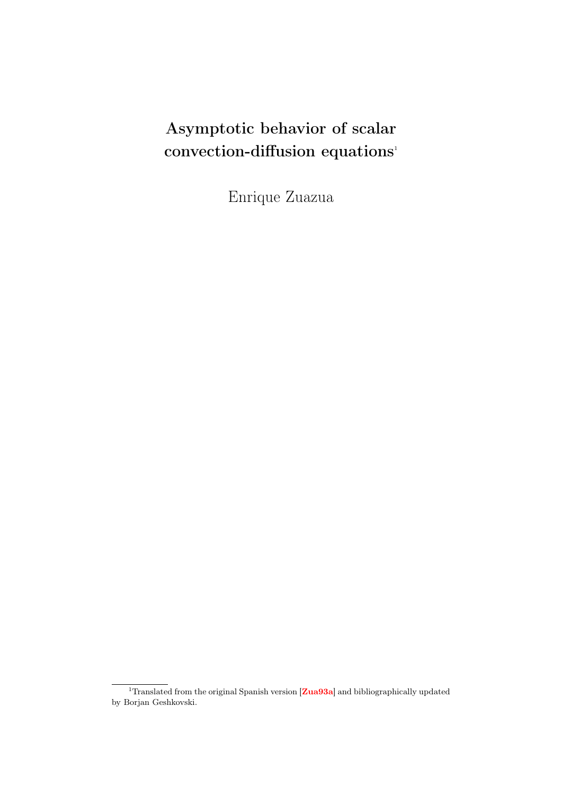# Asymptotic behavior of scalar convection-diffusion equations<sup>1</sup>

Enrique Zuazua

 $1$  Translated from the original Spanish version  ${\bf [Zua93a]}$  ${\bf [Zua93a]}$  ${\bf [Zua93a]}$  and bibliographically updated by Borjan Geshkovski.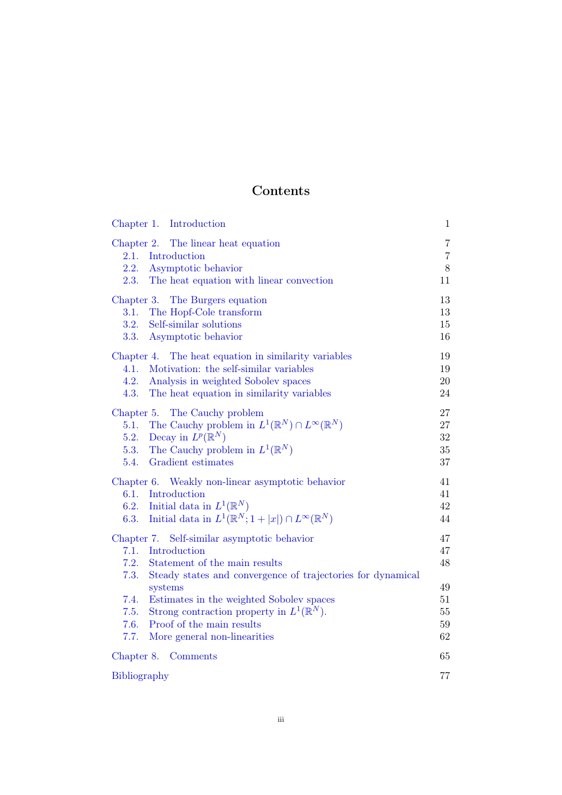# Contents

| Chapter 1. Introduction                                                        | $\mathbf{1}$        |
|--------------------------------------------------------------------------------|---------------------|
| Chapter 2. The linear heat equation<br>Introduction<br>2.1.                    | 7<br>$\overline{7}$ |
| 2.2.<br>Asymptotic behavior                                                    | 8                   |
| 2.3.<br>The heat equation with linear convection                               | 11                  |
| Chapter 3. The Burgers equation                                                | 13                  |
| 3.1.<br>The Hopf-Cole transform                                                | 13                  |
| Self-similar solutions<br>3.2.                                                 | 15                  |
| 3.3.<br>Asymptotic behavior                                                    | 16                  |
| Chapter 4. The heat equation in similarity variables                           | 19                  |
| Motivation: the self-similar variables<br>4.1.                                 | 19                  |
| 4.2.<br>Analysis in weighted Sobolev spaces                                    | 20                  |
| 4.3.<br>The heat equation in similarity variables                              | 24                  |
| Chapter 5. The Cauchy problem                                                  | 27                  |
| The Cauchy problem in $L^1(\mathbb{R}^N) \cap L^\infty(\mathbb{R}^N)$<br>5.1.  | 27                  |
| Decay in $L^p(\mathbb{R}^N)$<br>5.2.                                           | 32                  |
| The Cauchy problem in $L^1(\mathbb{R}^N)$<br>5.3.                              | 35                  |
| Gradient estimates<br>5.4.                                                     | 37                  |
| Weakly non-linear asymptotic behavior<br>Chapter 6.                            | 41                  |
| 6.1.<br>Introduction                                                           | 41                  |
| Initial data in $L^1(\mathbb{R}^N)$<br>6.2.                                    | 42                  |
| Initial data in $L^1(\mathbb{R}^N; 1+ x ) \cap L^\infty(\mathbb{R}^N)$<br>6.3. | 44                  |
| Chapter 7. Self-similar asymptotic behavior                                    | 47                  |
| 7.1.<br>Introduction                                                           | 47                  |
| 7.2.<br>Statement of the main results                                          | 48                  |
| Steady states and convergence of trajectories for dynamical<br>7.3.            |                     |
| systems                                                                        | 49                  |
| Estimates in the weighted Sobolev spaces<br>7.4.                               | 51                  |
| Strong contraction property in $L^1(\mathbb{R}^N)$ .<br>7.5.                   | $55\,$              |
| Proof of the main results<br>7.6.                                              | 59<br>62            |
| 7.7.<br>More general non-linearities                                           |                     |
| Chapter 8. Comments                                                            | 65                  |
| <b>Bibliography</b>                                                            | 77                  |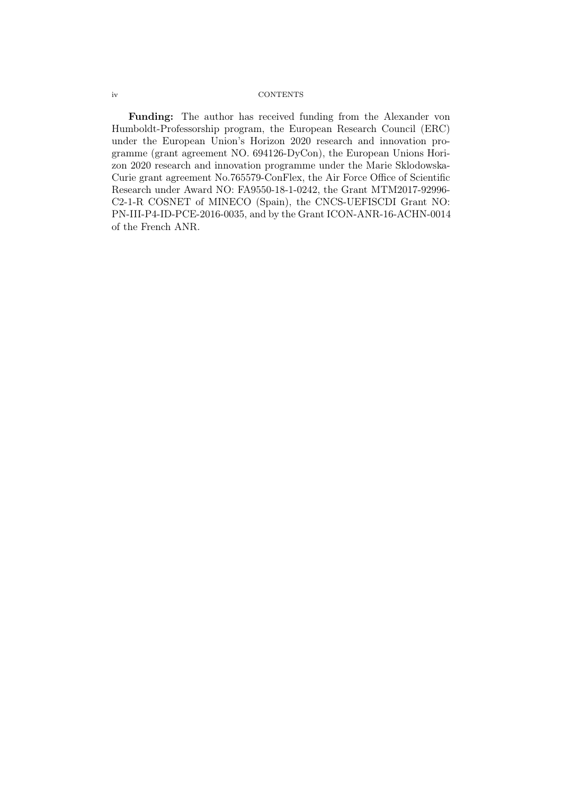#### iv CONTENTS

Funding: The author has received funding from the Alexander von Humboldt-Professorship program, the European Research Council (ERC) under the European Union's Horizon 2020 research and innovation programme (grant agreement NO. 694126-DyCon), the European Unions Horizon 2020 research and innovation programme under the Marie Sklodowska-Curie grant agreement No.765579-ConFlex, the Air Force Office of Scientific Research under Award NO: FA9550-18-1-0242, the Grant MTM2017-92996- C2-1-R COSNET of MINECO (Spain), the CNCS-UEFISCDI Grant NO: PN-III-P4-ID-PCE-2016-0035, and by the Grant ICON-ANR-16-ACHN-0014 of the French ANR.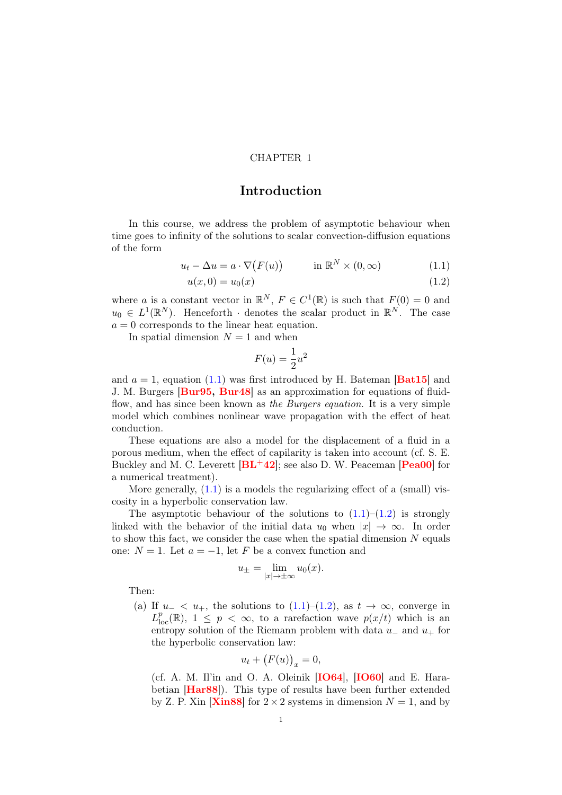#### CHAPTER 1

# Introduction

<span id="page-4-0"></span>In this course, we address the problem of asymptotic behaviour when time goes to infinity of the solutions to scalar convection-diffusion equations of the form

$$
u_t - \Delta u = a \cdot \nabla (F(u)) \qquad \text{in } \mathbb{R}^N \times (0, \infty)
$$
 (1.1)

$$
u(x,0) = u_0(x) \tag{1.2}
$$

where a is a constant vector in  $\mathbb{R}^N$ ,  $F \in C^1(\mathbb{R})$  is such that  $F(0) = 0$  and  $u_0 \in L^1(\mathbb{R}^N)$ . Henceforth · denotes the scalar product in  $\mathbb{R}^N$ . The case  $a = 0$  corresponds to the linear heat equation.

In spatial dimension  $N = 1$  and when

<span id="page-4-2"></span><span id="page-4-1"></span>
$$
F(u) = \frac{1}{2}u^2
$$

and  $a = 1$ , equation [\(1.1\)](#page-4-1) was first introduced by H. Bateman [[Bat15](#page-80-1)] and J. M. Burgers [[Bur95,](#page-80-2) [Bur48](#page-80-3)] as an approximation for equations of fluidflow, and has since been known as the Burgers equation. It is a very simple model which combines nonlinear wave propagation with the effect of heat conduction.

These equations are also a model for the displacement of a fluid in a porous medium, when the effect of capilarity is taken into account (cf. S. E. Buckley and M. C. Leverett  $[\text{BL}+42]$  $[\text{BL}+42]$  $[\text{BL}+42]$ ; see also D. W. Peaceman  $[\text{Pea00}]$  $[\text{Pea00}]$  $[\text{Pea00}]$  for a numerical treatment).

More generally,  $(1.1)$  is a models the regularizing effect of a (small) viscosity in a hyperbolic conservation law.

The asymptotic behaviour of the solutions to  $(1.1)$ – $(1.2)$  is strongly linked with the behavior of the initial data  $u_0$  when  $|x| \to \infty$ . In order to show this fact, we consider the case when the spatial dimension  $N$  equals one:  $N = 1$ . Let  $a = -1$ , let F be a convex function and

$$
u_{\pm} = \lim_{|x| \to \pm \infty} u_0(x).
$$

Then:

(a) If  $u_- < u_+$ , the solutions to [\(1.1\)](#page-4-1)–[\(1.2\)](#page-4-2), as  $t \to \infty$ , converge in  $L_{\text{loc}}^p(\mathbb{R}), 1 \leq p < \infty$ , to a rarefaction wave  $p(x/t)$  which is an entropy solution of the Riemann problem with data  $u_-\,$  and  $u_+$  for the hyperbolic conservation law:

$$
u_t + (F(u))_x = 0,
$$

(cf. A. M. Il'in and O. A. Oleinik  $[IO64]$  $[IO64]$  $[IO64]$ ,  $[IO60]$  $[IO60]$  $[IO60]$  and E. Hara-betian [[Har88](#page-82-2)]). This type of results have been further extended by Z. P. Xin  $[Xin88]$  $[Xin88]$  $[Xin88]$  for  $2 \times 2$  systems in dimension  $N = 1$ , and by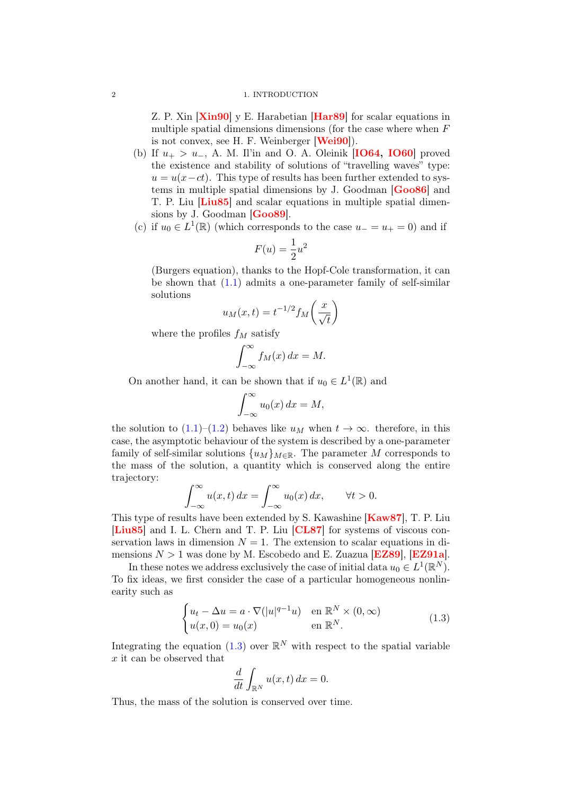#### 2 1. INTRODUCTION

Z. P. Xin  $[Xin90]$  $[Xin90]$  $[Xin90]$  y E. Harabetian  $[Har89]$  $[Har89]$  $[Har89]$  for scalar equations in multiple spatial dimensions dimensions (for the case where when F is not convex, see H. F. Weinberger [[Wei90](#page-83-4)]).

- (b) If  $u_+ > u_-, A$ . M. Il'in and O. A. Oleinik [**[IO64,](#page-82-0) [IO60](#page-82-1)**] proved the existence and stability of solutions of "travelling waves" type:  $u = u(x-ct)$ . This type of results has been further extended to systems in multiple spatial dimensions by J. Goodman [[Goo86](#page-81-0)] and T. P. Liu [[Liu85](#page-82-4)] and scalar equations in multiple spatial dimen-sions by J. Goodman [[Goo89](#page-81-1)].
- (c) if  $u_0 \in L^1(\mathbb{R})$  (which corresponds to the case  $u_-=u_+=0$ ) and if

$$
F(u) = \frac{1}{2}u^2
$$

(Burgers equation), thanks to the Hopf-Cole transformation, it can be shown that [\(1.1\)](#page-4-1) admits a one-parameter family of self-similar solutions

$$
u_M(x,t) = t^{-1/2} f_M\left(\frac{x}{\sqrt{t}}\right)
$$

where the profiles  $f_M$  satisfy

$$
\int_{-\infty}^{\infty} f_M(x) \, dx = M.
$$

On another hand, it can be shown that if  $u_0 \in L^1(\mathbb{R})$  and

$$
\int_{-\infty}^{\infty} u_0(x) \, dx = M,
$$

the solution to [\(1.1\)](#page-4-1)–[\(1.2\)](#page-4-2) behaves like  $u_M$  when  $t \to \infty$ . therefore, in this case, the asymptotic behaviour of the system is described by a one-parameter family of self-similar solutions  $\{u_M\}_{M\in\mathbb{R}}$ . The parameter M corresponds to the mass of the solution, a quantity which is conserved along the entire trajectory:

$$
\int_{-\infty}^{\infty} u(x,t) dx = \int_{-\infty}^{\infty} u_0(x) dx, \quad \forall t > 0.
$$

This type of results have been extended by S. Kawashine **[[Kaw87](#page-82-5)]**, T. P. Liu [[Liu85](#page-82-4)] and I. L. Chern and T. P. Liu [[CL87](#page-80-5)] for systems of viscous conservation laws in dimension  $N = 1$ . The extension to scalar equations in dimensions  $N > 1$  was done by M. Escobedo and E. Zuazua [[EZ89](#page-81-2)], [[EZ91a](#page-81-3)].

In these notes we address exclusively the case of initial data  $u_0 \in L^1(\mathbb{R}^N)$ . To fix ideas, we first consider the case of a particular homogeneous nonlinearity such as

<span id="page-5-0"></span>
$$
\begin{cases} u_t - \Delta u = a \cdot \nabla (|u|^{q-1}u) & \text{en } \mathbb{R}^N \times (0, \infty) \\ u(x, 0) = u_0(x) & \text{en } \mathbb{R}^N. \end{cases}
$$
 (1.3)

Integrating the equation [\(1.3\)](#page-5-0) over  $\mathbb{R}^N$  with respect to the spatial variable x it can be observed that

$$
\frac{d}{dt} \int_{\mathbb{R}^N} u(x,t) \, dx = 0.
$$

Thus, the mass of the solution is conserved over time.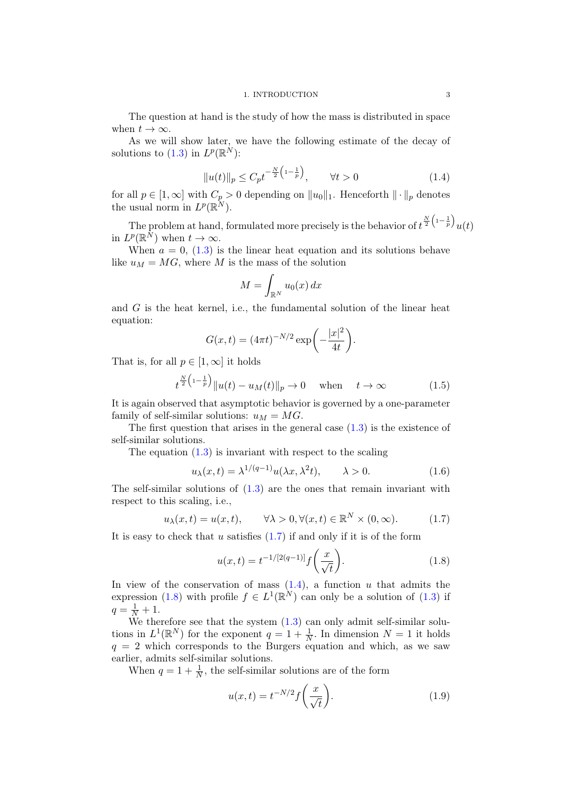The question at hand is the study of how the mass is distributed in space when  $t \to \infty$ .

As we will show later, we have the following estimate of the decay of solutions to [\(1.3\)](#page-5-0) in  $L^p(\mathbb{R}^N)$ :

<span id="page-6-1"></span>
$$
||u(t)||_{p} \le C_{p} t^{-\frac{N}{2} \left(1 - \frac{1}{p}\right)}, \qquad \forall t > 0 \tag{1.4}
$$

for all  $p \in [1,\infty]$  with  $C_p > 0$  depending on  $||u_0||_1$ . Henceforth  $||\cdot||_p$  denotes the usual norm in  $L^p(\mathbb{R}^N)$ .

The problem at hand, formulated more precisely is the behavior of  $t^{\frac{N}{2}\left(1-\frac{1}{p}\right)}u(t)$ in  $L^p(\mathbb{R}^N)$  when  $t \to \infty$ .

When  $a = 0$ , [\(1.3\)](#page-5-0) is the linear heat equation and its solutions behave like  $u_M = MG$ , where M is the mass of the solution

$$
M = \int_{\mathbb{R}^N} u_0(x) \, dx
$$

and  $G$  is the heat kernel, i.e., the fundamental solution of the linear heat equation:

$$
G(x,t) = (4\pi t)^{-N/2} \exp\left(-\frac{|x|^2}{4t}\right).
$$

That is, for all  $p \in [1,\infty]$  it holds

<span id="page-6-4"></span>
$$
t^{\frac{N}{2}\left(1-\frac{1}{p}\right)}\|u(t) - u_M(t)\|_p \to 0 \quad \text{when} \quad t \to \infty \tag{1.5}
$$

It is again observed that asymptotic behavior is governed by a one-parameter family of self-similar solutions:  $u_M = MG$ .

The first question that arises in the general case  $(1.3)$  is the existence of self-similar solutions.

The equation  $(1.3)$  is invariant with respect to the scaling

$$
u_{\lambda}(x,t) = \lambda^{1/(q-1)} u(\lambda x, \lambda^2 t), \qquad \lambda > 0.
$$
 (1.6)

The self-similar solutions of  $(1.3)$  are the ones that remain invariant with respect to this scaling, i.e.,

<span id="page-6-0"></span>
$$
u_{\lambda}(x,t) = u(x,t), \qquad \forall \lambda > 0, \forall (x,t) \in \mathbb{R}^{N} \times (0,\infty).
$$
 (1.7)

It is easy to check that u satisfies  $(1.7)$  if and only if it is of the form

<span id="page-6-2"></span>
$$
u(x,t) = t^{-1/[2(q-1)]} f\left(\frac{x}{\sqrt{t}}\right).
$$
 (1.8)

In view of the conservation of mass  $(1.4)$ , a function u that admits the expression [\(1.8\)](#page-6-2) with profile  $f \in L^1(\mathbb{R}^N)$  can only be a solution of [\(1.3\)](#page-5-0) if  $q = \frac{1}{N} + 1.$ 

We therefore see that the system  $(1.3)$  can only admit self-similar solutions in  $L^1(\mathbb{R}^N)$  for the exponent  $q = 1 + \frac{1}{N}$ . In dimension  $N = 1$  it holds  $q = 2$  which corresponds to the Burgers equation and which, as we saw earlier, admits self-similar solutions.

When  $q = 1 + \frac{1}{N}$ , the self-similar solutions are of the form

<span id="page-6-3"></span>
$$
u(x,t) = t^{-N/2} f\left(\frac{x}{\sqrt{t}}\right).
$$
 (1.9)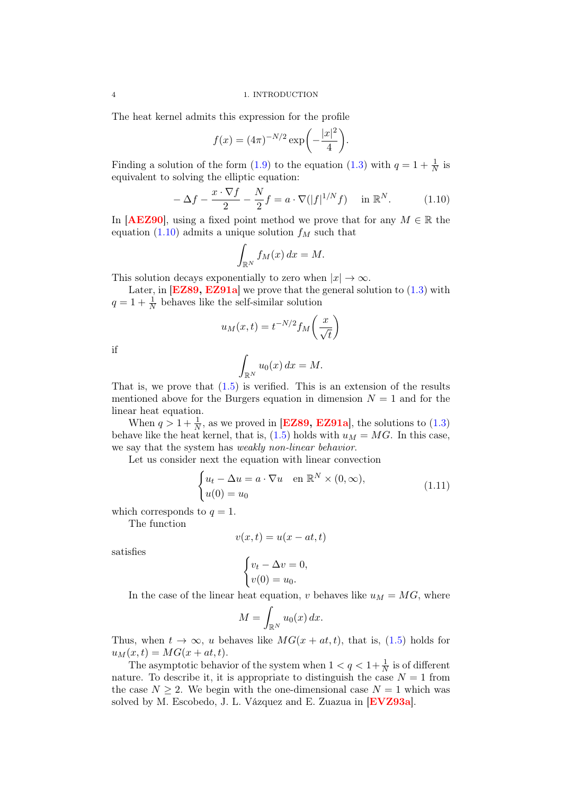The heat kernel admits this expression for the profile

$$
f(x) = (4\pi)^{-N/2} \exp\left(-\frac{|x|^2}{4}\right).
$$

Finding a solution of the form [\(1.9\)](#page-6-3) to the equation [\(1.3\)](#page-5-0) with  $q = 1 + \frac{1}{N}$  is equivalent to solving the elliptic equation:

<span id="page-7-0"></span>
$$
-\Delta f - \frac{x \cdot \nabla f}{2} - \frac{N}{2}f = a \cdot \nabla(|f|^{1/N}f) \quad \text{in } \mathbb{R}^N. \tag{1.10}
$$

In [[AEZ90](#page-80-6)], using a fixed point method we prove that for any  $M \in \mathbb{R}$  the equation [\(1.10\)](#page-7-0) admits a unique solution  $f_M$  such that

$$
\int_{\mathbb{R}^N} f_M(x) \, dx = M.
$$

This solution decays exponentially to zero when  $|x| \to \infty$ .

Later, in  **we prove that the general solution to**  $(1.3)$  **with**  $q = 1 + \frac{1}{N}$  behaves like the self-similar solution

$$
u_M(x,t) = t^{-N/2} f_M\left(\frac{x}{\sqrt{t}}\right)
$$

if

$$
\int_{\mathbb{R}^N} u_0(x) \, dx = M.
$$

That is, we prove that  $(1.5)$  is verified. This is an extension of the results mentioned above for the Burgers equation in dimension  $N = 1$  and for the linear heat equation.

When  $q > 1 + \frac{1}{N}$ , as we proved in [[EZ89,](#page-81-2) [EZ91a](#page-81-3)], the solutions to [\(1.3\)](#page-5-0) behave like the heat kernel, that is,  $(1.5)$  holds with  $u_M = MG$ . In this case, we say that the system has weakly non-linear behavior.

Let us consider next the equation with linear convection

$$
\begin{cases} u_t - \Delta u = a \cdot \nabla u & \text{en } \mathbb{R}^N \times (0, \infty), \\ u(0) = u_0 & \end{cases}
$$
 (1.11)

which corresponds to  $q = 1$ .

The function

$$
v(x,t) = u(x - at, t)
$$

satisfies

$$
\begin{cases} v_t - \Delta v = 0, \\ v(0) = u_0. \end{cases}
$$

In the case of the linear heat equation, v behaves like  $u_M = MG$ , where

$$
M = \int_{\mathbb{R}^N} u_0(x) \, dx.
$$

Thus, when  $t \to \infty$ , u behaves like  $MG(x + at, t)$ , that is, [\(1.5\)](#page-6-4) holds for  $u_M(x, t) = MG(x + at, t).$ 

The asymptotic behavior of the system when  $1 < q < 1 + \frac{1}{N}$  is of different nature. To describe it, it is appropriate to distinguish the case  $N = 1$  from the case  $N \geq 2$ . We begin with the one-dimensional case  $N = 1$  which was solved by M. Escobedo, J. L. Vázquez and E. Zuazua in **[[EVZ93a](#page-81-4)]**.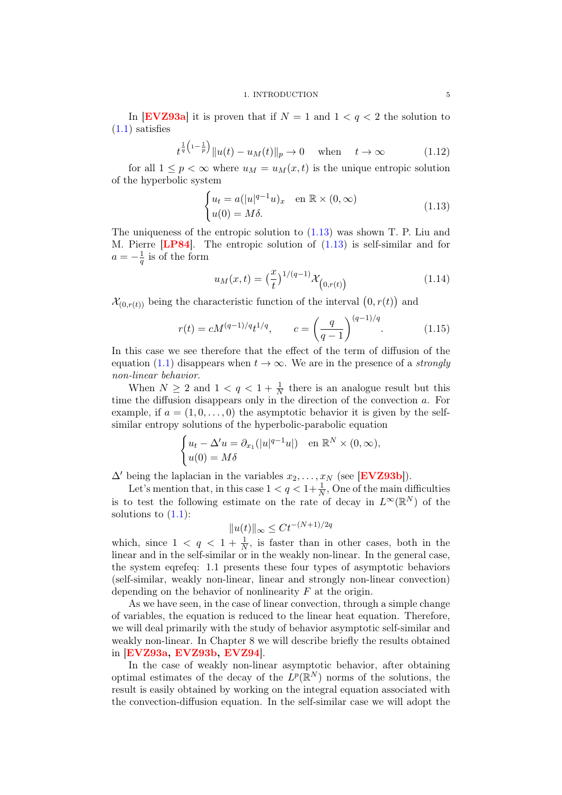In [[EVZ93a](#page-81-4)] it is proven that if  $N = 1$  and  $1 < q < 2$  the solution to  $(1.1)$  satisfies

$$
t^{\frac{1}{q}(1-\frac{1}{p})}||u(t) - u_M(t)||_p \to 0
$$
 when  $t \to \infty$  (1.12)

for all  $1 \leq p < \infty$  where  $u_M = u_M(x, t)$  is the unique entropic solution of the hyperbolic system

<span id="page-8-0"></span>
$$
\begin{cases} u_t = a(|u|^{q-1}u)_x & \text{en } \mathbb{R} \times (0, \infty) \\ u(0) = M\delta. \end{cases}
$$
 (1.13)

The uniqueness of the entropic solution to [\(1.13\)](#page-8-0) was shown T. P. Liu and M. Pierre [[LP84](#page-82-6)]. The entropic solution of [\(1.13\)](#page-8-0) is self-similar and for  $a=-\frac{1}{a}$  $\frac{1}{q}$  is of the form

$$
u_M(x,t) = \left(\frac{x}{t}\right)^{1/(q-1)} \mathcal{X}_{(0,r(t))}
$$
\n(1.14)

 $\mathcal{X}_{(0,r(t))}$  being the characteristic function of the interval  $(0,r(t))$  and

$$
r(t) = cM^{(q-1)/q}t^{1/q}, \qquad c = \left(\frac{q}{q-1}\right)^{(q-1)/q}.\tag{1.15}
$$

In this case we see therefore that the effect of the term of diffusion of the equation [\(1.1\)](#page-4-1) disappears when  $t \to \infty$ . We are in the presence of a *strongly* non-linear behavior.

When  $N \geq 2$  and  $1 < q < 1 + \frac{1}{N}$  there is an analogue result but this time the diffusion disappears only in the direction of the convection a. For example, if  $a = (1, 0, \ldots, 0)$  the asymptotic behavior it is given by the selfsimilar entropy solutions of the hyperbolic-parabolic equation

$$
\begin{cases} u_t - \Delta' u = \partial_{x_1}(|u|^{q-1}u|) & \text{en } \mathbb{R}^N \times (0, \infty), \\ u(0) = M\delta \end{cases}
$$

 $\Delta'$  being the laplacian in the variables  $x_2, \ldots, x_N$  (see [[EVZ93b](#page-81-5)]).

Let's mention that, in this case  $1 < q < 1 + \frac{1}{N}$ , One of the main difficulties is to test the following estimate on the rate of decay in  $L^{\infty}(\mathbb{R}^{N})$  of the solutions to  $(1.1)$ :

$$
||u(t)||_{\infty} \le Ct^{-(N+1)/2q}
$$

which, since  $1 \le q \le 1 + \frac{1}{N}$ , is faster than in other cases, both in the linear and in the self-similar or in the weakly non-linear. In the general case, the system eqrefeq: 1.1 presents these four types of asymptotic behaviors (self-similar, weakly non-linear, linear and strongly non-linear convection) depending on the behavior of nonlinearity  $F$  at the origin.

As we have seen, in the case of linear convection, through a simple change of variables, the equation is reduced to the linear heat equation. Therefore, we will deal primarily with the study of behavior asymptotic self-similar and weakly non-linear. In Chapter 8 we will describe briefly the results obtained in [[EVZ93a,](#page-81-4) [EVZ93b,](#page-81-5) [EVZ94](#page-81-6)].

In the case of weakly non-linear asymptotic behavior, after obtaining optimal estimates of the decay of the  $L^p(\mathbb{R}^N)$  norms of the solutions, the result is easily obtained by working on the integral equation associated with the convection-diffusion equation. In the self-similar case we will adopt the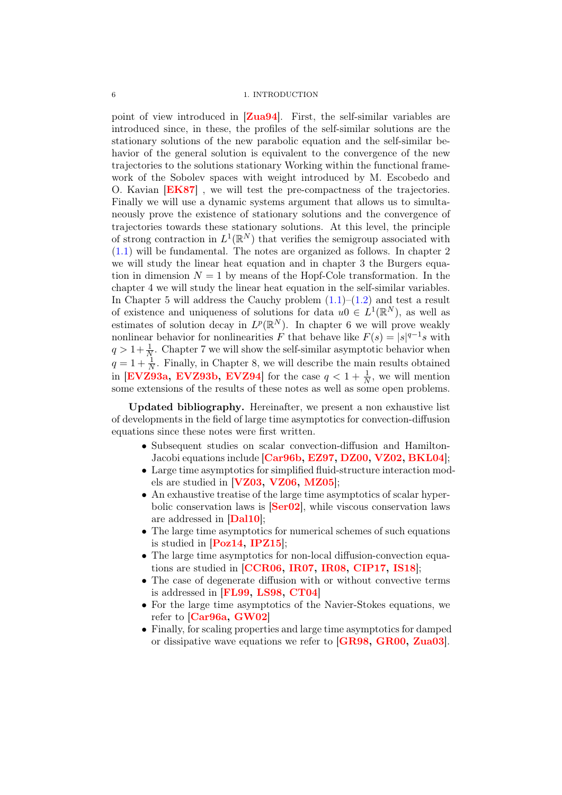point of view introduced in  $\left[ \mathbf{Zua94} \right]$  $\left[ \mathbf{Zua94} \right]$  $\left[ \mathbf{Zua94} \right]$ . First, the self-similar variables are introduced since, in these, the profiles of the self-similar solutions are the stationary solutions of the new parabolic equation and the self-similar behavior of the general solution is equivalent to the convergence of the new trajectories to the solutions stationary Working within the functional framework of the Sobolev spaces with weight introduced by M. Escobedo and O. Kavian [[EK87](#page-81-7)] , we will test the pre-compactness of the trajectories. Finally we will use a dynamic systems argument that allows us to simultaneously prove the existence of stationary solutions and the convergence of trajectories towards these stationary solutions. At this level, the principle of strong contraction in  $L^1(\mathbb{R}^N)$  that verifies the semigroup associated with [\(1.1\)](#page-4-1) will be fundamental. The notes are organized as follows. In chapter 2 we will study the linear heat equation and in chapter 3 the Burgers equation in dimension  $N = 1$  by means of the Hopf-Cole transformation. In the chapter 4 we will study the linear heat equation in the self-similar variables. In Chapter 5 will address the Cauchy problem  $(1.1)$ – $(1.2)$  and test a result of existence and uniqueness of solutions for data  $u_0 \in L^1(\mathbb{R}^N)$ , as well as estimates of solution decay in  $L^p(\mathbb{R}^N)$ . In chapter 6 we will prove weakly nonlinear behavior for nonlinearities F that behave like  $F(s) = |s|^{q-1} s$  with  $q > 1 + \frac{1}{N}$ . Chapter 7 we will show the self-similar asymptotic behavior when  $q = 1 + \frac{1}{N}$ . Finally, in Chapter 8, we will describe the main results obtained in [[EVZ93a,](#page-81-4) [EVZ93b,](#page-81-5) [EVZ94](#page-81-6)] for the case  $q < 1 + \frac{1}{N}$ , we will mention some extensions of the results of these notes as well as some open problems.

Updated bibliography. Hereinafter, we present a non exhaustive list of developments in the field of large time asymptotics for convection-diffusion equations since these notes were first written.

- Subsequent studies on scalar convection-diffusion and Hamilton-Jacobi equations include [[Car96b,](#page-80-7) [EZ97,](#page-81-8) [DZ00,](#page-81-9) [VZ02,](#page-83-6) [BKL04](#page-80-8)];
- Large time asymptotics for simplified fluid-structure interaction models are studied in  $[VZ03, VZ06, MZ05]$  $[VZ03, VZ06, MZ05]$  $[VZ03, VZ06, MZ05]$  $[VZ03, VZ06, MZ05]$  $[VZ03, VZ06, MZ05]$  $[VZ03, VZ06, MZ05]$  $[VZ03, VZ06, MZ05]$ ;
- An exhaustive treatise of the large time asymptotics of scalar hyperbolic conservation laws is  $\text{[Ser02]}$  $\text{[Ser02]}$  $\text{[Ser02]}$ , while viscous conservation laws are addressed in [[Dal10](#page-81-10)];
- The large time asymptotics for numerical schemes of such equations is studied in  $[Poz14, IPZ15]$  $[Poz14, IPZ15]$  $[Poz14, IPZ15]$  $[Poz14, IPZ15]$  $[Poz14, IPZ15]$ ;
- The large time asymptotics for non-local diffusion-convection equations are studied in [[CCR06,](#page-80-9) [IR07,](#page-82-8) [IR08,](#page-82-9) [CIP17,](#page-80-10) [IS18](#page-82-10)];
- The case of degenerate diffusion with or without convective terms is addressed in [[FL99,](#page-81-11) [LS98,](#page-82-11) [CT04](#page-81-12)]
- For the large time asymptotics of the Navier-Stokes equations, we refer to  $[Car96a, GW02]$  $[Car96a, GW02]$  $[Car96a, GW02]$  $[Car96a, GW02]$  $[Car96a, GW02]$
- Finally, for scaling properties and large time asymptotics for damped or dissipative wave equations we refer to [[GR98,](#page-81-13) [GR00,](#page-81-14) [Zua03](#page-83-12)].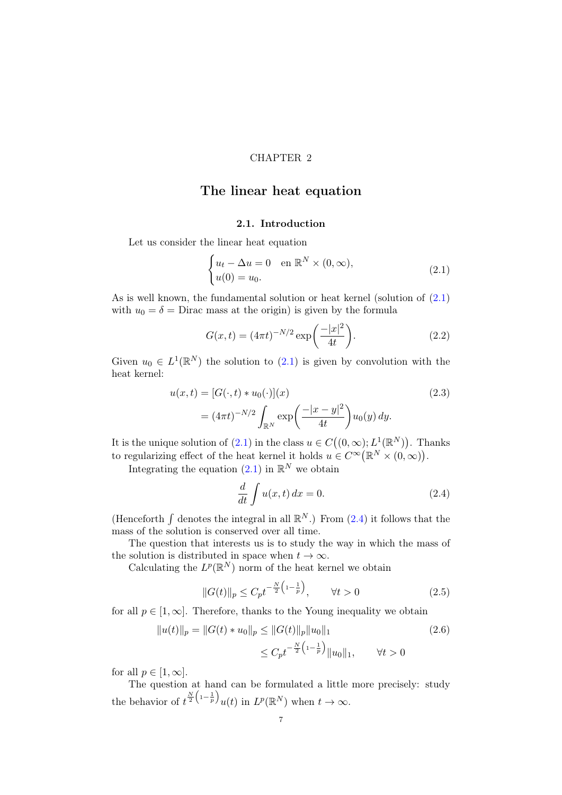#### CHAPTER 2

## <span id="page-10-0"></span>The linear heat equation

## <span id="page-10-2"></span>2.1. Introduction

<span id="page-10-1"></span>Let us consider the linear heat equation

$$
\begin{cases} u_t - \Delta u = 0 & \text{en } \mathbb{R}^N \times (0, \infty), \\ u(0) = u_0. \end{cases}
$$
 (2.1)

As is well known, the fundamental solution or heat kernel (solution of [\(2.1\)](#page-10-2) with  $u_0 = \delta$  = Dirac mass at the origin) is given by the formula

$$
G(x,t) = (4\pi t)^{-N/2} \exp\left(\frac{-|x|^2}{4t}\right).
$$
 (2.2)

Given  $u_0 \in L^1(\mathbb{R}^N)$  the solution to  $(2.1)$  is given by convolution with the heat kernel:

$$
u(x,t) = [G(\cdot,t) * u_0(\cdot)](x)
$$
  
=  $(4\pi t)^{-N/2} \int_{\mathbb{R}^N} \exp\left(\frac{-|x-y|^2}{4t}\right) u_0(y) dy.$  (2.3)

It is the unique solution of  $(2.1)$  in the class  $u \in C((0,\infty); L^1(\mathbb{R}^N))$ . Thanks to regularizing effect of the heat kernel it holds  $u \in C^{\infty}(\mathbb{R}^N \times (0,\infty)).$ 

Integrating the equation  $(2.1)$  in  $\mathbb{R}^N$  we obtain

<span id="page-10-3"></span>
$$
\frac{d}{dt} \int u(x,t) dx = 0.
$$
\n(2.4)

(Henceforth  $\int$  denotes the integral in all  $\mathbb{R}^N$ .) From [\(2.4\)](#page-10-3) it follows that the mass of the solution is conserved over all time.

The question that interests us is to study the way in which the mass of the solution is distributed in space when  $t \to \infty$ .

Calculating the  $L^p(\mathbb{R}^N)$  norm of the heat kernel we obtain

<span id="page-10-4"></span>
$$
||G(t)||_{p} \le C_{p} t^{-\frac{N}{2} \left(1 - \frac{1}{p}\right)}, \qquad \forall t > 0 \tag{2.5}
$$

for all  $p \in [1,\infty]$ . Therefore, thanks to the Young inequality we obtain

$$
||u(t)||_p = ||G(t) * u_0||_p \le ||G(t)||_p ||u_0||_1
$$
\n
$$
\le C_p t^{-\frac{N}{2} \left(1 - \frac{1}{p}\right)} ||u_0||_1, \qquad \forall t > 0
$$
\n(2.6)

for all  $p \in [1, \infty]$ .

The question at hand can be formulated a little more precisely: study the behavior of  $t^{\frac{N}{2}\left(1-\frac{1}{p}\right)}u(t)$  in  $L^p(\mathbb{R}^N)$  when  $t\to\infty$ .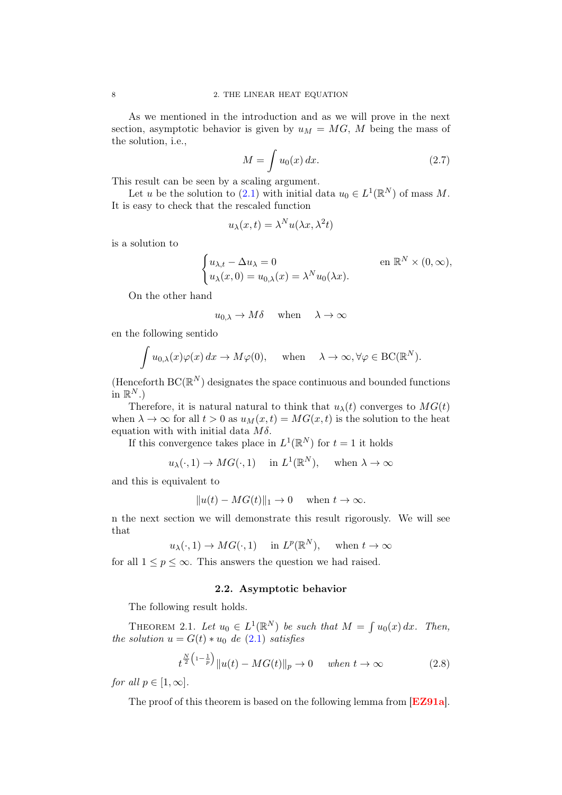As we mentioned in the introduction and as we will prove in the next section, asymptotic behavior is given by  $u_M = MG$ , M being the mass of the solution, i.e.,

$$
M = \int u_0(x) dx.
$$
 (2.7)

This result can be seen by a scaling argument.

Let u be the solution to [\(2.1\)](#page-10-2) with initial data  $u_0 \in L^1(\mathbb{R}^N)$  of mass M. It is easy to check that the rescaled function

$$
u_{\lambda}(x,t) = \lambda^N u(\lambda x, \lambda^2 t)
$$

is a solution to

$$
\begin{cases} u_{\lambda,t} - \Delta u_{\lambda} = 0 & \text{en } \mathbb{R}^N \times (0,\infty), \\ u_{\lambda}(x,0) = u_{0,\lambda}(x) = \lambda^N u_0(\lambda x). \end{cases}
$$

On the other hand

$$
u_{0,\lambda} \to M\delta
$$
 when  $\lambda \to \infty$ 

en the following sentido

$$
\int u_{0,\lambda}(x)\varphi(x) dx \to M\varphi(0), \quad \text{when} \quad \lambda \to \infty, \forall \varphi \in BC(\mathbb{R}^N).
$$

(Henceforth  $BC(\mathbb{R}^N)$  designates the space continuous and bounded functions in  $\mathbb{R}^N$ .)

Therefore, it is natural natural to think that  $u_{\lambda}(t)$  converges to  $MG(t)$ when  $\lambda \to \infty$  for all  $t > 0$  as  $u_M(x, t) = MG(x, t)$  is the solution to the heat equation with with initial data  $M\delta$ .

If this convergence takes place in  $L^1(\mathbb{R}^N)$  for  $t=1$  it holds

$$
u_{\lambda}(\cdot, 1) \to MG(\cdot, 1)
$$
 in  $L^{1}(\mathbb{R}^{N})$ , when  $\lambda \to \infty$ 

and this is equivalent to

$$
||u(t) - MG(t)||_1 \to 0 \quad \text{when } t \to \infty.
$$

n the next section we will demonstrate this result rigorously. We will see that

 $u_{\lambda}(\cdot,1) \to MG(\cdot,1)$  in  $L^p(\mathbb{R}^N)$ , when  $t \to \infty$ 

<span id="page-11-0"></span>for all  $1 \le p \le \infty$ . This answers the question we had raised.

### 2.2. Asymptotic behavior

The following result holds.

THEOREM 2.1. Let  $u_0 \in L^1(\mathbb{R}^N)$  be such that  $M = \int u_0(x) dx$ . Then, the solution  $u = G(t) * u_0$  de [\(2.1\)](#page-10-2) satisfies

<span id="page-11-1"></span>
$$
t^{\frac{N}{2}\left(1-\frac{1}{p}\right)}\|u(t) - MG(t)\|_{p} \to 0 \quad when \ t \to \infty \tag{2.8}
$$

for all  $p \in [1,\infty]$ .

The proof of this theorem is based on the following lemma from **[[EZ91a](#page-81-3)]**.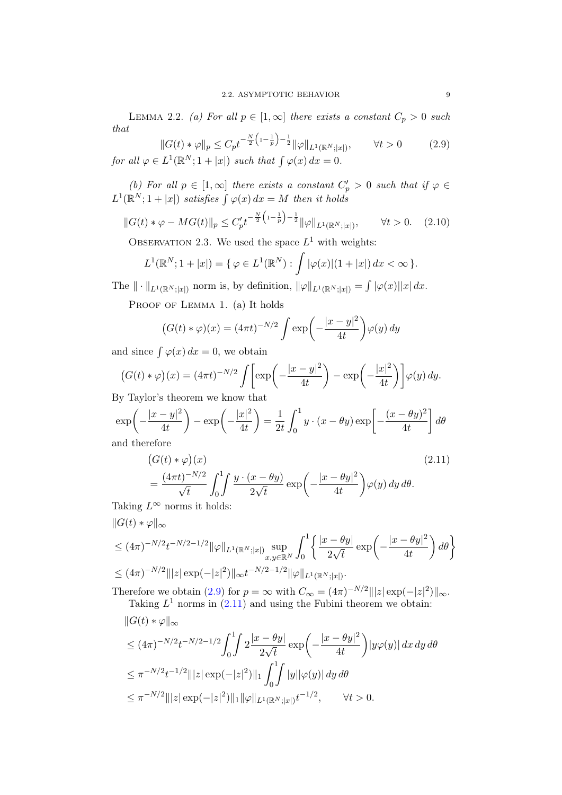LEMMA 2.2. (a) For all  $p \in [1,\infty]$  there exists a constant  $C_p > 0$  such that

<span id="page-12-0"></span>
$$
||G(t) * \varphi||_p \le C_p t^{-\frac{N}{2} \left(1 - \frac{1}{p}\right) - \frac{1}{2}} ||\varphi||_{L^1(\mathbb{R}^N; |x|)}, \qquad \forall t > 0 \qquad (2.9)
$$
  
for all  $\varphi \in L^1(\mathbb{R}^N; 1 + |x|)$  such that  $\int \varphi(x) dx = 0.$ 

(b) For all  $p \in [1,\infty]$  there exists a constant  $C_p' > 0$  such that if  $\varphi \in$  $L^1(\mathbb{R}^N; 1+|x|)$  satisfies  $\int \varphi(x) dx = M$  then it holds

$$
||G(t) * \varphi - MG(t)||_p \le C_p' t^{-\frac{N}{2} \left(1 - \frac{1}{p}\right) - \frac{1}{2}} ||\varphi||_{L^1(\mathbb{R}^N; |x|)}, \qquad \forall t > 0. \tag{2.10}
$$

OBSERVATION 2.3. We used the space  $L^1$  with weights:

$$
L^{1}(\mathbb{R}^{N}; 1 + |x|) = \{ \varphi \in L^{1}(\mathbb{R}^{N}) : \int |\varphi(x)|(1 + |x|) dx < \infty \}.
$$

The  $\|\cdot\|_{L^1(\mathbb{R}^N;|x|)}$  norm is, by definition,  $\|\varphi\|_{L^1(\mathbb{R}^N;|x|)} = \int |\varphi(x)||x| dx$ .

PROOF OF LEMMA 1. (a) It holds

$$
(G(t) * \varphi)(x) = (4\pi t)^{-N/2} \int \exp\left(-\frac{|x-y|^2}{4t}\right) \varphi(y) dy
$$

and since  $\int \varphi(x) dx = 0$ , we obtain

$$
(G(t) * \varphi)(x) = (4\pi t)^{-N/2} \int \left[ \exp\left(-\frac{|x-y|^2}{4t}\right) - \exp\left(-\frac{|x|^2}{4t}\right) \right] \varphi(y) dy.
$$
  
W Taylor's theorem we know that

By Taylor's theorem we know that

$$
\exp\left(-\frac{|x-y|^2}{4t}\right) - \exp\left(-\frac{|x|^2}{4t}\right) = \frac{1}{2t} \int_0^1 y \cdot (x - \theta y) \exp\left[-\frac{(x - \theta y)^2}{4t}\right] d\theta
$$
  
and therefore

<span id="page-12-1"></span>
$$
\begin{aligned} &\left(G(t) * \varphi\right)(x) \\ &= \frac{(4\pi t)^{-N/2}}{\sqrt{t}} \int_0^1 \int \frac{y \cdot (x - \theta y)}{2\sqrt{t}} \exp\left(-\frac{|x - \theta y|^2}{4t}\right) \varphi(y) \, dy \, d\theta. \end{aligned} \tag{2.11}
$$

Taking  $L^{\infty}$  norms it holds:

$$
||G(t) * \varphi||_{\infty}
$$
  
\n
$$
\leq (4\pi)^{-N/2} t^{-N/2 - 1/2} ||\varphi||_{L^{1}(\mathbb{R}^{N};|x|)} \sup_{x,y \in \mathbb{R}^{N}} \int_{0}^{1} \left\{ \frac{|x - \theta y|}{2\sqrt{t}} \exp\left(-\frac{|x - \theta y|^{2}}{4t}\right) d\theta \right\}
$$
  
\n
$$
\leq (4\pi)^{-N/2} |||z| \exp(-|z|^{2}) ||_{\infty} t^{-N/2 - 1/2} ||\varphi||_{L^{1}(\mathbb{R}^{N};|x|)}.
$$

Therefore we obtain [\(2.9\)](#page-12-0) for  $p = \infty$  with  $C_{\infty} = (4\pi)^{-N/2} |||z| \exp(-|z|^2) ||_{\infty}$ .

Taking 
$$
L^1
$$
 norms in (2.11) and using the Fubini theorem we obtain:  
\n
$$
||G(t) * \varphi||_{\infty}
$$
\n
$$
\leq (4\pi)^{-N/2}t^{-N/2-1/2} \int_0^1 \int 2\frac{|x - \theta y|}{2\sqrt{t}} \exp\left(-\frac{|x - \theta y|^2}{4t}\right) |y\varphi(y)| dx dy d\theta
$$
\n
$$
\leq \pi^{-N/2}t^{-1/2}||z| \exp(-|z|^2)||_1 \int_0^1 \int_0^1 |y||\varphi(y)| dy d\theta
$$
\n
$$
\leq \pi^{-N/2}||z| \exp(-|z|^2)||_1 ||\varphi||_{L^1(\mathbb{R}^N;|x|)} t^{-1/2}, \qquad \forall t > 0.
$$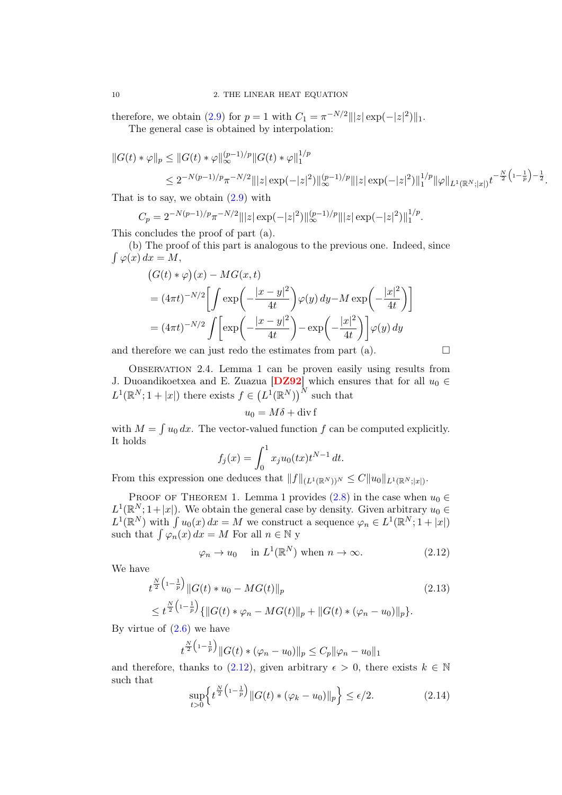therefore, we obtain [\(2.9\)](#page-12-0) for  $p = 1$  with  $C_1 = \pi^{-N/2} |||z| \exp(-|z|^2) ||_1$ . The general case is obtained by interpolation:

$$
||G(t)*\varphi||_p \le ||G(t)*\varphi||_{\infty}^{(p-1)/p} ||G(t)*\varphi||_1^{1/p}
$$
  

$$
\le 2^{-N(p-1)/p} \pi^{-N/2} |||z| \exp(-|z|^2) ||_{\infty}^{(p-1)/p} |||z| \exp(-|z|^2) ||_1^{1/p} ||\varphi||_{L^1(\mathbb{R}^N;|x|)} t^{-\frac{N}{2} (1-\frac{1}{p}) - \frac{1}{2}}.
$$

That is to say, we obtain  $(2.9)$  with

$$
C_p = 2^{-N(p-1)/p} \pi^{-N/2} |||z| \exp(-|z|^2) ||_{\infty}^{(p-1)/p} |||z| \exp(-|z|^2) ||_1^{1/p}.
$$

This concludes the proof of part (a).

(b) The proof of this part is analogous to the previous one. Indeed, since  $\int \varphi(x) dx = M,$ 

$$
(G(t) * \varphi)(x) - MG(x, t)
$$
  
=  $(4\pi t)^{-N/2} \left[ \int \exp\left(-\frac{|x-y|^2}{4t}\right) \varphi(y) dy - M \exp\left(-\frac{|x|^2}{4t}\right) \right]$   
=  $(4\pi t)^{-N/2} \int \left[ \exp\left(-\frac{|x-y|^2}{4t}\right) - \exp\left(-\frac{|x|^2}{4t}\right) \right] \varphi(y) dy$ 

and therefore we can just redo the estimates from part (a).  $\Box$ 

Observation 2.4. Lemma 1 can be proven easily using results from J. Duoandikoetxea and E. Zuazua [[DZ92](#page-81-15)] which ensures that for all  $u_0 \in$  $L^1(\mathbb{R}^N; 1+|x|)$  there exists  $f \in (L^1(\mathbb{R}^N))^N$  such that

$$
u_0 = M\delta + \operatorname{div} f
$$

with  $M = \int u_0 dx$ . The vector-valued function f can be computed explicitly. It holds

$$
f_j(x) = \int_0^1 x_j u_0(tx) t^{N-1} dt.
$$

From this expression one deduces that  $||f||_{(L^1(\mathbb{R}^N))^N} \leq C||u_0||_{L^1(\mathbb{R}^N;|x|)}$ .

PROOF OF THEOREM 1. Lemma 1 provides [\(2.8\)](#page-11-1) in the case when  $u_0 \in$  $L^1(\mathbb{R}^N; 1+|x|)$ . We obtain the general case by density. Given arbitrary  $u_0 \in$  $L^1(\mathbb{R}^N)$  with  $\int u_0(x) dx = M$  we construct a sequence  $\varphi_n \in L^1(\mathbb{R}^N; 1 + |x|)$ such that  $\int \varphi_n(x) dx = M$  For all  $n \in \mathbb{N}$  y

<span id="page-13-0"></span>
$$
\varphi_n \to u_0
$$
 in  $L^1(\mathbb{R}^N)$  when  $n \to \infty$ . (2.12)

We have

$$
t^{\frac{N}{2}\left(1-\frac{1}{p}\right)}\|G(t) * u_0 - MG(t)\|_p
$$
  
\n
$$
\leq t^{\frac{N}{2}\left(1-\frac{1}{p}\right)}\{\|G(t) * \varphi_n - MG(t)\|_p + \|G(t) * (\varphi_n - u_0)\|_p\}.
$$
\n(2.13)

By virtue of  $(2.6)$  we have

$$
t^{\frac{N}{2}(1-\frac{1}{p})} \|G(t) * (\varphi_n - u_0)\|_p \leq C_p \|\varphi_n - u_0\|_1
$$

and therefore, thanks to [\(2.12\)](#page-13-0), given arbitrary  $\epsilon > 0$ , there exists  $k \in \mathbb{N}$ such that

$$
\sup_{t>0} \left\{ t^{\frac{N}{2}\left(1-\frac{1}{p}\right)} \|G(t) * (\varphi_k - u_0)\|_p \right\} \le \epsilon/2. \tag{2.14}
$$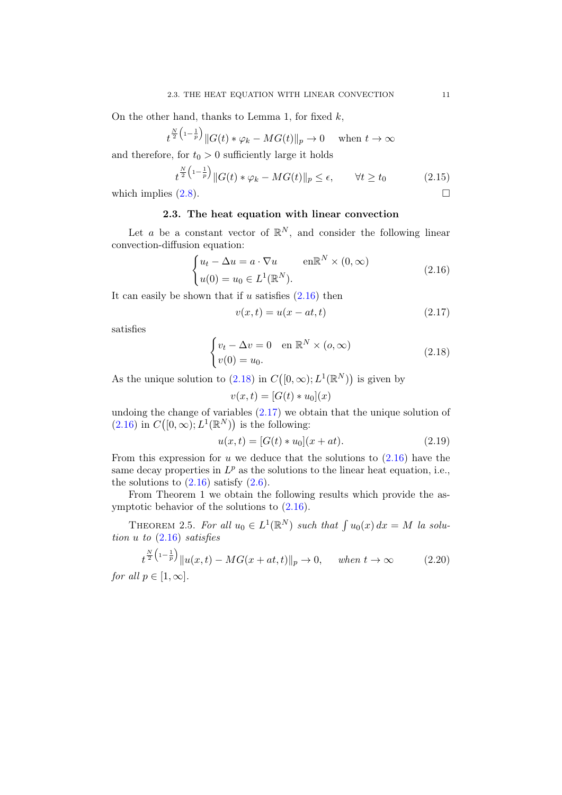On the other hand, thanks to Lemma 1, for fixed  $k$ ,

$$
t^{\frac{N}{2}\left(1-\frac{1}{p}\right)}\|G(t)*\varphi_k - MG(t)\|_p \to 0 \quad \text{when } t \to \infty
$$

and therefore, for  $t_0 > 0$  sufficiently large it holds

$$
t^{\frac{N}{2}\left(1-\frac{1}{p}\right)}\|G(t)*\varphi_k - MG(t)\|_p \le \epsilon, \qquad \forall t \ge t_0 \tag{2.15}
$$

<span id="page-14-0"></span>which implies  $(2.8)$ .

## 2.3. The heat equation with linear convection

Let a be a constant vector of  $\mathbb{R}^N$ , and consider the following linear convection-diffusion equation:

$$
\begin{cases} u_t - \Delta u = a \cdot \nabla u & \text{en} \mathbb{R}^N \times (0, \infty) \\ u(0) = u_0 \in L^1(\mathbb{R}^N). \end{cases}
$$
 (2.16)

It can easily be shown that if u satisfies  $(2.16)$  then

<span id="page-14-3"></span><span id="page-14-2"></span><span id="page-14-1"></span>
$$
v(x,t) = u(x - at, t) \tag{2.17}
$$

satisfies

$$
\begin{cases} v_t - \Delta v = 0 & \text{en } \mathbb{R}^N \times (o, \infty) \\ v(0) = u_0. \end{cases}
$$
 (2.18)

As the unique solution to  $(2.18)$  in  $C([0,\infty); L^1(\mathbb{R}^N))$  is given by

$$
v(x,t) = [G(t) * u_0](x)
$$

undoing the change of variables  $(2.17)$  we obtain that the unique solution of  $(2.16)$  in  $C([0,\infty); L^1(\mathbb{R}^N))$  is the following:

$$
u(x,t) = [G(t) * u_0](x + at).
$$
\n(2.19)

From this expression for u we deduce that the solutions to  $(2.16)$  have the same decay properties in  $L^p$  as the solutions to the linear heat equation, i.e., the solutions to  $(2.16)$  satisfy  $(2.6)$ .

From Theorem 1 we obtain the following results which provide the asymptotic behavior of the solutions to [\(2.16\)](#page-14-1).

THEOREM 2.5. For all  $u_0 \in L^1(\mathbb{R}^N)$  such that  $\int u_0(x) dx = M$  la solution u to [\(2.16\)](#page-14-1) satisfies

$$
t^{\frac{N}{2}\left(1-\frac{1}{p}\right)}\|u(x,t) - MG(x+at,t)\|_{p} \to 0, \quad when \ t \to \infty \tag{2.20}
$$
  
for all  $p \in [1,\infty]$ .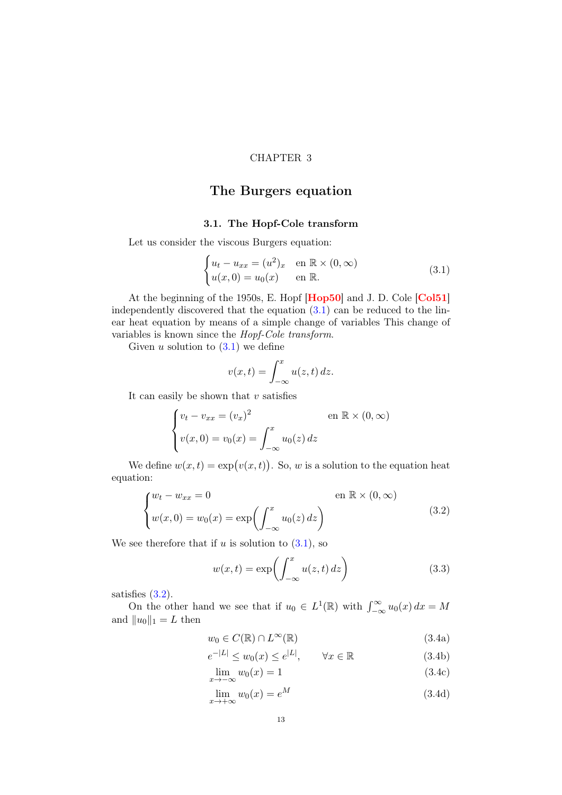## <span id="page-16-2"></span>CHAPTER 3

# <span id="page-16-0"></span>The Burgers equation

### 3.1. The Hopf-Cole transform

<span id="page-16-1"></span>Let us consider the viscous Burgers equation:

$$
\begin{cases} u_t - u_{xx} = (u^2)_x & \text{en } \mathbb{R} \times (0, \infty) \\ u(x, 0) = u_0(x) & \text{en } \mathbb{R}. \end{cases}
$$
 (3.1)

At the beginning of the 1950s, E. Hopf [[Hop50](#page-82-13)] and J. D. Cole [[Col51](#page-80-12)] independently discovered that the equation  $(3.1)$  can be reduced to the linear heat equation by means of a simple change of variables This change of variables is known since the Hopf-Cole transform.

Given u solution to  $(3.1)$  we define

$$
v(x,t) = \int_{-\infty}^{x} u(z,t) dz.
$$

It can easily be shown that  $v$  satisfies

$$
\begin{cases} v_t - v_{xx} = (v_x)^2 & \text{en } \mathbb{R} \times (0, \infty) \\ v(x, 0) = v_0(x) = \int_{-\infty}^x u_0(z) dz \end{cases}
$$

We define  $w(x,t) = \exp(v(x,t))$ . So, w is a solution to the equation heat equation:

$$
\begin{cases} w_t - w_{xx} = 0 & \text{en } \mathbb{R} \times (0, \infty) \\ w(x, 0) = w_0(x) = \exp\left(\int_{-\infty}^x u_0(z) dz\right) \end{cases}
$$
 (3.2)

We see therefore that if  $u$  is solution to  $(3.1)$ , so

<span id="page-16-6"></span><span id="page-16-3"></span>
$$
w(x,t) = \exp\left(\int_{-\infty}^{x} u(z,t) dz\right)
$$
 (3.3)

satisfies [\(3.2\)](#page-16-3).

On the other hand we see that if  $u_0 \in L^1(\mathbb{R})$  with  $\int_{-\infty}^{\infty} u_0(x) dx = M$ and  $||u_0||_1 = L$  then

<span id="page-16-7"></span><span id="page-16-4"></span>
$$
w_0 \in C(\mathbb{R}) \cap L^{\infty}(\mathbb{R})
$$
\n
$$
(3.4a)
$$

$$
e^{-|L|} \le w_0(x) \le e^{|L|}, \qquad \forall x \in \mathbb{R} \tag{3.4b}
$$

$$
\lim_{x \to -\infty} w_0(x) = 1 \tag{3.4c}
$$

<span id="page-16-5"></span>
$$
\lim_{x \to +\infty} w_0(x) = e^M \tag{3.4d}
$$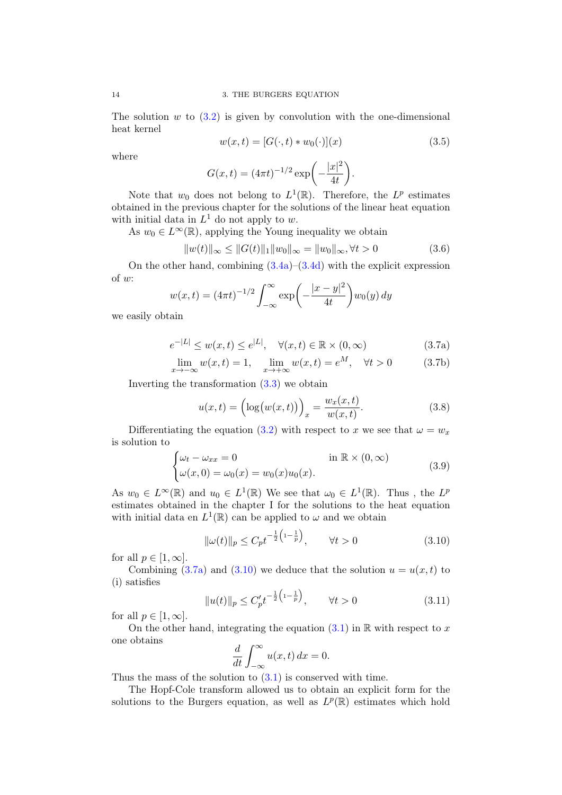The solution  $w$  to  $(3.2)$  is given by convolution with the one-dimensional heat kernel

<span id="page-17-2"></span>
$$
w(x,t) = [G(\cdot,t) * w_0(\cdot)](x)
$$
\n(3.5)

where

$$
G(x,t) = (4\pi t)^{-1/2} \exp\left(-\frac{|x|^2}{4t}\right).
$$

Note that  $w_0$  does not belong to  $L^1(\mathbb{R})$ . Therefore, the  $L^p$  estimates obtained in the previous chapter for the solutions of the linear heat equation with initial data in  $L^1$  do not apply to w.

As  $w_0 \in L^{\infty}(\mathbb{R})$ , applying the Young inequality we obtain

$$
||w(t)||_{\infty} \le ||G(t)||_1 ||w_0||_{\infty} = ||w_0||_{\infty}, \forall t > 0
$$
\n(3.6)

On the other hand, combining  $(3.4a)$ – $(3.4d)$  with the explicit expression of w:

$$
w(x,t) = (4\pi t)^{-1/2} \int_{-\infty}^{\infty} \exp\left(-\frac{|x-y|^2}{4t}\right) w_0(y) \, dy
$$

<span id="page-17-3"></span>we easily obtain

$$
e^{-|L|} \le w(x,t) \le e^{|L|}, \quad \forall (x,t) \in \mathbb{R} \times (0,\infty)
$$
\n(3.7a)

$$
\lim_{x \to -\infty} w(x, t) = 1, \quad \lim_{x \to +\infty} w(x, t) = e^M, \quad \forall t > 0 \tag{3.7b}
$$

Inverting the transformation  $(3.3)$  we obtain

<span id="page-17-5"></span><span id="page-17-4"></span><span id="page-17-0"></span>
$$
u(x,t) = \left(\log(w(x,t))\right)_x = \frac{w_x(x,t)}{w(x,t)}.\tag{3.8}
$$

Differentiating the equation [\(3.2\)](#page-16-3) with respect to x we see that  $\omega = w_x$ is solution to

$$
\begin{cases} \omega_t - \omega_{xx} = 0 & \text{in } \mathbb{R} \times (0, \infty) \\ \omega(x, 0) = \omega_0(x) = w_0(x)u_0(x). \end{cases}
$$
 (3.9)

As  $w_0 \in L^{\infty}(\mathbb{R})$  and  $u_0 \in L^1(\mathbb{R})$  We see that  $\omega_0 \in L^1(\mathbb{R})$ . Thus, the  $L^p$ estimates obtained in the chapter I for the solutions to the heat equation with initial data en  $L^1(\mathbb{R})$  can be applied to  $\omega$  and we obtain

<span id="page-17-1"></span>
$$
\|\omega(t)\|_{p} \le C_{p} t^{-\frac{1}{2}\left(1 - \frac{1}{p}\right)}, \qquad \forall t > 0 \tag{3.10}
$$

for all  $p \in [1, \infty]$ .

Combining [\(3.7a\)](#page-17-0) and [\(3.10\)](#page-17-1) we deduce that the solution  $u = u(x, t)$  to (i) satisfies

$$
||u(t)||_{p} \le C'_{p} t^{-\frac{1}{2} \left(1 - \frac{1}{p}\right)}, \qquad \forall t > 0 \tag{3.11}
$$

for all  $p \in [1, \infty]$ .

On the other hand, integrating the equation  $(3.1)$  in R with respect to x one obtains

$$
\frac{d}{dt} \int_{-\infty}^{\infty} u(x, t) \, dx = 0.
$$

Thus the mass of the solution to  $(3.1)$  is conserved with time.

The Hopf-Cole transform allowed us to obtain an explicit form for the solutions to the Burgers equation, as well as  $L^p(\mathbb{R})$  estimates which hold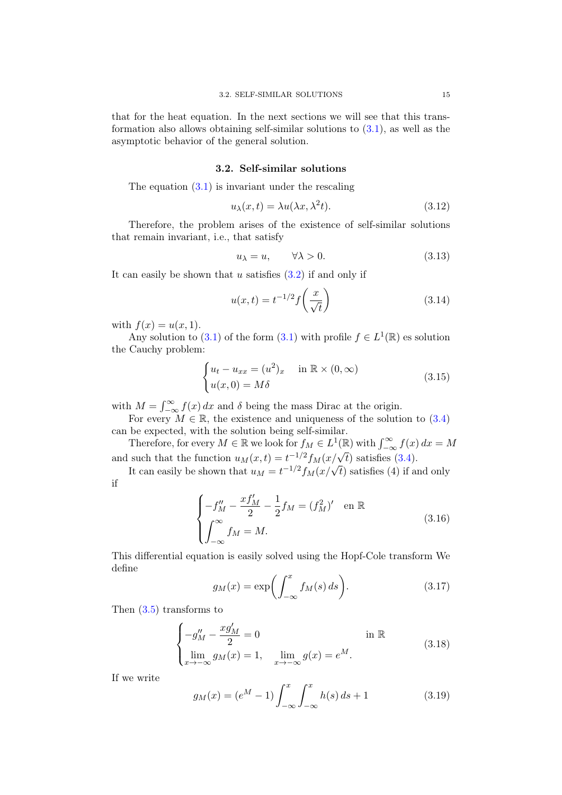#### 3.2. Self-similar solutions

<span id="page-18-0"></span>The equation  $(3.1)$  is invariant under the rescaling

$$
u_{\lambda}(x,t) = \lambda u(\lambda x, \lambda^2 t). \tag{3.12}
$$

Therefore, the problem arises of the existence of self-similar solutions that remain invariant, i.e., that satisfy

$$
u_{\lambda} = u, \qquad \forall \lambda > 0. \tag{3.13}
$$

It can easily be shown that u satisfies  $(3.2)$  if and only if

<span id="page-18-3"></span>
$$
u(x,t) = t^{-1/2} f\left(\frac{x}{\sqrt{t}}\right) \tag{3.14}
$$

with  $f(x) = u(x, 1)$ .

Any solution to [\(3.1\)](#page-16-2) of the form (3.1) with profile  $f \in L^1(\mathbb{R})$  es solution the Cauchy problem:

$$
\begin{cases} u_t - u_{xx} = (u^2)_x & \text{in } \mathbb{R} \times (0, \infty) \\ u(x, 0) = M\delta \end{cases}
$$
 (3.15)

with  $M = \int_{-\infty}^{\infty} f(x) dx$  and  $\delta$  being the mass Dirac at the origin.

For every  $M \in \mathbb{R}$ , the existence and uniqueness of the solution to [\(3.4\)](#page-16-7) can be expected, with the solution being self-similar.

Therefore, for every  $M \in \mathbb{R}$  we look for  $f_M \in L^1(\mathbb{R})$  with  $\int_{-\infty}^{\infty} f(x) dx = M$ and such that the function  $u_M(x,t) = t^{-1/2} f_M(x/\sqrt{t})$  satisfies [\(3.4\)](#page-16-7).

Such that the function  $u_M(x,t) = t^{\gamma} J_M(x/\sqrt{t})$  satisfies (3.4).<br>It can easily be shown that  $u_M = t^{-1/2} f_M(x/\sqrt{t})$  satisfies (4) if and only if

$$
\begin{cases}\n-f''_M - \frac{xf'_M}{2} - \frac{1}{2}f_M = (f_M^2)' & \text{en } \mathbb{R} \\
\int_{-\infty}^{\infty} f_M = M.\n\end{cases}
$$
\n(3.16)

This differential equation is easily solved using the Hopf-Cole transform We define

<span id="page-18-2"></span>
$$
g_M(x) = \exp\left(\int_{-\infty}^x f_M(s) \, ds\right). \tag{3.17}
$$

Then  $(3.5)$  transforms to

$$
\begin{cases}\n-g''_M - \frac{xg'_M}{2} = 0 & \text{in } \mathbb{R} \\
\lim_{x \to -\infty} g_M(x) = 1, & \lim_{x \to -\infty} g(x) = e^M.\n\end{cases}
$$
\n(3.18)

If we write

<span id="page-18-1"></span>
$$
g_M(x) = (e^M - 1) \int_{-\infty}^x \int_{-\infty}^x h(s) \, ds + 1 \tag{3.19}
$$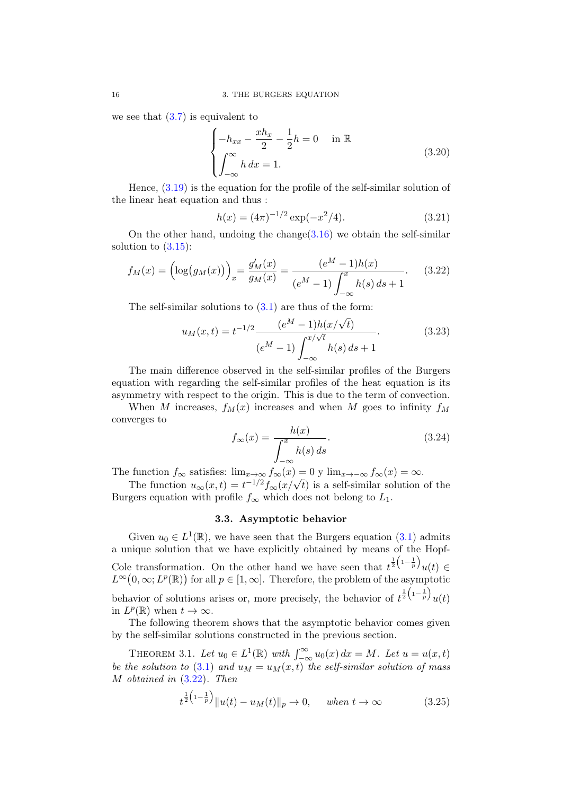we see that  $(3.7)$  is equivalent to

<span id="page-19-2"></span>
$$
\begin{cases}\n-h_{xx} - \frac{xh_x}{2} - \frac{1}{2}h = 0 & \text{in } \mathbb{R} \\
\int_{-\infty}^{\infty} h \, dx = 1.\n\end{cases}
$$
\n(3.20)

Hence, [\(3.19\)](#page-18-1) is the equation for the profile of the self-similar solution of the linear heat equation and thus :

$$
h(x) = (4\pi)^{-1/2} \exp(-x^2/4). \tag{3.21}
$$

On the other hand, undoing the change  $(3.16)$  we obtain the self-similar solution to  $(3.15)$ :

<span id="page-19-1"></span>
$$
f_M(x) = \left(\log(g_M(x))\right)_x = \frac{g'_M(x)}{g_M(x)} = \frac{(e^M - 1)h(x)}{(e^M - 1)\int_{-\infty}^x h(s) \, ds + 1}.\tag{3.22}
$$

The self-similar solutions to  $(3.1)$  are thus of the form:

$$
u_M(x,t) = t^{-1/2} \frac{(e^M - 1)h(x/\sqrt{t})}{(e^M - 1) \int_{-\infty}^{x/\sqrt{t}} h(s) ds + 1}.
$$
 (3.23)

The main difference observed in the self-similar profiles of the Burgers equation with regarding the self-similar profiles of the heat equation is its asymmetry with respect to the origin. This is due to the term of convection.

When M increases,  $f_M(x)$  increases and when M goes to infinity  $f_M$ converges to

$$
f_{\infty}(x) = \frac{h(x)}{\int_{-\infty}^{x} h(s) ds}.
$$
 (3.24)

The function  $f_{\infty}$  satisfies:  $\lim_{x\to\infty} f_{\infty}(x) = 0$  y  $\lim_{x\to-\infty} f_{\infty}(x) = \infty$ .

The function  $u_{\infty}(x,t) = t^{-1/2} f_{\infty}(x/\sqrt{t})$  is a self-similar solution of the Burgers equation with profile  $f_{\infty}$  which does not belong to  $L_1$ .

#### 3.3. Asymptotic behavior

<span id="page-19-0"></span>Given  $u_0 \in L^1(\mathbb{R})$ , we have seen that the Burgers equation [\(3.1\)](#page-16-2) admits a unique solution that we have explicitly obtained by means of the Hopf-Cole transformation. On the other hand we have seen that  $t^{\frac{1}{2}(1-\frac{1}{p})}u(t) \in$  $L^{\infty}(0,\infty; L^p(\mathbb{R}))$  for all  $p \in [1,\infty]$ . Therefore, the problem of the asymptotic behavior of solutions arises or, more precisely, the behavior of  $t^{\frac{1}{2}(1-\frac{1}{p})}u(t)$ in  $L^p(\mathbb{R})$  when  $t \to \infty$ .

The following theorem shows that the asymptotic behavior comes given by the self-similar solutions constructed in the previous section.

THEOREM 3.1. Let  $u_0 \in L^1(\mathbb{R})$  with  $\int_{-\infty}^{\infty} u_0(x) dx = M$ . Let  $u = u(x, t)$ be the solution to [\(3.1\)](#page-16-2) and  $u_M = u_M(x, t)$  the self-similar solution of mass M obtained in [\(3.22\)](#page-19-1). Then

<span id="page-19-3"></span>
$$
t^{\frac{1}{2}(1-\frac{1}{p})}||u(t) - u_M(t)||_p \to 0
$$
, when  $t \to \infty$  (3.25)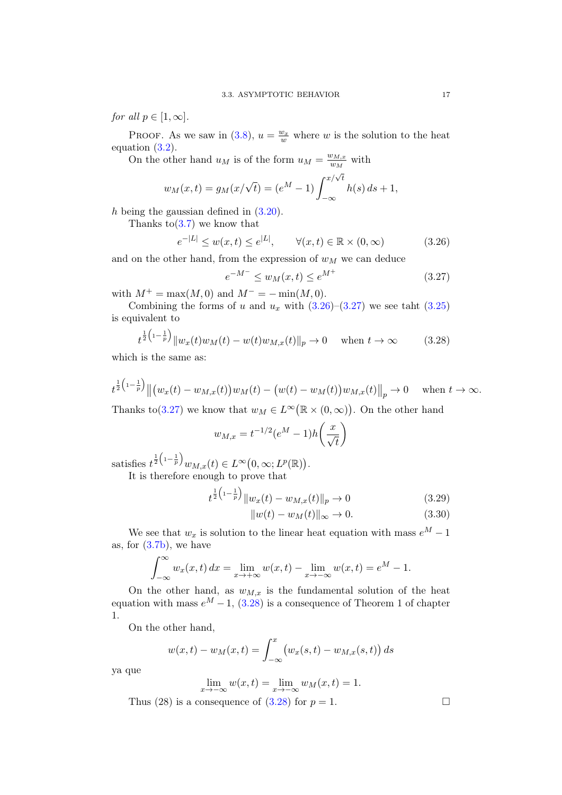for all  $p \in [1,\infty]$ .

PROOF. As we saw in [\(3.8\)](#page-17-4),  $u = \frac{w_x}{w}$  where w is the solution to the heat equation [\(3.2\)](#page-16-3).

On the other hand  $u_M$  is of the form  $u_M = \frac{w_{M,x}}{w_M}$  $\frac{w_{M,x}}{w_M}$  with

$$
w_M(x,t) = g_M(x/\sqrt{t}) = (e^M - 1) \int_{-\infty}^{x/\sqrt{t}} h(s) \, ds + 1,
$$

h being the gaussian defined in  $(3.20)$ .

Thanks to  $(3.7)$  we know that

<span id="page-20-0"></span>
$$
e^{-|L|} \le w(x,t) \le e^{|L|}, \qquad \forall (x,t) \in \mathbb{R} \times (0,\infty) \tag{3.26}
$$

and on the other hand, from the expression of  $w_M$  we can deduce

<span id="page-20-1"></span>
$$
e^{-M^{-}} \le w_M(x, t) \le e^{M^{+}}
$$
\n(3.27)

with  $M^+ = \max(M, 0)$  and  $M^- = -\min(M, 0)$ .

Combining the forms of u and  $u_x$  with  $(3.26)-(3.27)$  $(3.26)-(3.27)$  $(3.26)-(3.27)$  we see taht  $(3.25)$ is equivalent to

<span id="page-20-2"></span>
$$
t^{\frac{1}{2}\left(1-\frac{1}{p}\right)} \|w_x(t)w_M(t) - w(t)w_{M,x}(t)\|_p \to 0 \quad \text{when } t \to \infty \tag{3.28}
$$

which is the same as:

$$
t^{\frac{1}{2}(1-\frac{1}{p})} \|(w_x(t) - w_{M,x}(t))w_M(t) - (w(t) - w_M(t))w_{M,x}(t)\|_p \to 0 \quad \text{when } t \to \infty.
$$

Thanks to [\(3.27\)](#page-20-1) we know that  $w_M \in L^{\infty}(\mathbb{R} \times (0,\infty))$ . On the other hand

$$
w_{M,x} = t^{-1/2} (e^M - 1) h\left(\frac{x}{\sqrt{t}}\right)
$$

satisfies  $t^{\frac{1}{2}\left(1-\frac{1}{p}\right)}w_{M,x}(t) \in L^{\infty}(0,\infty;L^{p}(\mathbb{R}))$ . It is therefore enough to prove that

$$
t^{\frac{1}{2}\left(1-\frac{1}{p}\right)}\|w_x(t) - w_{M,x}(t)\|_p \to 0 \tag{3.29}
$$

$$
||w(t) - wM(t)||_{\infty} \to 0. \tag{3.30}
$$

We see that  $w_x$  is solution to the linear heat equation with mass  $e^M - 1$ as, for [\(3.7b\)](#page-17-5), we have

$$
\int_{-\infty}^{\infty} w_x(x,t) dx = \lim_{x \to +\infty} w(x,t) - \lim_{x \to -\infty} w(x,t) = e^M - 1.
$$

On the other hand, as  $w_{M,x}$  is the fundamental solution of the heat equation with mass  $e^M - 1$ , [\(3.28\)](#page-20-2) is a consequence of Theorem 1 of chapter 1.

On the other hand,

$$
w(x,t) - w_M(x,t) = \int_{-\infty}^{x} (w_x(s,t) - w_{M,x}(s,t)) ds
$$

ya que

$$
\lim_{x \to -\infty} w(x, t) = \lim_{x \to -\infty} w_M(x, t) = 1.
$$

Thus (28) is a consequence of [\(3.28\)](#page-20-2) for  $p = 1$ .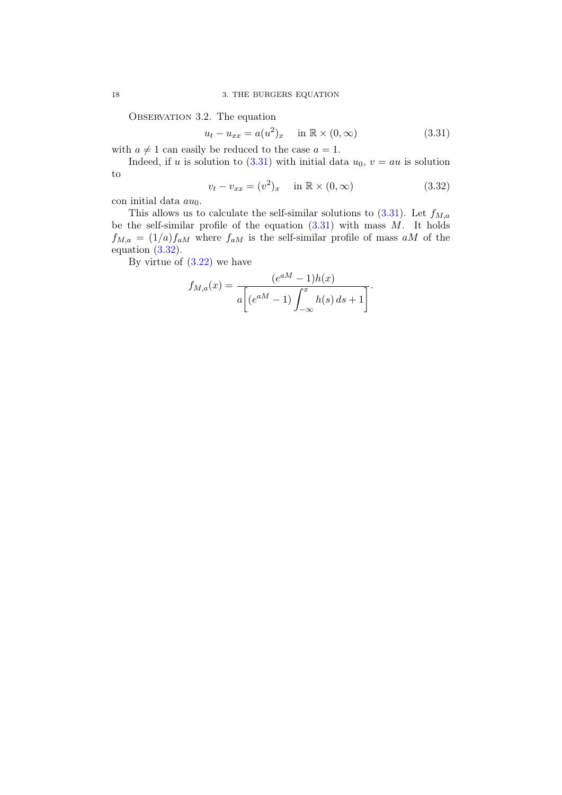OBSERVATION 3.2. The equation

<span id="page-21-0"></span>
$$
u_t - u_{xx} = a(u^2)_x \quad \text{in } \mathbb{R} \times (0, \infty)
$$
 (3.31)

with  $a \neq 1$  can easily be reduced to the case  $a = 1$ .

Indeed, if u is solution to [\(3.31\)](#page-21-0) with initial data  $u_0$ ,  $v = au$  is solution to

<span id="page-21-1"></span>
$$
v_t - v_{xx} = (v^2)_x \quad \text{in } \mathbb{R} \times (0, \infty)
$$
 (3.32)

con initial data  $au_0$ .

This allows us to calculate the self-similar solutions to  $(3.31)$ . Let  $f_{M,a}$ be the self-similar profile of the equation  $(3.31)$  with mass M. It holds  $f_{M,a} = (1/a)f_{aM}$  where  $f_{aM}$  is the self-similar profile of mass aM of the equation [\(3.32\)](#page-21-1).

By virtue of  $(3.22)$  we have

$$
f_{M,a}(x) = \frac{(e^{aM} - 1)h(x)}{a[(e^{aM} - 1)\int_{-\infty}^{x} h(s) ds + 1]}.
$$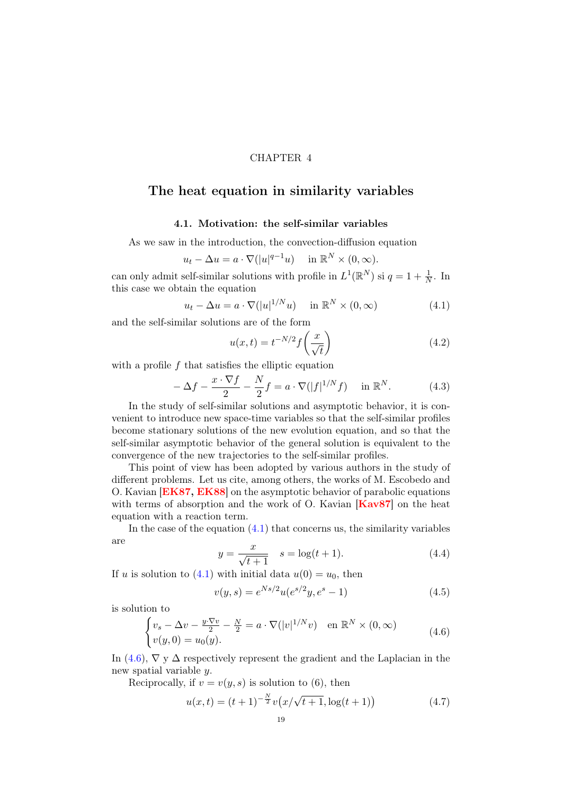#### CHAPTER 4

## <span id="page-22-0"></span>The heat equation in similarity variables

### 4.1. Motivation: the self-similar variables

<span id="page-22-1"></span>As we saw in the introduction, the convection-diffusion equation

$$
u_t - \Delta u = a \cdot \nabla (|u|^{q-1}u) \quad \text{in } \mathbb{R}^N \times (0, \infty).
$$

can only admit self-similar solutions with profile in  $L^1(\mathbb{R}^N)$  si  $q = 1 + \frac{1}{N}$ . In this case we obtain the equation

<span id="page-22-2"></span>
$$
u_t - \Delta u = a \cdot \nabla (|u|^{1/N} u) \quad \text{in } \mathbb{R}^N \times (0, \infty)
$$
 (4.1)

and the self-similar solutions are of the form

$$
u(x,t) = t^{-N/2} f\left(\frac{x}{\sqrt{t}}\right)
$$
\n(4.2)

with a profile  $f$  that satisfies the elliptic equation

$$
-\Delta f - \frac{x \cdot \nabla f}{2} - \frac{N}{2}f = a \cdot \nabla(|f|^{1/N}f) \quad \text{in } \mathbb{R}^N.
$$
 (4.3)

In the study of self-similar solutions and asymptotic behavior, it is convenient to introduce new space-time variables so that the self-similar profiles become stationary solutions of the new evolution equation, and so that the self-similar asymptotic behavior of the general solution is equivalent to the convergence of the new trajectories to the self-similar profiles.

This point of view has been adopted by various authors in the study of different problems. Let us cite, among others, the works of M. Escobedo and O. Kavian [[EK87,](#page-81-7) [EK88](#page-81-16)] on the asymptotic behavior of parabolic equations with terms of absorption and the work of O. Kavian  $Kav87$  on the heat equation with a reaction term.

In the case of the equation  $(4.1)$  that concerns us, the similarity variables are

$$
y = \frac{x}{\sqrt{t+1}} \quad s = \log(t+1). \tag{4.4}
$$

If u is solution to [\(4.1\)](#page-22-2) with initial data  $u(0) = u_0$ , then

<span id="page-22-4"></span>
$$
v(y,s) = e^{Ns/2}u(e^{s/2}y, e^s - 1)
$$
\n(4.5)

is solution to

<span id="page-22-3"></span>
$$
\begin{cases}\nv_s - \Delta v - \frac{y \cdot \nabla v}{2} - \frac{N}{2} = a \cdot \nabla(|v|^{1/N}v) & \text{en } \mathbb{R}^N \times (0, \infty) \\
v(y, 0) = u_0(y).\n\end{cases} \tag{4.6}
$$

In [\(4.6\)](#page-22-3),  $\nabla$  y  $\Delta$  respectively represent the gradient and the Laplacian in the new spatial variable y.

Reciprocally, if  $v = v(y, s)$  is solution to (6), then

$$
u(x,t) = (t+1)^{-\frac{N}{2}}v(x/\sqrt{t+1}, \log(t+1))
$$
\n(4.7)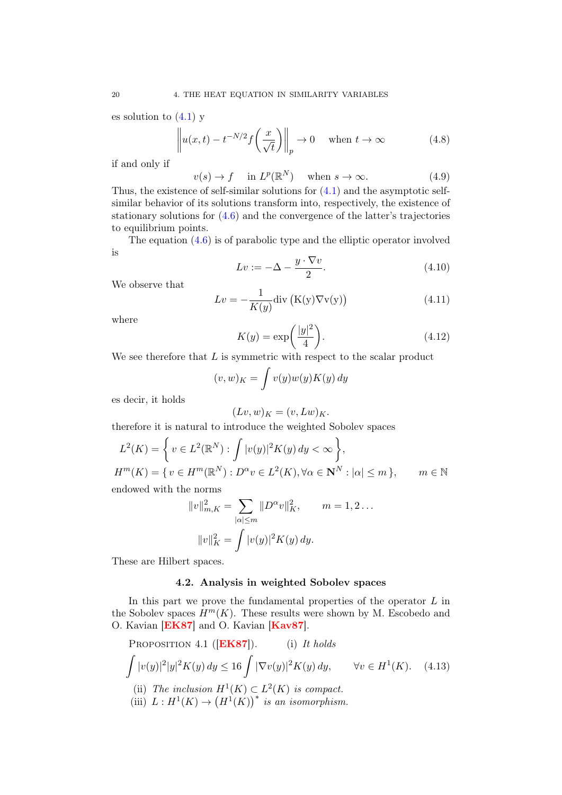es solution to  $(4.1)$  y

$$
\left\| u(x,t) - t^{-N/2} f\left(\frac{x}{\sqrt{t}}\right) \right\|_p \to 0 \quad \text{when } t \to \infty \tag{4.8}
$$

if and only if

$$
v(s) \to f \quad \text{in } L^p(\mathbb{R}^N) \quad \text{when } s \to \infty. \tag{4.9}
$$

Thus, the existence of self-similar solutions for [\(4.1\)](#page-22-2) and the asymptotic selfsimilar behavior of its solutions transform into, respectively, the existence of stationary solutions for [\(4.6\)](#page-22-3) and the convergence of the latter's trajectories to equilibrium points.

The equation [\(4.6\)](#page-22-3) is of parabolic type and the elliptic operator involved is

$$
Lv := -\Delta - \frac{y \cdot \nabla v}{2}.
$$
\n(4.10)

We observe that

$$
Lv = -\frac{1}{K(y)} \text{div}\left(K(y)\nabla v(y)\right) \tag{4.11}
$$

where

$$
K(y) = \exp\left(\frac{|y|^2}{4}\right). \tag{4.12}
$$

We see therefore that  $L$  is symmetric with respect to the scalar product

$$
(v, w)_K = \int v(y)w(y)K(y) \, dy
$$

es decir, it holds

$$
(Lv, w)_K = (v, Lw)_K.
$$

therefore it is natural to introduce the weighted Sobolev spaces

$$
L^{2}(K) = \left\{ v \in L^{2}(\mathbb{R}^{N}) : \int |v(y)|^{2} K(y) dy < \infty \right\},\
$$
  

$$
H^{m}(K) = \left\{ v \in H^{m}(\mathbb{R}^{N}) : D^{\alpha} v \in L^{2}(K), \forall \alpha \in \mathbb{N}^{N} : |\alpha| \leq m \right\}, \qquad m \in \mathbb{N}
$$

endowed with the norms

$$
||v||_{m,K}^{2} = \sum_{|\alpha| \le m} ||D^{\alpha}v||_{K}^{2}, \qquad m = 1, 2 \dots
$$

$$
||v||_{K}^{2} = \int |v(y)|^{2} K(y) dy.
$$

<span id="page-23-0"></span>These are Hilbert spaces.

#### 4.2. Analysis in weighted Sobolev spaces

In this part we prove the fundamental properties of the operator  $L$  in the Sobolev spaces  $H^m(K)$ . These results were shown by M. Escobedo and O. Kavian [[EK87](#page-81-7)] and O. Kavian [[Kav87](#page-82-14)].

<span id="page-23-1"></span>PROPOSITION 4.1 ([EK87]). (i) It holds  
\n
$$
\int |v(y)|^2 |y|^2 K(y) dy \le 16 \int |\nabla v(y)|^2 K(y) dy, \quad \forall v \in H^1(K).
$$
\n(4.13)  
\n(ii) The inclusion  $H^1(K) \subset L^2(K)$  is compact.  
\n(iii)  $L: H^1(K) \to (H^1(K))^*$  is an isomorphism.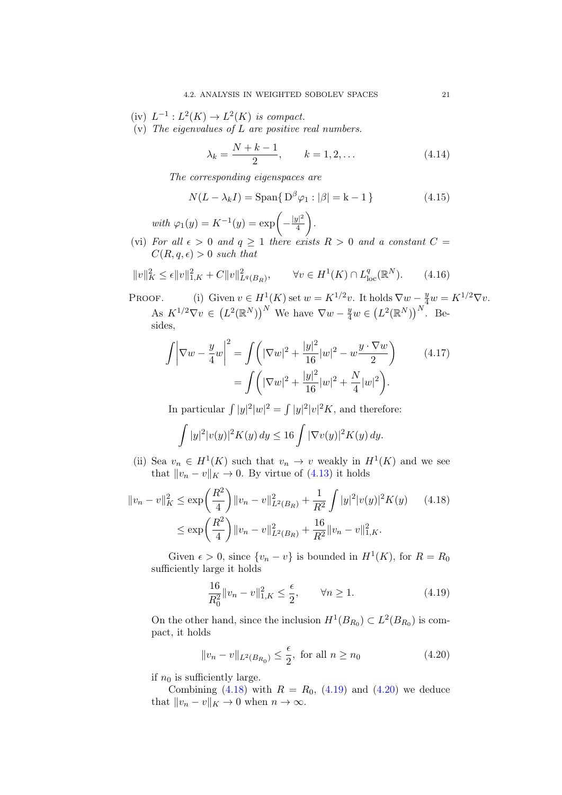- (iv)  $L^{-1}: L^2(K) \to L^2(K)$  is compact.
- (v) The eigenvalues of  $L$  are positive real numbers.

$$
\lambda_k = \frac{N + k - 1}{2}, \qquad k = 1, 2, \dots \tag{4.14}
$$

The corresponding eigenspaces are

$$
N(L - \lambda_k I) = \text{Span}\{D^{\beta}\varphi_1 : |\beta| = k - 1\}
$$
 (4.15)

with  $\varphi_1(y) = K^{-1}(y) = \exp\left(-\frac{|y|^2}{4}\right)$ 4 .

(vi) For all  $\epsilon > 0$  and  $q \ge 1$  there exists  $R > 0$  and a constant  $C =$  $C(R, q, \epsilon) > 0$  such that

<span id="page-24-3"></span>
$$
||v||_K^2 \le \epsilon ||v||_{1,K}^2 + C||v||_{L^q(B_R)}^2, \qquad \forall v \in H^1(K) \cap L^q_{loc}(\mathbb{R}^N). \tag{4.16}
$$

PROOF. (i) Given  $v \in H^1(K)$  set  $w = K^{1/2}v$ . It holds  $\nabla w - \frac{y}{4}w = K^{1/2} \nabla v$ . As  $K^{1/2} \nabla v \in (L^2(\mathbb{R}^N))^N$  We have  $\nabla w - \frac{y}{4} w \in (L^2(\mathbb{R}^N))^N$ . Besides,

$$
\int \left| \nabla w - \frac{y}{4} w \right|^2 = \int \left( |\nabla w|^2 + \frac{|y|^2}{16} |w|^2 - w \frac{y \cdot \nabla w}{2} \right) \tag{4.17}
$$
\n
$$
= \int \left( |\nabla w|^2 + \frac{|y|^2}{16} |w|^2 + \frac{N}{4} |w|^2 \right).
$$

In particular  $\int |y|^2 |w|^2 = \int |y|^2 |v|^2 K$ , and therefore:

$$
\int |y|^2 |v(y)|^2 K(y) \, dy \le 16 \int |\nabla v(y)|^2 K(y) \, dy.
$$

(ii) Sea  $v_n \in H^1(K)$  such that  $v_n \to v$  weakly in  $H^1(K)$  and we see that  $||v_n - v||_K \to 0$ . By virtue of [\(4.13\)](#page-23-1) it holds

$$
||v_n - v||_K^2 \le \exp\left(\frac{R^2}{4}\right) ||v_n - v||_{L^2(B_R)}^2 + \frac{1}{R^2} \int |y|^2 |v(y)|^2 K(y) \tag{4.18}
$$

$$
\le \exp\left(\frac{R^2}{4}\right) ||v_n - v||_{L^2(B_R)}^2 + \frac{16}{R^2} ||v_n - v||_{1,K}^2.
$$

Given  $\epsilon > 0$ , since  $\{v_n - v\}$  is bounded in  $H^1(K)$ , for  $R = R_0$ sufficiently large it holds

<span id="page-24-1"></span><span id="page-24-0"></span>
$$
\frac{16}{R_0^2} \|v_n - v\|_{1,K}^2 \le \frac{\epsilon}{2}, \qquad \forall n \ge 1.
$$
 (4.19)

On the other hand, since the inclusion  $H^1(B_{R_0}) \subset L^2(B_{R_0})$  is compact, it holds

<span id="page-24-2"></span>
$$
||v_n - v||_{L^2(B_{R_0})} \le \frac{\epsilon}{2}, \text{ for all } n \ge n_0
$$
 (4.20)

if  $n_0$  is sufficiently large.

Combining [\(4.18\)](#page-24-0) with  $R = R_0$ , [\(4.19\)](#page-24-1) and [\(4.20\)](#page-24-2) we deduce that  $||v_n - v||_K \to 0$  when  $n \to \infty$ .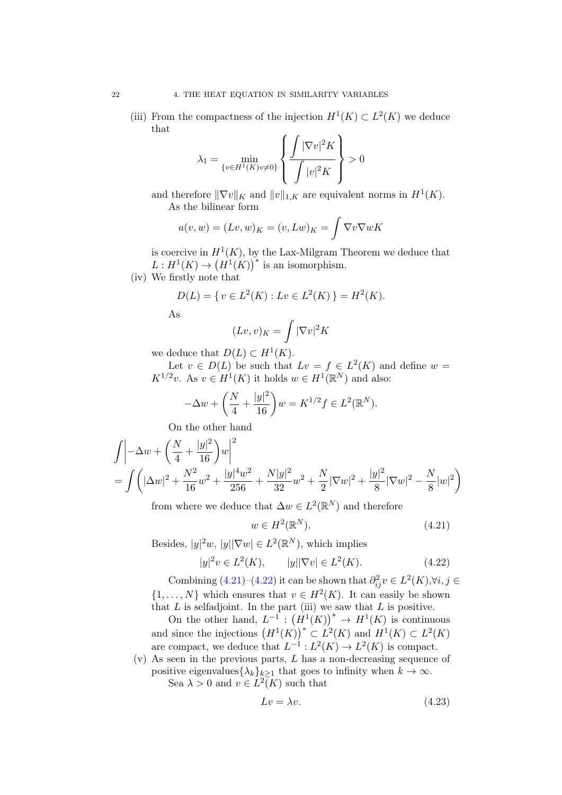(iii) From the compactness of the injection  $H^1(K) \subset L^2(K)$  we deduce that

$$
\lambda_1 = \min_{\{v \in H^1(K)v \neq 0\}} \left\{ \frac{\int |\nabla v|^2 K}{\int |v|^2 K} \right\} > 0
$$

and therefore  $\|\nabla v\|_K$  and  $\|v\|_{1,K}$  are equivalent norms in  $H^1(K)$ . As the bilinear form

$$
a(v, w) = (Lv, w)_K = (v, Lw)_K = \int \nabla v \nabla w K
$$

is coercive in  $H^1(K)$ , by the Lax-Milgram Theorem we deduce that  $L: H^1(K) \to (H^1(K))^*$  is an isomorphism.

(iv) We firstly note that

$$
D(L) = \{ v \in L^{2}(K) : Lv \in L^{2}(K) \} = H^{2}(K).
$$

As

$$
(Lv,v)_K = \int |\nabla v|^2 K
$$

we deduce that  $D(L) \subset H^1(K)$ .

Let  $v \in D(L)$  be such that  $Lv = f \in L^2(K)$  and define  $w =$  $K^{1/2}v$ . As  $v \in H^1(K)$  it holds  $w \in H^1(\mathbb{R}^N)$  and also:

$$
-\Delta w + \left(\frac{N}{4} + \frac{|y|^2}{16}\right)w = K^{1/2}f \in L^2(\mathbb{R}^N).
$$

On the other hand

$$
\int \left| -\Delta w + \left( \frac{N}{4} + \frac{|y|^2}{16} \right) w \right|^2
$$
  
= 
$$
\int \left( |\Delta w|^2 + \frac{N^2}{16} w^2 + \frac{|y|^4 w^2}{256} + \frac{N|y|^2}{32} w^2 + \frac{N}{2} |\nabla w|^2 + \frac{|y|^2}{8} |\nabla w|^2 - \frac{N}{8} |w|^2 \right)
$$

from where we deduce that  $\Delta w \in L^2(\mathbb{R}^N)$  and therefore

<span id="page-25-0"></span>
$$
w \in H^2(\mathbb{R}^N). \tag{4.21}
$$

Besides,  $|y|^2 w$ ,  $|y||\nabla w| \in L^2(\mathbb{R}^N)$ , which implies

<span id="page-25-1"></span>
$$
|y|^2 v \in L^2(K), \qquad |y||\nabla v| \in L^2(K). \tag{4.22}
$$

Combining  $(4.21)$ – $(4.22)$  it can be shown that  $\partial_{ij}^2 v \in L^2(K), \forall i, j \in$  $\{1, \ldots, N\}$  which ensures that  $v \in H^2(K)$ . It can easily be shown that  $L$  is selfadjoint. In the part (iii) we saw that  $L$  is positive.

On the other hand,  $L^{-1}$ :  $(H^1(K))^* \rightarrow H^1(K)$  is continuous and since the injections  $(H^1(K))^* \subset L^2(K)$  and  $H^1(K) \subset L^2(K)$ are compact, we deduce that  $L^{-1}: L^2(K) \to L^2(K)$  is compact.

(v) As seen in the previous parts, L has a non-decreasing sequence of positive eigenvalues $\{\lambda_k\}_{k>1}$  that goes to infinity when  $k \to \infty$ . Sea  $\lambda > 0$  and  $v \in L^2(K)$  such that

<span id="page-25-2"></span>
$$
Lv = \lambda v. \tag{4.23}
$$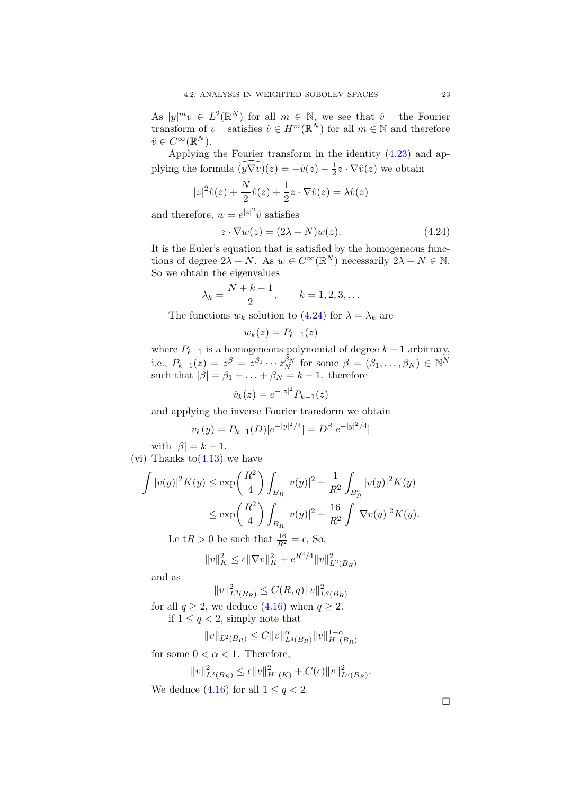As  $|y|^m v \in L^2(\mathbb{R}^N)$  for all  $m \in \mathbb{N}$ , we see that  $\hat{v}$  – the Fourier transform of  $v$  – satisfies  $\hat{v} \in H^m(\mathbb{R}^N)$  for all  $m \in \mathbb{N}$  and therefore  $\hat{v} \in C^{\infty}(\mathbb{R}^{N}).$ 

Applying the Fourier transform in the identity [\(4.23\)](#page-25-2) and applying the formula  $\widehat{(y\nabla v)}(z) = -\hat{v}(z) + \frac{1}{2}z \cdot \nabla \hat{v}(z)$  we obtain

$$
|z|^2 \hat{v}(z) + \frac{N}{2} \hat{v}(z) + \frac{1}{2} z \cdot \nabla \hat{v}(z) = \lambda \hat{v}(z)
$$

and therefore,  $w = e^{|z|^2}\hat{v}$  satisfies

<span id="page-26-0"></span>
$$
z \cdot \nabla w(z) = (2\lambda - N)w(z). \tag{4.24}
$$

It is the Euler's equation that is satisfied by the homogeneous functions of degree  $2\lambda - N$ . As  $w \in C^{\infty}(\mathbb{R}^{N})$  necessarily  $2\lambda - N \in \mathbb{N}$ . So we obtain the eigenvalues

$$
\lambda_k = \frac{N + k - 1}{2}, \qquad k = 1, 2, 3, \dots
$$

The functions  $w_k$  solution to [\(4.24\)](#page-26-0) for  $\lambda = \lambda_k$  are

$$
w_k(z) = P_{k-1}(z)
$$

where  $P_{k-1}$  is a homogeneous polynomial of degree  $k-1$  arbitrary, i.e.,  $P_{k-1}(z) = z^{\beta} = z^{\beta_1} \cdots z_N^{\beta_N}$  for some  $\beta = (\beta_1, \ldots, \beta_N) \in \mathbb{N}^N$ such that  $|\beta| = \beta_1 + \ldots + \beta_N = k - 1$ . therefore

$$
\hat{v}_k(z) = e^{-|z|^2} P_{k-1}(z)
$$

and applying the inverse Fourier transform we obtain

$$
v_k(y) = P_{k-1}(D)[e^{-|y|^2/4}] = D^{\beta}[e^{-|y|^2/4}]
$$

with  $|\beta| = k - 1$ . (vi) Thanks to  $(4.13)$  we have

$$
\int |v(y)|^2 K(y) \le \exp\left(\frac{R^2}{4}\right) \int_{B_R} |v(y)|^2 + \frac{1}{R^2} \int_{B_R^c} |v(y)|^2 K(y) \n\le \exp\left(\frac{R^2}{4}\right) \int_{B_R} |v(y)|^2 + \frac{16}{R^2} \int |\nabla v(y)|^2 K(y).
$$

Le t $R > 0$  be such that  $\frac{16}{R^2} = \epsilon$ , So,

$$
||v||_K^2 \le \epsilon ||\nabla v||_K^2 + e^{R^2/4} ||v||_{L^2(B_R)}^2
$$

and as

$$
||v||_{L^{2}(B_{R})}^{2} \leq C(R, q)||v||_{L^{q}(B_{R})}^{2}
$$

for all  $q \ge 2$ , we deduce  $(4.16)$  when  $q \ge 2$ . if  $1 \leq q < 2$ , simply note that

$$
||v||_{L^2(B_R)} \leq C||v||^{\alpha}_{L^q(B_R)}||v||_{H^1(B_R)}^{1-\alpha}
$$

for some  $0 < \alpha < 1$ . Therefore,

$$
||v||_{L^{2}(B_{R})}^{2} \leq \epsilon ||v||_{H^{1}(K)}^{2} + C(\epsilon)||v||_{L^{q}(B_{R})}^{2}.
$$
  
We deduce (4.16) for all  $1 \leq q < 2$ .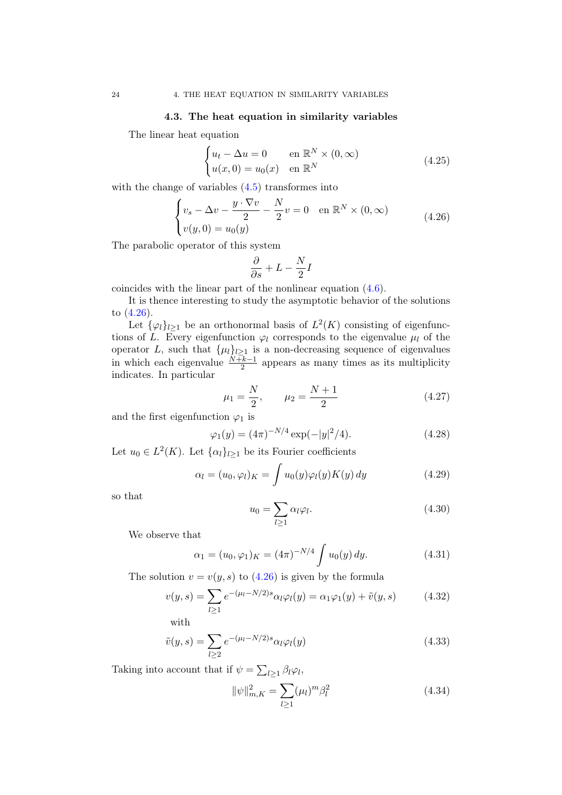#### 4.3. The heat equation in similarity variables

<span id="page-27-0"></span>The linear heat equation

$$
\begin{cases} u_t - \Delta u = 0 & \text{en } \mathbb{R}^N \times (0, \infty) \\ u(x, 0) = u_0(x) & \text{en } \mathbb{R}^N \end{cases}
$$
 (4.25)

with the change of variables  $(4.5)$  transformes into

<span id="page-27-1"></span>
$$
\begin{cases}\nv_s - \Delta v - \frac{y \cdot \nabla v}{2} - \frac{N}{2}v = 0 & \text{en } \mathbb{R}^N \times (0, \infty) \\
v(y, 0) = u_0(y)\n\end{cases} \tag{4.26}
$$

The parabolic operator of this system

$$
\frac{\partial}{\partial s} + L - \frac{N}{2}I
$$

coincides with the linear part of the nonlinear equation [\(4.6\)](#page-22-3).

It is thence interesting to study the asymptotic behavior of the solutions to [\(4.26\)](#page-27-1).

Let  $\{\varphi_l\}_{l\geq 1}$  be an orthonormal basis of  $L^2(K)$  consisting of eigenfunctions of L. Every eigenfunction  $\varphi_l$  corresponds to the eigenvalue  $\mu_l$  of the operator L, such that  $\{\mu_l\}_{l\geq 1}$  is a non-decreasing sequence of eigenvalues in which each eigenvalue  $\frac{N+k-1}{2}$  appears as many times as its multiplicity indicates. In particular

$$
\mu_1 = \frac{N}{2}, \qquad \mu_2 = \frac{N+1}{2} \tag{4.27}
$$

and the first eigenfunction  $\varphi_1$  is

$$
\varphi_1(y) = (4\pi)^{-N/4} \exp(-|y|^2/4). \tag{4.28}
$$

Let  $u_0 \in L^2(K)$ . Let  $\{\alpha_l\}_{l\geq 1}$  be its Fourier coefficients

$$
\alpha_l = (u_0, \varphi_l)_K = \int u_0(y)\varphi_l(y)K(y) \, dy \tag{4.29}
$$

so that

<span id="page-27-2"></span>
$$
u_0 = \sum_{l \ge 1} \alpha_l \varphi_l. \tag{4.30}
$$

We observe that

$$
\alpha_1 = (u_0, \varphi_1)_K = (4\pi)^{-N/4} \int u_0(y) \, dy. \tag{4.31}
$$

The solution  $v = v(y, s)$  to  $(4.26)$  is given by the formula

$$
v(y,s) = \sum_{l \ge 1} e^{-(\mu_l - N/2)s} \alpha_l \varphi_l(y) = \alpha_1 \varphi_1(y) + \tilde{v}(y,s)
$$
 (4.32)

with

$$
\tilde{v}(y,s) = \sum_{l \ge 2} e^{-(\mu_l - N/2)s} \alpha_l \varphi_l(y) \tag{4.33}
$$

Taking into account that if  $\psi = \sum_{l \geq 1} \beta_l \varphi_l$ ,

$$
\|\psi\|_{m,K}^2 = \sum_{l \ge 1} (\mu_l)^m \beta_l^2 \tag{4.34}
$$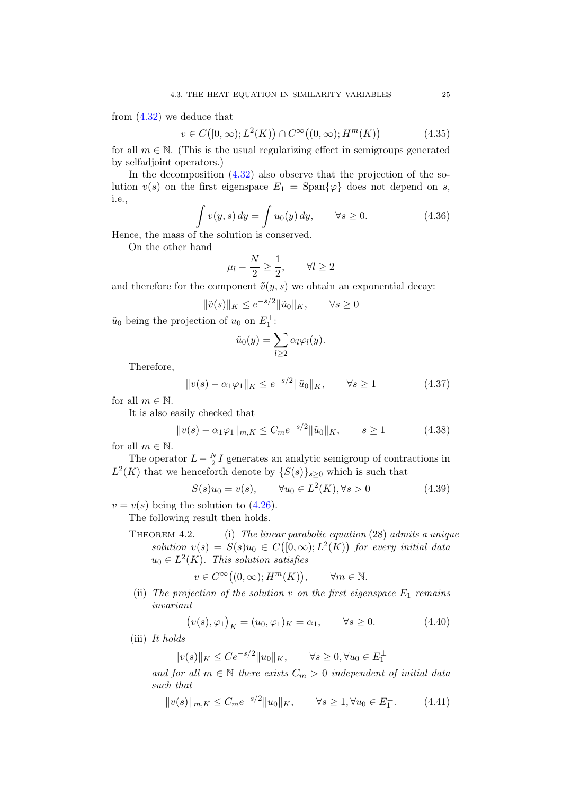from [\(4.32\)](#page-27-2) we deduce that

$$
v \in C\big([0,\infty);L^2(K)\big) \cap C^\infty\big((0,\infty);H^m(K)\big) \tag{4.35}
$$

for all  $m \in \mathbb{N}$ . (This is the usual regularizing effect in semigroups generated by selfadjoint operators.)

In the decomposition  $(4.32)$  also observe that the projection of the solution  $v(s)$  on the first eigenspace  $E_1 = \text{Span}\{\varphi\}$  does not depend on s, i.e.,

$$
\int v(y,s) dy = \int u_0(y) dy, \qquad \forall s \ge 0.
$$
\n(4.36)

Hence, the mass of the solution is conserved.

On the other hand

$$
\mu_l - \frac{N}{2} \ge \frac{1}{2}, \qquad \forall l \ge 2
$$

and therefore for the component  $\tilde{v}(y, s)$  we obtain an exponential decay:

$$
\|\tilde{v}(s)\|_{K} \le e^{-s/2} \|\tilde{u}_0\|_{K}, \qquad \forall s \ge 0
$$

 $\tilde{u}_0$  being the projection of  $u_0$  on  $E_1^{\perp}$ :

$$
\tilde{u}_0(y) = \sum_{l \ge 2} \alpha_l \varphi_l(y).
$$

Therefore,

$$
||v(s) - \alpha_1 \varphi_1||_K \le e^{-s/2} ||\tilde{u}_0||_K, \qquad \forall s \ge 1
$$
\n(4.37)

for all  $m \in \mathbb{N}$ .

It is also easily checked that

<span id="page-28-0"></span>
$$
||v(s) - \alpha_1 \varphi_1||_{m,K} \le C_m e^{-s/2} ||\tilde{u}_0||_K, \qquad s \ge 1
$$
 (4.38)

for all  $m \in \mathbb{N}$ .

The operator  $L - \frac{N}{2}$  $\frac{N}{2}I$  generates an analytic semigroup of contractions in  $L^2(K)$  that we henceforth denote by  $\{S(s)\}_{s\geq 0}$  which is such that

$$
S(s)u_0 = v(s), \qquad \forall u_0 \in L^2(K), \forall s > 0 \tag{4.39}
$$

 $v = v(s)$  being the solution to  $(4.26)$ .

The following result then holds.

THEOREM 4.2. (i) The linear parabolic equation (28) admits a unique solution  $v(s) = S(s)u_0 \in C([0,\infty); L^2(K))$  for every initial data  $u_0 \in L^2(K)$ . This solution satisfies

$$
v \in C^{\infty}((0,\infty); H^m(K)), \qquad \forall m \in \mathbb{N}.
$$

(ii) The projection of the solution v on the first eigenspace  $E_1$  remains invariant

$$
(v(s), \varphi_1)_K = (u_0, \varphi_1)_K = \alpha_1, \qquad \forall s \ge 0.
$$
 (4.40)

(iii) It holds

 $||v(s)||_K \le Ce^{-s/2} ||u_0||_K, \quad \forall s \ge 0, \forall u_0 \in E_1^{\perp}$ 

and for all  $m \in \mathbb{N}$  there exists  $C_m > 0$  independent of initial data such that

$$
||v(s)||_{m,K} \le C_m e^{-s/2} ||u_0||_K, \qquad \forall s \ge 1, \forall u_0 \in E_1^{\perp}.
$$
 (4.41)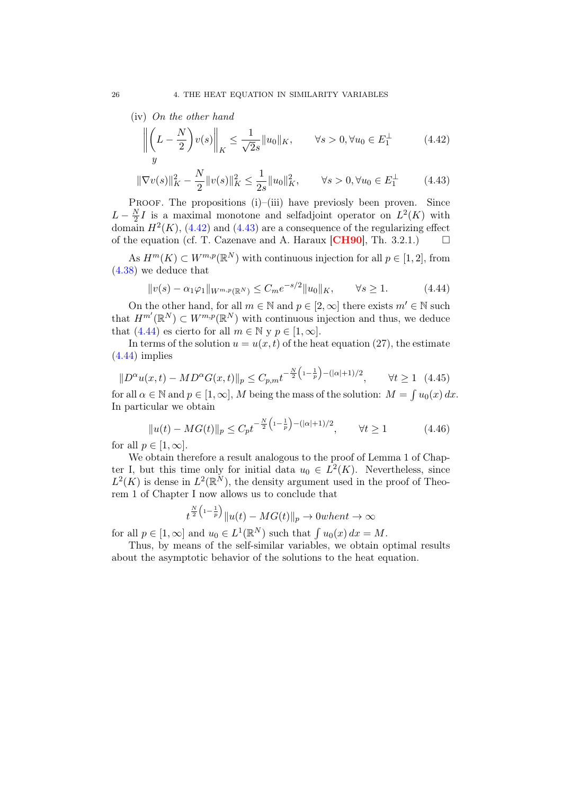(iv) On the other hand

<span id="page-29-0"></span>
$$
\left\| \left( L - \frac{N}{2} \right) v(s) \right\|_{K} \le \frac{1}{\sqrt{2s}} \|u_0\|_{K}, \qquad \forall s > 0, \forall u_0 \in E_1^{\perp}
$$
 (4.42)

<span id="page-29-1"></span>
$$
\|\nabla v(s)\|_{K}^{2} - \frac{N}{2} \|v(s)\|_{K}^{2} \le \frac{1}{2s} \|u_{0}\|_{K}^{2}, \qquad \forall s > 0, \forall u_{0} \in E_{1}^{\perp}
$$
 (4.43)

PROOF. The propositions (i)–(iii) have previosly been proven. Since  $L-\frac{N}{2}$  $\frac{N}{2}I$  is a maximal monotone and selfadjoint operator on  $L^2(K)$  with domain  $H^2(K)$ , [\(4.42\)](#page-29-0) and [\(4.43\)](#page-29-1) are a consequence of the regularizing effect of the equation (cf. T. Cazenave and A. Haraux [[CH90](#page-80-13)], Th. 3.2.1.)  $\Box$ 

As  $H^m(K) \subset W^{m,p}(\mathbb{R}^N)$  with continuous injection for all  $p \in [1,2]$ , from [\(4.38\)](#page-28-0) we deduce that

<span id="page-29-2"></span>
$$
||v(s) - \alpha_1 \varphi_1||_{W^{m,p}(\mathbb{R}^N)} \le C_m e^{-s/2} ||u_0||_K, \qquad \forall s \ge 1.
$$
 (4.44)

On the other hand, for all  $m \in \mathbb{N}$  and  $p \in [2, \infty]$  there exists  $m' \in \mathbb{N}$  such that  $H^{m'}(\mathbb{R}^N) \subset W^{m,p}(\mathbb{R}^N)$  with continuous injection and thus, we deduce that [\(4.44\)](#page-29-2) es cierto for all  $m \in \mathbb{N}$  y  $p \in [1, \infty]$ .

In terms of the solution  $u = u(x, t)$  of the heat equation (27), the estimate [\(4.44\)](#page-29-2) implies

$$
||D^{\alpha}u(x,t) - MD^{\alpha}G(x,t)||_p \le C_{p,m}t^{-\frac{N}{2}\left(1-\frac{1}{p}\right) - (|\alpha|+1)/2}, \qquad \forall t \ge 1 \quad (4.45)
$$

for all  $\alpha \in \mathbb{N}$  and  $p \in [1, \infty]$ , M being the mass of the solution:  $M = \int u_0(x) dx$ . In particular we obtain

$$
||u(t) - MG(t)||_p \le C_p t^{-\frac{N}{2} \left(1 - \frac{1}{p}\right) - (|\alpha| + 1)/2}, \qquad \forall t \ge 1
$$
 (4.46)

for all  $p \in [1,\infty]$ .

We obtain therefore a result analogous to the proof of Lemma 1 of Chapter I, but this time only for initial data  $u_0 \in L^2(K)$ . Nevertheless, since  $L^2(K)$  is dense in  $L^2(\mathbb{R}^N)$ , the density argument used in the proof of Theorem 1 of Chapter I now allows us to conclude that

$$
t^{\frac{N}{2}\left(1-\frac{1}{p}\right)}\|u(t) - MG(t)\|_{p} \to 0\text{ when }t \to \infty
$$

for all  $p \in [1, \infty]$  and  $u_0 \in L^1(\mathbb{R}^N)$  such that  $\int u_0(x) dx = M$ .

Thus, by means of the self-similar variables, we obtain optimal results about the asymptotic behavior of the solutions to the heat equation.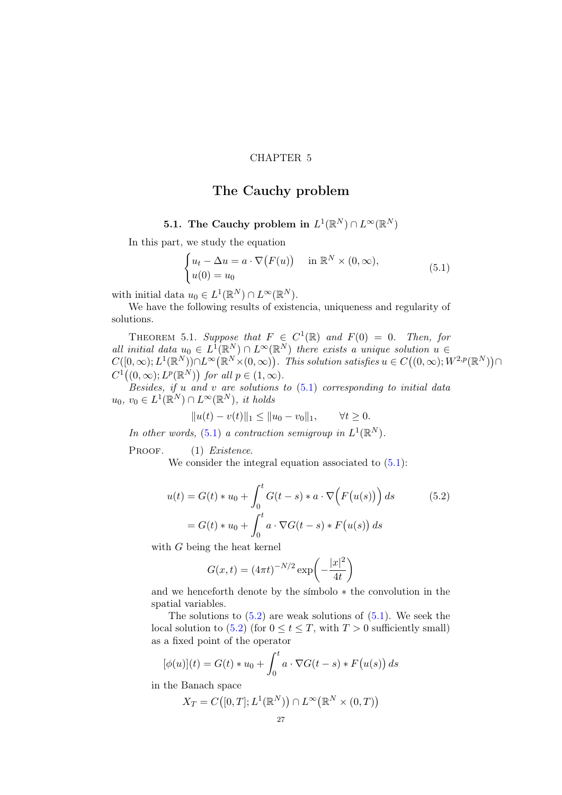#### CHAPTER 5

# The Cauchy problem

## <span id="page-30-0"></span>5.1. The Cauchy problem in  $L^1(\mathbb{R}^N) \cap L^\infty(\mathbb{R}^N)$

<span id="page-30-1"></span>In this part, we study the equation

<span id="page-30-2"></span>
$$
\begin{cases} u_t - \Delta u = a \cdot \nabla (F(u)) & \text{in } \mathbb{R}^N \times (0, \infty), \\ u(0) = u_0 & \end{cases}
$$
 (5.1)

with initial data  $u_0 \in L^1(\mathbb{R}^N) \cap L^\infty(\mathbb{R}^N)$ .

We have the following results of existencia, uniqueness and regularity of solutions.

THEOREM 5.1. Suppose that  $F \in C^1(\mathbb{R})$  and  $F(0) = 0$ . Then, for all initial data  $u_0 \in L^1(\mathbb{R}^N) \cap L^{\infty}(\mathbb{R}^N)$  there exists a unique solution  $u \in$  $C([0,\infty); L^1(\mathbb{R}^N)) \cap L^\infty(\mathbb{R}^N \times (0,\infty)).$  This solution satisfies  $u \in C((0,\infty); W^{2,p}(\mathbb{R}^N)) \cap$  $C^1((0,\infty); L^p(\mathbb{R}^N))$  for all  $p \in (1,\infty)$ .

Besides, if  $u$  and  $v$  are solutions to  $(5.1)$  corresponding to initial data  $u_0, v_0 \in L^1(\mathbb{R}^N) \cap L^\infty(\mathbb{R}^N)$ , it holds

$$
||u(t) - v(t)||_1 \le ||u_0 - v_0||_1, \qquad \forall t \ge 0.
$$

In other words, [\(5.1\)](#page-30-2) a contraction semigroup in  $L^1(\mathbb{R}^N)$ .

PROOF. (1) Existence.

We consider the integral equation associated to  $(5.1)$ :

$$
u(t) = G(t) * u_0 + \int_0^t G(t-s) * a \cdot \nabla \Big( F(u(s)) \Big) ds \qquad (5.2)
$$

$$
= G(t) * u_0 + \int_0^t a \cdot \nabla G(t-s) * F(u(s)) ds
$$

with G being the heat kernel

<span id="page-30-3"></span>
$$
G(x,t) = (4\pi t)^{-N/2} \exp\left(-\frac{|x|^2}{4t}\right)
$$

and we henceforth denote by the símbolo ∗ the convolution in the spatial variables.

The solutions to  $(5.2)$  are weak solutions of  $(5.1)$ . We seek the local solution to  $(5.2)$  (for  $0 \le t \le T$ , with  $T > 0$  sufficiently small) as a fixed point of the operator

$$
[\phi(u)](t) = G(t) * u_0 + \int_0^t a \cdot \nabla G(t-s) * F(u(s)) ds
$$

in the Banach space

$$
X_T = C([0,T]; L^1(\mathbb{R}^N)) \cap L^\infty(\mathbb{R}^N \times (0,T))
$$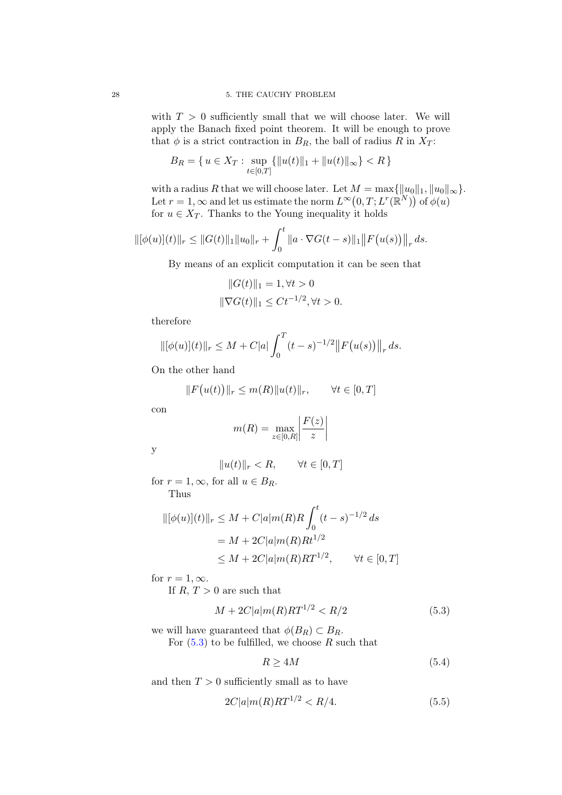with  $T > 0$  sufficiently small that we will choose later. We will apply the Banach fixed point theorem. It will be enough to prove that  $\phi$  is a strict contraction in  $B_R$ , the ball of radius R in  $X_T$ :

$$
B_R = \{ u \in X_T : \sup_{t \in [0,T]} \{ ||u(t)||_1 + ||u(t)||_{\infty} \} < R \}
$$

with a radius R that we will choose later. Let  $M = \max{\{\Vert u_0\Vert_1, \Vert u_0\Vert_\infty\}}$ . Let  $r = 1, \infty$  and let us estimate the norm  $L^{\infty}(0,T; L^r(\mathbb{R}^N))$  of  $\phi(u)$ for  $u \in X_T$ . Thanks to the Young inequality it holds

$$
\|[\phi(u)](t)\|_{r} \leq \|G(t)\|_{1}\|u_{0}\|_{r} + \int_{0}^{t} \|a \cdot \nabla G(t-s)\|_{1} \|F(u(s))\|_{r} ds.
$$

By means of an explicit computation it can be seen that

$$
||G(t)||_1 = 1, \forall t > 0
$$
  

$$
||\nabla G(t)||_1 \le Ct^{-1/2}, \forall t > 0.
$$

therefore

$$
\|[\phi(u)](t)\|_{r} \leq M + C|a| \int_0^T (t-s)^{-1/2} \|F(u(s))\|_{r} ds.
$$

On the other hand

$$
||F(u(t))||_r \le m(R)||u(t)||_r, \qquad \forall t \in [0, T]
$$

con

$$
m(R) = \max_{z \in [0,R]} \left| \frac{F(z)}{z} \right|
$$

y

$$
||u(t)||_r < R, \qquad \forall t \in [0, T]
$$

for  $r = 1, \infty$ , for all  $u \in B_R$ . Thus

$$
\|[\phi(u)](t)\|_{r} \le M + C|a|m(R)R \int_{0}^{t} (t-s)^{-1/2} ds
$$
  
= M + 2C|a|m(R)Rt<sup>1/2</sup>  

$$
\le M + 2C|a|m(R)RT^{1/2}, \qquad \forall t \in [0, T]
$$

for  $r = 1, \infty$ .

If  $R, T > 0$  are such that

<span id="page-31-0"></span>
$$
M + 2C|a|m(R)RT^{1/2} < R/2\tag{5.3}
$$

we will have guaranteed that  $\phi(B_R) \subset B_R$ . For  $(5.3)$  to be fulfilled, we choose R such that

$$
R \ge 4M\tag{5.4}
$$

and then  $T > 0$  sufficiently small as to have

<span id="page-31-1"></span>
$$
2C|a|m(R)RT^{1/2} < R/4. \tag{5.5}
$$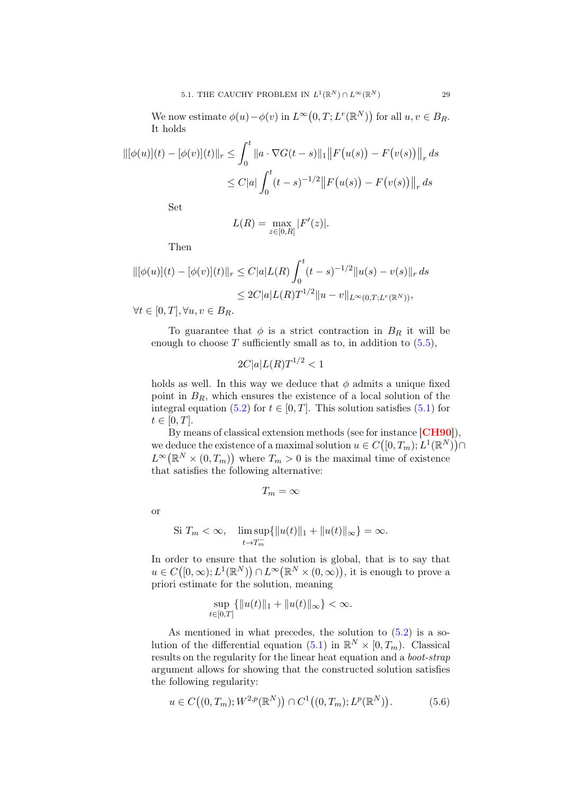We now estimate  $\phi(u) - \phi(v)$  in  $L^{\infty}(0,T; L^r(\mathbb{R}^N))$  for all  $u, v \in B_R$ . It holds

$$
\|[\phi(u)](t) - [\phi(v)](t)\|_{r} \le \int_0^t \|a \cdot \nabla G(t-s)\|_{1} \|F(u(s)) - F(v(s))\|_{r} ds
$$
  

$$
\le C|a| \int_0^t (t-s)^{-1/2} \|F(u(s)) - F(v(s))\|_{r} ds
$$

Set

$$
L(R)=\max_{z\in[0,R]}|F'(z)|.
$$

Then

$$
\|[\phi(u)](t) - [\phi(v)](t)\|_{r} \le C|a|L(R)\int_{0}^{t} (t-s)^{-1/2} \|u(s) - v(s)\|_{r} ds
$$
  
\n
$$
\le 2C|a|L(R)T^{1/2}\|u - v\|_{L^{\infty}(0,T;L^{r}(\mathbb{R}^{N}))},
$$
  
\n
$$
\forall t \in [0, T] \ \forall u, v \in B_{\mathbb{R}}
$$

 $\forall t \in [0, T], \forall u, v \in B_R.$ 

To guarantee that  $\phi$  is a strict contraction in  $B_R$  it will be enough to choose  $T$  sufficiently small as to, in addition to  $(5.5)$ ,

$$
2C|a|L(R)T^{1/2} < 1
$$

holds as well. In this way we deduce that  $\phi$  admits a unique fixed point in  $B_R$ , which ensures the existence of a local solution of the integral equation [\(5.2\)](#page-30-3) for  $t \in [0, T]$ . This solution satisfies [\(5.1\)](#page-30-2) for  $t \in [0, T]$ .

By means of classical extension methods (see for instance [[CH90](#page-80-13)]), we deduce the existence of a maximal solution  $u \in C([0,T_m); L^1(\mathbb{R}^N)) \cap$  $L^{\infty}(\mathbb{R}^N\times(0,T_m))$  where  $T_m>0$  is the maximal time of existence that satisfies the following alternative:

 $T_m = \infty$ 

or

Si 
$$
T_m < \infty
$$
,  $\limsup_{t \to T_m^-} {\|u(t)\|_1 + \|u(t)\|_\infty} = \infty$ .

In order to ensure that the solution is global, that is to say that  $u \in C([0,\infty); L^1(\mathbb{R}^N)) \cap L^{\infty}(\mathbb{R}^N \times (0,\infty)),$  it is enough to prove a priori estimate for the solution, meaning

$$
\sup_{t \in [0,T]} \{ ||u(t)||_1 + ||u(t)||_{\infty} \} < \infty.
$$

As mentioned in what precedes, the solution to [\(5.2\)](#page-30-3) is a solution of the differential equation  $(5.1)$  in  $\mathbb{R}^N \times [0, T_m)$ . Classical results on the regularity for the linear heat equation and a boot-strap argument allows for showing that the constructed solution satisfies the following regularity:

<span id="page-32-0"></span>
$$
u \in C((0, T_m); W^{2, p}(\mathbb{R}^N)) \cap C^1((0, T_m); L^p(\mathbb{R}^N)).
$$
 (5.6)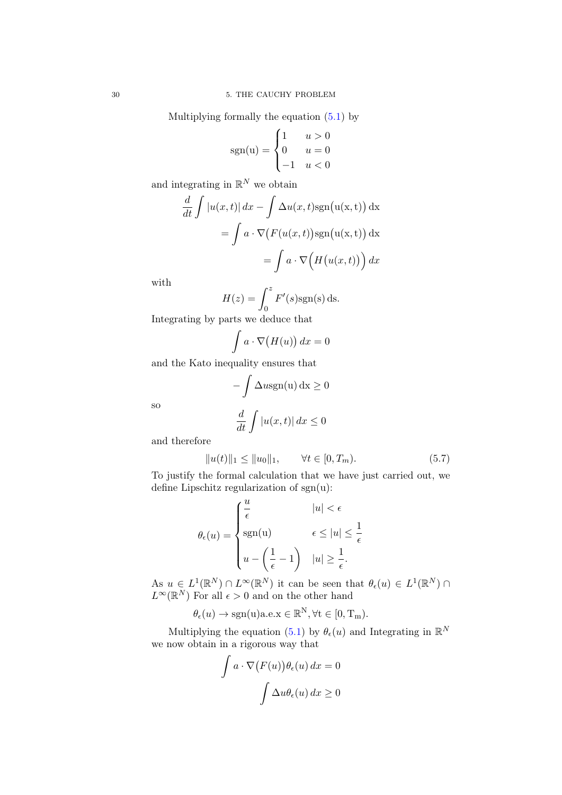Multiplying formally the equation [\(5.1\)](#page-30-2) by

$$
sgn(u) = \begin{cases} 1 & u > 0 \\ 0 & u = 0 \\ -1 & u < 0 \end{cases}
$$

and integrating in  $\mathbb{R}^N$  we obtain

$$
\frac{d}{dt} \int |u(x,t)| dx - \int \Delta u(x,t) \operatorname{sgn}(u(x,t)) dx
$$

$$
= \int a \cdot \nabla (F(u(x,t)) \operatorname{sgn}(u(x,t)) dx
$$

$$
= \int a \cdot \nabla (H(u(x,t))) dx
$$

with

$$
H(z) = \int_0^z F'(s) \text{sgn}(s) \, \text{d}s.
$$

Integrating by parts we deduce that

$$
\int a \cdot \nabla \big( H(u) \big) \, dx = 0
$$

and the Kato inequality ensures that

$$
-\int \Delta u \operatorname{sgn}(u) dx \ge 0
$$
  

$$
\frac{d}{dx} \int |u(x,t)| dx < 0
$$

so

$$
\frac{d}{dt} \int |u(x,t)| \, dx \le 0
$$

and therefore

<span id="page-33-0"></span>
$$
||u(t)||_1 \le ||u_0||_1, \qquad \forall t \in [0, T_m). \tag{5.7}
$$

To justify the formal calculation that we have just carried out, we define Lipschitz regularization of  $sgn(u)$ :

$$
\theta_{\epsilon}(u) = \begin{cases} \frac{u}{\epsilon} & |u| < \epsilon \\ \text{sgn(u)} & \epsilon \leq |u| \leq \frac{1}{\epsilon} \\ u - \left(\frac{1}{\epsilon} - 1\right) & |u| \geq \frac{1}{\epsilon}. \end{cases}
$$

As  $u \in L^1(\mathbb{R}^N) \cap L^\infty(\mathbb{R}^N)$  it can be seen that  $\theta_\epsilon(u) \in L^1(\mathbb{R}^N) \cap$  $L^{\infty}(\mathbb{R}^{N})$  For all  $\epsilon > 0$  and on the other hand

$$
\theta_{\epsilon}(u) \rightarrow \text{sgn}(u) a.e. x \in \mathbb{R}^{N}, \forall t \in [0, T_{m}).
$$

Multiplying the equation [\(5.1\)](#page-30-2) by  $\theta_{\epsilon}(u)$  and Integrating in  $\mathbb{R}^N$ we now obtain in a rigorous way that

$$
\int a \cdot \nabla (F(u)) \theta_{\epsilon}(u) dx = 0
$$

$$
\int \Delta u \theta_{\epsilon}(u) dx \ge 0
$$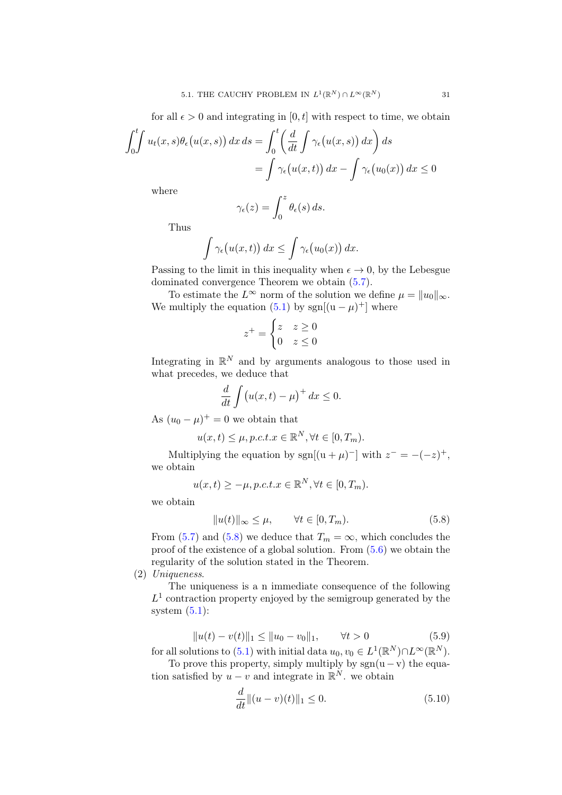for all  $\epsilon > 0$  and integrating in [0, t] with respect to time, we obtain

$$
\int_0^t \int u_t(x,s)\theta_\epsilon(u(x,s)) dx ds = \int_0^t \left(\frac{d}{dt} \int \gamma_\epsilon(u(x,s)) dx\right) ds
$$
  
= 
$$
\int \gamma_\epsilon(u(x,t)) dx - \int \gamma_\epsilon(u_0(x)) dx \le 0
$$

where

$$
\gamma_{\epsilon}(z) = \int_0^z \theta_{\epsilon}(s) \, ds.
$$

Thus

$$
\int \gamma_{\epsilon}(u(x,t)) dx \leq \int \gamma_{\epsilon}(u_0(x)) dx.
$$

Passing to the limit in this inequality when  $\epsilon \to 0$ , by the Lebesgue dominated convergence Theorem we obtain [\(5.7\)](#page-33-0).

To estimate the  $L^{\infty}$  norm of the solution we define  $\mu = ||u_0||_{\infty}$ . We multiply the equation  $(5.1)$  by sgn $[(u - \mu)^+]$  where

$$
z^+ = \begin{cases} z & z \ge 0 \\ 0 & z \le 0 \end{cases}
$$

Integrating in  $\mathbb{R}^N$  and by arguments analogous to those used in what precedes, we deduce that

$$
\frac{d}{dt}\int (u(x,t)-\mu)^{+} dx \leq 0.
$$

As  $(u_0 - \mu)^+ = 0$  we obtain that

$$
u(x,t) \leq \mu, p.c.t. x \in \mathbb{R}^N, \forall t \in [0, T_m).
$$

Multiplying the equation by sgn[ $(u + \mu)^{-}$ ] with  $z^{-} = -(-z)^{+}$ , we obtain

$$
u(x,t) \ge -\mu, p.c.t. x \in \mathbb{R}^N, \forall t \in [0, T_m).
$$

we obtain

<span id="page-34-0"></span>
$$
||u(t)||_{\infty} \le \mu, \qquad \forall t \in [0, T_m). \tag{5.8}
$$

From [\(5.7\)](#page-33-0) and [\(5.8\)](#page-34-0) we deduce that  $T_m = \infty$ , which concludes the proof of the existence of a global solution. From [\(5.6\)](#page-32-0) we obtain the regularity of the solution stated in the Theorem.

(2) Uniqueness.

The uniqueness is a n immediate consequence of the following  $L<sup>1</sup>$  contraction property enjoyed by the semigroup generated by the system  $(5.1)$ :

$$
||u(t) - v(t)||_1 \le ||u_0 - v_0||_1, \qquad \forall t > 0
$$
\n(5.9)

for all solutions to [\(5.1\)](#page-30-2) with initial data  $u_0, v_0 \in L^1(\mathbb{R}^N) \cap L^\infty(\mathbb{R}^N)$ .

To prove this property, simply multiply by  $sgn(u - v)$  the equation satisfied by  $u - v$  and integrate in  $\mathbb{R}^N$ . we obtain

$$
\frac{d}{dt}||(u-v)(t)||_1 \le 0.
$$
\n(5.10)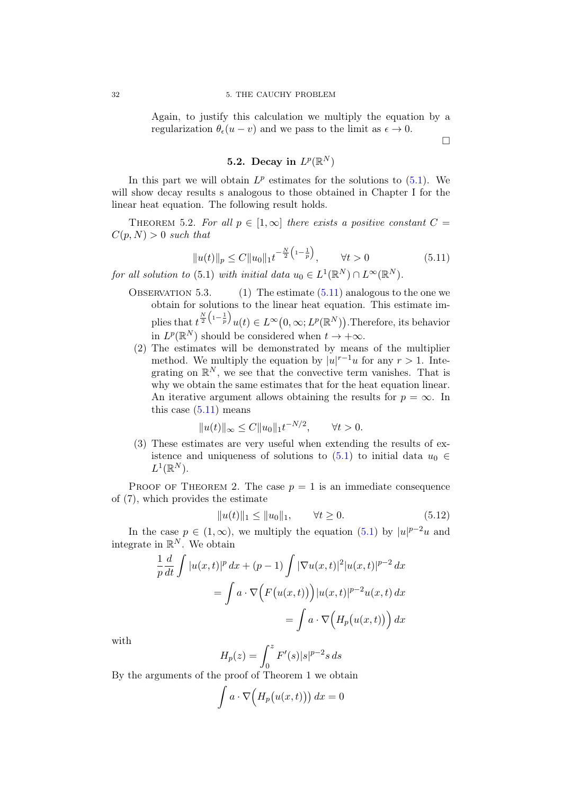Again, to justify this calculation we multiply the equation by a regularization  $\theta_{\epsilon}(u - v)$  and we pass to the limit as  $\epsilon \to 0$ .

 $\Box$ 

## 5.2. Decay in  $L^p(\mathbb{R}^N)$

<span id="page-35-0"></span>In this part we will obtain  $L^p$  estimates for the solutions to  $(5.1)$ . We will show decay results s analogous to those obtained in Chapter I for the linear heat equation. The following result holds.

THEOREM 5.2. For all  $p \in [1,\infty]$  there exists a positive constant  $C =$  $C(p, N) > 0$  such that

<span id="page-35-1"></span>
$$
||u(t)||_{p} \le C||u_0||_1 t^{-\frac{N}{2}\left(1-\frac{1}{p}\right)}, \qquad \forall t > 0 \tag{5.11}
$$

for all solution to (5.1) with initial data  $u_0 \in L^1(\mathbb{R}^N) \cap L^\infty(\mathbb{R}^N)$ .

- OBSERVATION 5.3. (1) The estimate  $(5.11)$  analogous to the one we obtain for solutions to the linear heat equation. This estimate implies that  $t^{\frac{N}{2}(1-\frac{1}{p})}u(t) \in L^{\infty}(0,\infty;L^{p}(\mathbb{R}^{N}))$ . Therefore, its behavior in  $L^p(\mathbb{R}^N)$  should be considered when  $t \to +\infty$ .
- (2) The estimates will be demonstrated by means of the multiplier method. We multiply the equation by  $|u|^{r-1}u$  for any  $r > 1$ . Integrating on  $\mathbb{R}^N$ , we see that the convective term vanishes. That is why we obtain the same estimates that for the heat equation linear. An iterative argument allows obtaining the results for  $p = \infty$ . In this case  $(5.11)$  means

$$
||u(t)||_{\infty} \le C||u_0||_1 t^{-N/2}, \quad \forall t > 0.
$$

(3) These estimates are very useful when extending the results of existence and uniqueness of solutions to  $(5.1)$  to initial data  $u_0 \in$  $L^1(\mathbb{R}^N)$ .

PROOF OF THEOREM 2. The case  $p = 1$  is an immediate consequence of (7), which provides the estimate

$$
||u(t)||_1 \le ||u_0||_1, \qquad \forall t \ge 0.
$$
\n(5.12)

In the case  $p \in (1,\infty)$ , we multiply the equation  $(5.1)$  by  $|u|^{p-2}u$  and integrate in  $\mathbb{R}^N$ . We obtain

$$
\frac{1}{p}\frac{d}{dt}\int |u(x,t)|^p dx + (p-1)\int |\nabla u(x,t)|^2 |u(x,t)|^{p-2} dx
$$

$$
= \int a \cdot \nabla \Big( F(u(x,t)) \Big) |u(x,t)|^{p-2} u(x,t) dx
$$

$$
= \int a \cdot \nabla \Big( H_p(u(x,t)) \Big) dx
$$

with

$$
H_p(z) = \int_0^z F'(s) |s|^{p-2} s \, ds
$$

By the arguments of the proof of Theorem 1 we obtain

$$
\int a \cdot \nabla \Big( H_p(u(x,t)) \Big) \, dx = 0
$$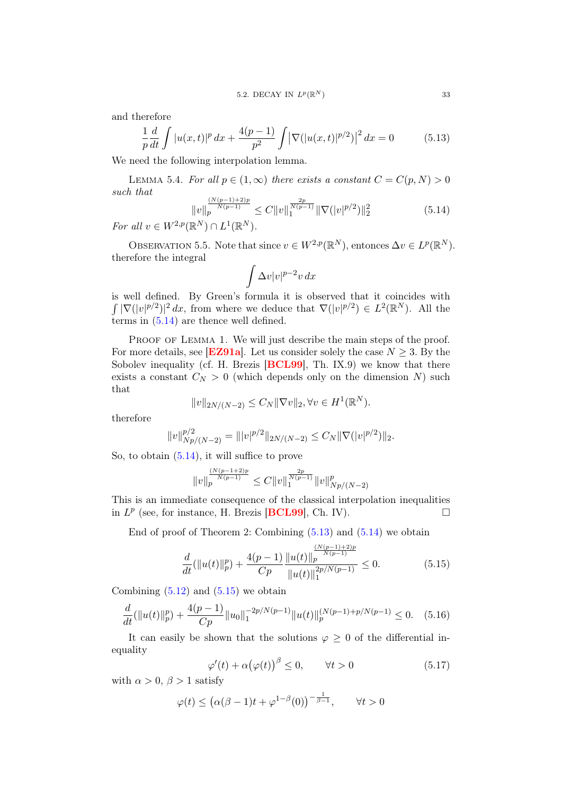and therefore

<span id="page-36-1"></span>
$$
\frac{1}{p}\frac{d}{dt}\int |u(x,t)|^p\,dx + \frac{4(p-1)}{p^2}\int |\nabla(|u(x,t)|^{p/2})|^2\,dx = 0\tag{5.13}
$$

We need the following interpolation lemma.

LEMMA 5.4. For all  $p \in (1,\infty)$  there exists a constant  $C = C(p, N) > 0$ such that

<span id="page-36-0"></span>
$$
||v||_p^{\frac{(N(p-1)+2)p}{N(p-1)}} \le C||v||_1^{\frac{2p}{N(p-1)}} ||\nabla(|v|^{p/2})||_2^2
$$
\n(5.14)

For all  $v \in W^{2,p}(\mathbb{R}^N) \cap L^1(\mathbb{R}^N)$ .

OBSERVATION 5.5. Note that since  $v \in W^{2,p}(\mathbb{R}^N)$ , entonces  $\Delta v \in L^p(\mathbb{R}^N)$ . therefore the integral

$$
\int \Delta v |v|^{p-2}v\,dx
$$

is well defined. By Green's formula it is observed that it coincides with  $\int |\nabla (|v|^{p/2})|^2 dx$ , from where we deduce that  $\nabla (|v|^{p/2}) \in L^2(\mathbb{R}^N)$ . All the terms in  $(5.14)$  are thence well defined.

PROOF OF LEMMA 1. We will just describe the main steps of the proof. For more details, see [[EZ91a](#page-81-0)]. Let us consider solely the case  $N \geq 3$ . By the Sobolev inequality (cf. H. Brezis [[BCL99](#page-80-0)], Th. IX.9) we know that there exists a constant  $C_N > 0$  (which depends only on the dimension N) such that

$$
||v||_{2N/(N-2)} \leq C_N ||\nabla v||_2, \forall v \in H^1(\mathbb{R}^N).
$$

therefore

$$
||v||_{Np/(N-2)}^{p/2} = |||v|^{p/2}||_{2N/(N-2)} \leq C_N ||\nabla (|v|^{p/2})||_2.
$$

So, to obtain [\(5.14\)](#page-36-0), it will suffice to prove

$$
\|v\|_p^{\frac{(N(p-1+2)p}{N(p-1)}}\leq C\|v\|_1^{\frac{2p}{N(p-1)}}\|v\|_{Np/(N-2)}^p
$$

This is an immediate consequence of the classical interpolation inequalities in  $L^p$  (see, for instance, H. Brezis [**[BCL99](#page-80-0)**], Ch. IV).

End of proof of Theorem 2: Combining  $(5.13)$  and  $(5.14)$  we obtain

<span id="page-36-2"></span>
$$
\frac{d}{dt}(\|u(t)\|_p^p) + \frac{4(p-1)}{Cp} \frac{\|u(t)\|_p^{\frac{(N(p-1)+2)p}{N(p-1)}}}{\|u(t)\|_1^{2p/N(p-1)}} \le 0.
$$
\n(5.15)

Combining  $(5.12)$  and  $(5.15)$  we obtain

<span id="page-36-3"></span>
$$
\frac{d}{dt}(\|u(t)\|_p^p) + \frac{4(p-1)}{Cp}\|u_0\|_1^{-2p/N(p-1)}\|u(t)\|_p^{\left(N(p-1)+p/N(p-1)\right)} \le 0. \quad (5.16)
$$

It can easily be shown that the solutions  $\varphi \geq 0$  of the differential inequality

<span id="page-36-4"></span>
$$
\varphi'(t) + \alpha (\varphi(t))^\beta \le 0, \qquad \forall t > 0 \tag{5.17}
$$

with  $\alpha > 0$ ,  $\beta > 1$  satisfy

$$
\varphi(t) \le \left(\alpha(\beta - 1)t + \varphi^{1-\beta}(0)\right)^{-\frac{1}{\beta - 1}}, \qquad \forall t > 0
$$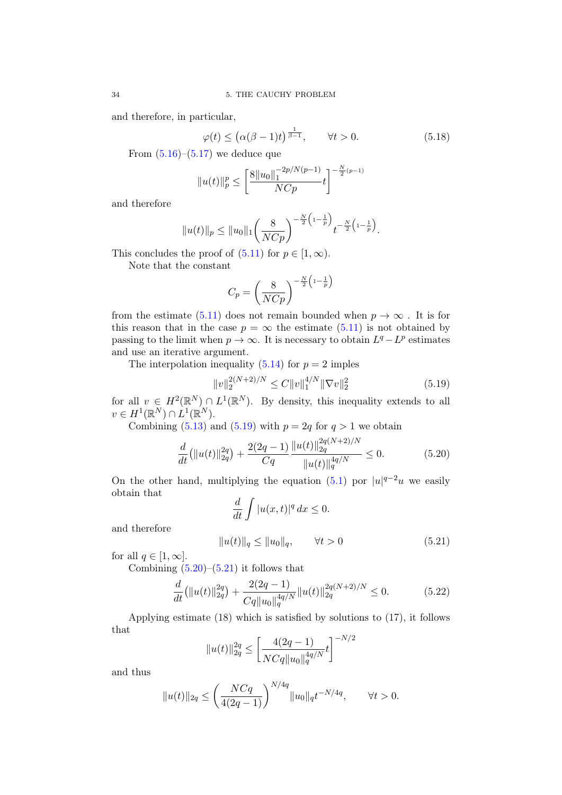and therefore, in particular,

$$
\varphi(t) \le \left(\alpha(\beta - 1)t\right)^{\frac{1}{\beta - 1}}, \qquad \forall t > 0. \tag{5.18}
$$

From  $(5.16)$ – $(5.17)$  we deduce que

$$
||u(t)||_p^p \le \left[\frac{8||u_0||_1^{-2p/N(p-1)}}{NCp}t\right]^{-\frac{N}{2}(p-1)}
$$

and therefore

$$
||u(t)||_p \leq ||u_0||_1 \left(\frac{8}{N C p}\right)^{-\frac{N}{2}\left(1-\frac{1}{p}\right)} t^{-\frac{N}{2}\left(1-\frac{1}{p}\right)}.
$$

This concludes the proof of  $(5.11)$  for  $p \in [1, \infty)$ .

Note that the constant

$$
C_p = \left(\frac{8}{NCp}\right)^{-\frac{N}{2}\left(1-\frac{1}{p}\right)}
$$

from the estimate [\(5.11\)](#page-35-1) does not remain bounded when  $p \to \infty$ . It is for this reason that in the case  $p = \infty$  the estimate [\(5.11\)](#page-35-1) is not obtained by passing to the limit when  $p \to \infty$ . It is necessary to obtain  $L^q - L^p$  estimates and use an iterative argument.

The interpolation inequality [\(5.14\)](#page-36-0) for  $p = 2$  imples

<span id="page-37-0"></span>
$$
||v||_2^{2(N+2)/N} \le C||v||_1^{4/N} ||\nabla v||_2^2
$$
\n(5.19)

for all  $v \in H^2(\mathbb{R}^N) \cap L^1(\mathbb{R}^N)$ . By density, this inequality extends to all  $v \in H^1(\mathbb{R}^N) \cap L^1(\mathbb{R}^N).$ 

Combining  $(5.13)$  and  $(5.19)$  with  $p = 2q$  for  $q > 1$  we obtain

<span id="page-37-1"></span>
$$
\frac{d}{dt}(\|u(t)\|_{2q}^{2q}) + \frac{2(2q-1)}{Cq} \frac{\|u(t)\|_{2q}^{2q(N+2)/N}}{\|u(t)\|_{q}^{4q/N}} \le 0.
$$
\n(5.20)

On the other hand, multiplying the equation [\(5.1\)](#page-30-0) por  $|u|^{q-2}u$  we easily obtain that

$$
\frac{d}{dt} \int |u(x,t)|^q \, dx \le 0.
$$

and therefore

<span id="page-37-2"></span>
$$
||u(t)||_{q} \le ||u_0||_{q}, \qquad \forall t > 0 \tag{5.21}
$$

for all  $q \in [1, \infty]$ .

Combining  $(5.20)$ – $(5.21)$  it follows that

$$
\frac{d}{dt}(\|u(t)\|_{2q}^{2q}) + \frac{2(2q-1)}{Cq\|u_0\|_q^{4q/N}}\|u(t)\|_{2q}^{2q(N+2)/N} \le 0.
$$
\n(5.22)

Applying estimate (18) which is satisfied by solutions to (17), it follows that

$$
||u(t)||_{2q}^{2q} \le \left[\frac{4(2q-1)}{NCq||u_0||_q^{4q/N}}t\right]^{-N/2}
$$

and thus

$$
||u(t)||_{2q} \le \left(\frac{NCq}{4(2q-1)}\right)^{N/4q} ||u_0||_q t^{-N/4q}, \qquad \forall t > 0.
$$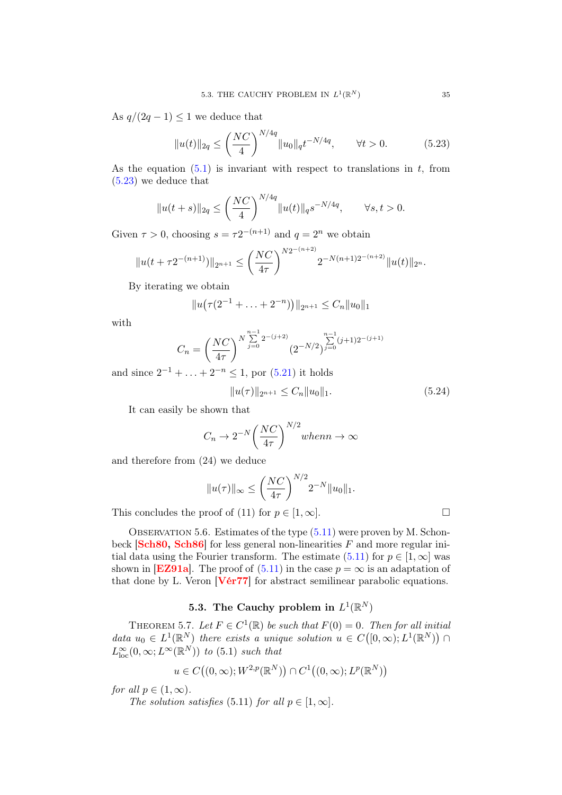As  $q/(2q-1) \leq 1$  we deduce that

<span id="page-38-0"></span>
$$
||u(t)||_{2q} \le \left(\frac{NC}{4}\right)^{N/4q} ||u_0||_q t^{-N/4q}, \qquad \forall t > 0.
$$
 (5.23)

As the equation  $(5.1)$  is invariant with respect to translations in t, from [\(5.23\)](#page-38-0) we deduce that

$$
||u(t+s)||_{2q} \le \left(\frac{NC}{4}\right)^{N/4q} ||u(t)||_{q} s^{-N/4q}, \qquad \forall s, t > 0.
$$

Given  $\tau > 0$ , choosing  $s = \tau 2^{-(n+1)}$  and  $q = 2^n$  we obtain

$$
||u(t+\tau 2^{-(n+1)})||_{2^{n+1}} \leq \left(\frac{NC}{4\tau}\right)^{N2^{-(n+2)}} 2^{-N(n+1)2^{-(n+2)}} ||u(t)||_{2^n}.
$$

By iterating we obtain

$$
||u(\tau(2^{-1}+\ldots+2^{-n}))||_{2^{n+1}} \leq C_n||u_0||_1
$$

with

$$
C_n = \left(\frac{NC}{4\tau}\right)^{N\sum\limits_{j=0}^{n-1} 2^{-(j+2)}} (2^{-N/2})^{\sum\limits_{j=0}^{n-1} (j+1)2^{-(j+1)}}
$$

and since  $2^{-1} + \ldots + 2^{-n} \leq 1$ , por  $(5.21)$  it holds

$$
||u(\tau)||_{2^{n+1}} \le C_n ||u_0||_1.
$$
\n(5.24)

It can easily be shown that

$$
C_n \to 2^{-N} \left(\frac{NC}{4\tau}\right)^{N/2} when n \to \infty
$$

and therefore from (24) we deduce

$$
||u(\tau)||_{\infty} \le \left(\frac{NC}{4\tau}\right)^{N/2} 2^{-N} ||u_0||_1.
$$

This concludes the proof of (11) for  $p \in [1,\infty]$ .

OBSERVATION 5.6. Estimates of the type  $(5.11)$  were proven by M. Schonbeck  $[\text{Sch}80, \text{Sch}86]$  for less general non-linearities F and more regular initial data using the Fourier transform. The estimate  $(5.11)$  for  $p \in [1,\infty]$  was shown in **[[EZ91a](#page-81-0)]**. The proof of  $(5.11)$  in the case  $p = \infty$  is an adaptation of that done by L. Veron  $[**V**ér77]$  for abstract semilinear parabolic equations.

# 5.3. The Cauchy problem in  $L^1(\mathbb{R}^N)$

THEOREM 5.7. Let  $F \in C^1(\mathbb{R})$  be such that  $F(0) = 0$ . Then for all initial data  $u_0 \in L^1(\mathbb{R}^N)$  there exists a unique solution  $u \in C([0,\infty); L^1(\mathbb{R}^N))$  $L^{\infty}_{\text{loc}}(0,\infty;L^{\infty}(\mathbb{R}^N))$  to (5.1) such that

$$
u \in C\big((0,\infty); W^{2,p}(\mathbb{R}^N)\big) \cap C^1\big((0,\infty); L^p(\mathbb{R}^N)\big)
$$

for all  $p \in (1,\infty)$ .

The solution satisfies (5.11) for all  $p \in [1,\infty]$ .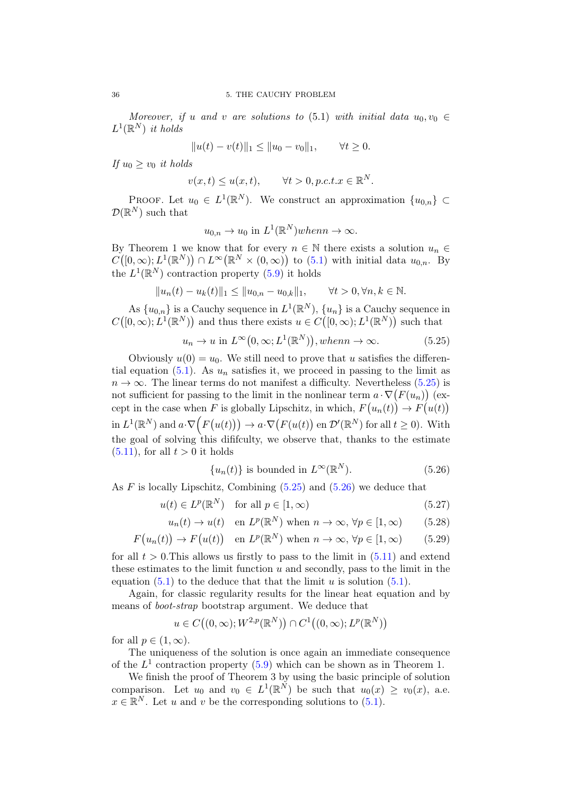Moreover, if u and v are solutions to (5.1) with initial data  $u_0, v_0 \in$  $L^1(\mathbb{R}^N)$  it holds

$$
||u(t) - v(t)||_1 \le ||u_0 - v_0||_1, \qquad \forall t \ge 0.
$$

If  $u_0 \geq v_0$  it holds

$$
v(x,t) \le u(x,t), \qquad \forall t > 0, p.c.t. x \in \mathbb{R}^N.
$$

PROOF. Let  $u_0 \in L^1(\mathbb{R}^N)$ . We construct an approximation  $\{u_{0,n}\}\subset$  $\mathcal{D}(\mathbb{R}^N)$  such that

$$
u_{0,n} \to u_0
$$
 in  $L^1(\mathbb{R}^N)$  when  $n \to \infty$ .

By Theorem 1 we know that for every  $n \in \mathbb{N}$  there exists a solution  $u_n \in$  $C([0,\infty);L^1(\mathbb{R}^N)) \cap L^\infty(\mathbb{R}^N \times (0,\infty))$  to  $(5.1)$  with initial data  $u_{0,n}$ . By the  $L^1(\mathbb{R}^N)$  contraction property [\(5.9\)](#page-34-0) it holds

$$
||u_n(t)-u_k(t)||_1\leq ||u_{0,n}-u_{0,k}||_1,\qquad \forall t>0, \forall n,k\in\mathbb{N}.
$$

As  $\{u_{0,n}\}\$ is a Cauchy sequence in  $L^1(\mathbb{R}^N)$ ,  $\{u_n\}$  is a Cauchy sequence in  $C([0,\infty); L^{1}(\mathbb{R}^{N}))$  and thus there exists  $u \in C([0,\infty); L^{1}(\mathbb{R}^{N}))$  such that

<span id="page-39-0"></span>
$$
u_n \to u \text{ in } L^{\infty}(0, \infty; L^1(\mathbb{R}^N)), when n \to \infty.
$$
 (5.25)

Obviously  $u(0) = u_0$ . We still need to prove that u satisfies the differen-tial equation [\(5.1\)](#page-30-0). As  $u_n$  satisfies it, we proceed in passing to the limit as  $n \to \infty$ . The linear terms do not manifest a difficulty. Nevertheless [\(5.25\)](#page-39-0) is not sufficient for passing to the limit in the nonlinear term  $a \cdot \nabla (F(u_n))$  (except in the case when F is globally Lipschitz, in which,  $F(u_n(t)) \to F(u(t))$ in  $L^1(\mathbb{R}^N)$  and  $a \cdot \nabla (F(u(t))) \to a \cdot \nabla (F(u(t)) \text{ en } \mathcal{D}'(\mathbb{R}^N) \text{ for all } t \geq 0)$ . With the goal of solving this diffculty, we observe that, thanks to the estimate  $(5.11)$ , for all  $t > 0$  it holds

<span id="page-39-1"></span>
$$
\{u_n(t)\}\text{ is bounded in } L^{\infty}(\mathbb{R}^N). \tag{5.26}
$$

As  $F$  is locally Lipschitz, Combining  $(5.25)$  and  $(5.26)$  we deduce that

$$
u(t) \in L^p(\mathbb{R}^N) \quad \text{for all } p \in [1, \infty)
$$
\n
$$
(5.27)
$$

$$
u_n(t) \to u(t)
$$
 en  $L^p(\mathbb{R}^N)$  when  $n \to \infty$ ,  $\forall p \in [1, \infty)$  (5.28)

$$
F(u_n(t)) \to F(u(t))
$$
 en  $L^p(\mathbb{R}^N)$  when  $n \to \infty$ ,  $\forall p \in [1, \infty)$  (5.29)

for all  $t > 0$ . This allows us firstly to pass to the limit in  $(5.11)$  and extend these estimates to the limit function  $u$  and secondly, pass to the limit in the equation  $(5.1)$  to the deduce that that the limit u is solution  $(5.1)$ .

Again, for classic regularity results for the linear heat equation and by means of boot-strap bootstrap argument. We deduce that

$$
u \in C\big((0,\infty); W^{2,p}(\mathbb{R}^N)\big) \cap C^1\big((0,\infty); L^p(\mathbb{R}^N)\big)
$$

for all  $p \in (1, \infty)$ .

The uniqueness of the solution is once again an immediate consequence of the  $L^1$  contraction property [\(5.9\)](#page-34-0) which can be shown as in Theorem 1.

We finish the proof of Theorem 3 by using the basic principle of solution comparison. Let  $u_0$  and  $v_0 \in L^1(\mathbb{R}^N)$  be such that  $u_0(x) \geq v_0(x)$ , a.e.  $x \in \mathbb{R}^N$ . Let u and v be the corresponding solutions to  $(5.1)$ .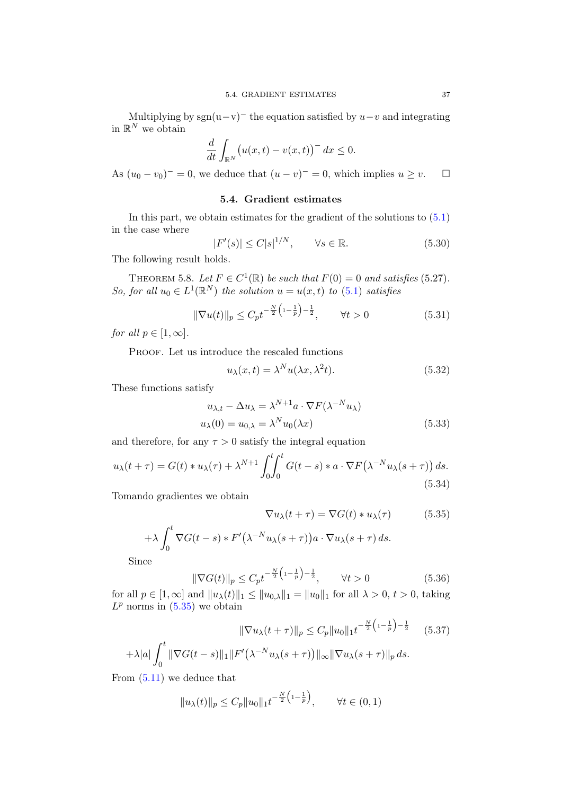Multiplying by sgn(u-v)<sup>-</sup> the equation satisfied by  $u-v$  and integrating in  $\mathbb{R}^N$  we obtain

$$
\frac{d}{dt} \int_{\mathbb{R}^N} \left( u(x,t) - v(x,t) \right)^{-} dx \leq 0.
$$

As  $(u_0 - v_0)^{-} = 0$ , we deduce that  $(u - v)^{-} = 0$ , which implies  $u \ge v$ .

### 5.4. Gradient estimates

In this part, we obtain estimates for the gradient of the solutions to [\(5.1\)](#page-30-0) in the case where

<span id="page-40-1"></span>
$$
|F'(s)| \le C|s|^{1/N}, \qquad \forall s \in \mathbb{R}.\tag{5.30}
$$

The following result holds.

THEOREM 5.8. Let  $F \in C^1(\mathbb{R})$  be such that  $F(0) = 0$  and satisfies (5.27). So, for all  $u_0 \in L^1(\mathbb{R}^N)$  the solution  $u = u(x, t)$  to  $(5.1)$  satisfies

<span id="page-40-4"></span>
$$
\|\nabla u(t)\|_{p} \le C_{p} t^{-\frac{N}{2}\left(1 - \frac{1}{p}\right) - \frac{1}{2}}, \qquad \forall t > 0 \tag{5.31}
$$

for all  $p \in [1,\infty]$ .

PROOF. Let us introduce the rescaled functions

$$
u_{\lambda}(x,t) = \lambda^N u(\lambda x, \lambda^2 t). \tag{5.32}
$$

These functions satisfy

$$
u_{\lambda,t} - \Delta u_{\lambda} = \lambda^{N+1} a \cdot \nabla F(\lambda^{-N} u_{\lambda})
$$
  

$$
u_{\lambda}(0) = u_{0,\lambda} = \lambda^N u_0(\lambda x)
$$
 (5.33)

and therefore, for any  $\tau > 0$  satisfy the integral equation

$$
u_{\lambda}(t+\tau) = G(t) * u_{\lambda}(\tau) + \lambda^{N+1} \int_0^t \int_0^t G(t-s) * a \cdot \nabla F(\lambda^{-N} u_{\lambda}(s+\tau)) ds.
$$
\n(5.34)

Tomando gradientes we obtain

$$
\nabla u_{\lambda}(t+\tau) = \nabla G(t) * u_{\lambda}(\tau) \tag{5.35}
$$

<span id="page-40-3"></span><span id="page-40-0"></span> $\overline{a}$ 

$$
+\lambda \int_0^t \nabla G(t-s) * F'(\lambda^{-N} u_\lambda(s+\tau)) a \cdot \nabla u_\lambda(s+\tau) ds.
$$

Since

<span id="page-40-2"></span>
$$
\|\nabla G(t)\|_{p} \le C_{p} t^{-\frac{N}{2} \left(1 - \frac{1}{p}\right) - \frac{1}{2}}, \qquad \forall t > 0 \tag{5.36}
$$

for all  $p \in [1, \infty]$  and  $||u_\lambda(t)||_1 \leq ||u_{0,\lambda}||_1 = ||u_0||_1$  for all  $\lambda > 0$ ,  $t > 0$ , taking  $L^p$  norms in  $(5.35)$  we obtain

 $\mathbb{R}^2$ 

$$
\|\nabla u_{\lambda}(t+\tau)\|_{p} \le C_{p} \|u_{0}\|_{1} t^{-\frac{N}{2}\left(1-\frac{1}{p}\right) - \frac{1}{2}} \quad (5.37)
$$

$$
+\lambda|a|\int_{0}^{t} \|\nabla G(t-s)\|_{1} \|F'(\lambda^{-N}u_{\lambda}(s+\tau))\|_{\infty} \|\nabla u_{\lambda}(s+\tau)\|_{p} ds.
$$

From [\(5.11\)](#page-35-1) we deduce that

$$
||u_{\lambda}(t)||_{p} \leq C_{p}||u_{0}||_{1}t^{-\frac{N}{2}\left(1-\frac{1}{p}\right)}, \qquad \forall t \in (0,1)
$$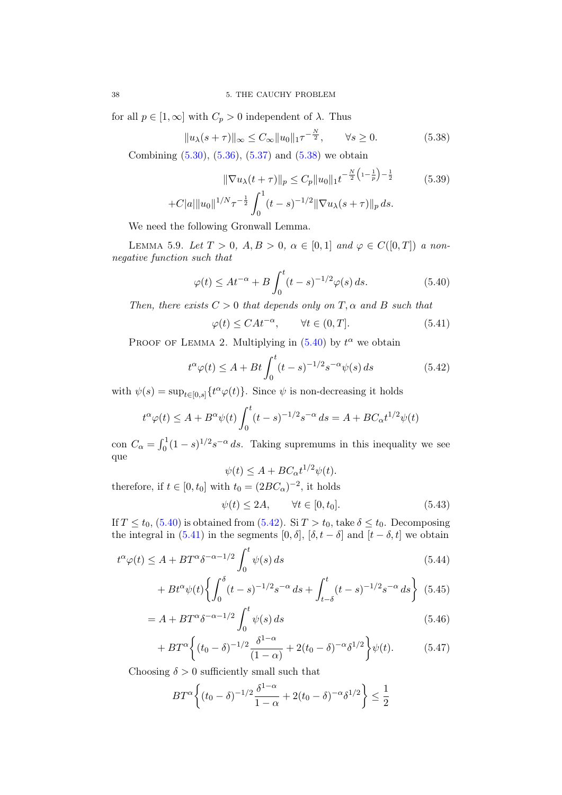for all  $p \in [1,\infty]$  with  $C_p > 0$  independent of  $\lambda$ . Thus

<span id="page-41-0"></span>
$$
||u_{\lambda}(s+\tau)||_{\infty} \le C_{\infty} ||u_0||_1 \tau^{-\frac{N}{2}}, \qquad \forall s \ge 0.
$$
 (5.38)

 $\sim$ 

Combining [\(5.30\)](#page-40-1), [\(5.36\)](#page-40-2), [\(5.37\)](#page-40-3) and [\(5.38\)](#page-41-0) we obtain

$$
\|\nabla u_{\lambda}(t+\tau)\|_{p} \le C_{p} \|u_{0}\|_{1} t^{-\frac{N}{2}\left(1-\frac{1}{p}\right) - \frac{1}{2}}
$$
(5.39)  
+
$$
C|a|\|u_{0}\|^{1/N} \tau^{-\frac{1}{2}} \int_{0}^{1} (t-s)^{-1/2} \|\nabla u_{\lambda}(s+\tau)\|_{p} ds.
$$

We need the following Gronwall Lemma.

LEMMA 5.9. Let  $T > 0$ ,  $A, B > 0$ ,  $\alpha \in [0, 1]$  and  $\varphi \in C([0, T])$  a nonnegative function such that

<span id="page-41-1"></span>
$$
\varphi(t) \le At^{-\alpha} + B \int_0^t (t - s)^{-1/2} \varphi(s) \, ds. \tag{5.40}
$$

Then, there exists  $C > 0$  that depends only on  $T, \alpha$  and  $B$  such that

<span id="page-41-3"></span>
$$
\varphi(t) \le CAt^{-\alpha}, \qquad \forall t \in (0, T]. \tag{5.41}
$$

PROOF OF LEMMA 2. Multiplying in  $(5.40)$  by  $t^{\alpha}$  we obtain

<span id="page-41-2"></span>
$$
t^{\alpha}\varphi(t) \le A + Bt \int_0^t (t-s)^{-1/2} s^{-\alpha} \psi(s) ds \qquad (5.42)
$$

with  $\psi(s) = \sup_{t \in [0,s]} \{t^{\alpha} \varphi(t)\}.$  Since  $\psi$  is non-decreasing it holds

$$
t^{\alpha}\varphi(t) \le A + B^{\alpha}\psi(t)\int_0^t (t-s)^{-1/2}s^{-\alpha} ds = A + BC_{\alpha}t^{1/2}\psi(t)
$$

con  $C_{\alpha} = \int_0^1 (1 - s)^{1/2} s^{-\alpha} ds$ . Taking supremums in this inequality we see que

$$
\psi(t) \le A + BC_{\alpha}t^{1/2}\psi(t).
$$

therefore, if  $t \in [0, t_0]$  with  $t_0 = (2BC_\alpha)^{-2}$ , it holds

$$
\psi(t) \le 2A, \qquad \forall t \in [0, t_0]. \tag{5.43}
$$

If  $T \le t_0$ , [\(5.40\)](#page-41-1) is obtained from [\(5.42\)](#page-41-2). Si  $T > t_0$ , take  $\delta \le t_0$ . Decomposing the integral in [\(5.41\)](#page-41-3) in the segments [0,  $\delta$ ], [ $\delta$ ,  $t - \delta$ ] and [ $t - \delta$ ,  $t$ ] we obtain

$$
t^{\alpha}\varphi(t) \le A + BT^{\alpha}\delta^{-\alpha - 1/2} \int_0^t \psi(s) ds
$$
\n(5.44)

$$
+ B t^{\alpha} \psi(t) \left\{ \int_0^{\delta} (t-s)^{-1/2} s^{-\alpha} ds + \int_{t-\delta}^t (t-s)^{-1/2} s^{-\alpha} ds \right\} (5.45)
$$

$$
= A + BT^{\alpha} \delta^{-\alpha - 1/2} \int_0^t \psi(s) ds \tag{5.46}
$$

$$
+ BT\alpha \left\{ (t_0 - \delta)^{-1/2} \frac{\delta^{1-\alpha}}{(1-\alpha)} + 2(t_0 - \delta)^{-\alpha} \delta^{1/2} \right\} \psi(t).
$$
 (5.47)

Choosing  $\delta > 0$  sufficiently small such that

$$
BT^{\alpha}\left\{(t_0-\delta)^{-1/2}\frac{\delta^{1-\alpha}}{1-\alpha}+2(t_0-\delta)^{-\alpha}\delta^{1/2}\right\}\leq\frac{1}{2}
$$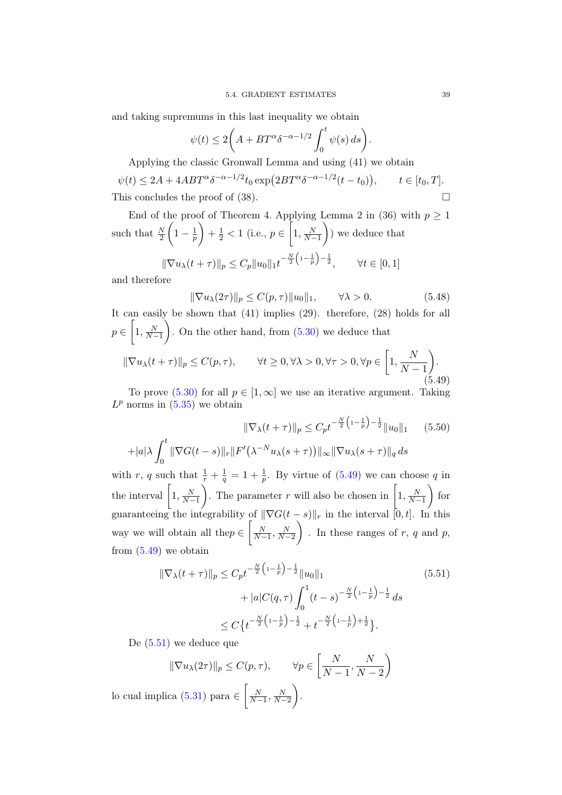and taking supremums in this last inequality we obtain

$$
\psi(t) \le 2\bigg(A + BT^{\alpha}\delta^{-\alpha - 1/2} \int_0^t \psi(s) \, ds\bigg).
$$

Applying the classic Gronwall Lemma and using (41) we obtain

 $\psi(t) \leq 2A + 4ABT^{\alpha} \delta^{-\alpha-1/2} t_0 \exp(2BT^{\alpha} \delta^{-\alpha-1/2}(t-t_0)), \qquad t \in [t_0, T].$ This concludes the proof of  $(38)$ .

End of the proof of Theorem 4. Applying Lemma 2 in (36) with  $p \geq 1$ such that  $\frac{N}{2}$  $\left(1-\frac{1}{n}\right)$  $\overline{p}$  $+ \frac{1}{2} < 1$  (i.e.,  $p \in \left[1, \frac{N}{N-1}\right]$  ) we deduce that  $-\frac{N}{2}\left(1-\frac{1}{n}\right)-\frac{1}{2}$ 

$$
\|\nabla u_{\lambda}(t+\tau)\|_{p} \le C_{p} \|u_{0}\|_{1} t^{-\frac{1}{2}(1-\frac{1}{p})-\frac{1}{2}}, \qquad \forall t \in [0,1]
$$

and therefore

$$
\|\nabla u_{\lambda}(2\tau)\|_{p} \le C(p,\tau) \|u_0\|_{1}, \qquad \forall \lambda > 0. \tag{5.48}
$$

It can easily be shown that (41) implies (29). therefore, (28) holds for all  $p \in \left[1, \frac{N}{N-1}\right]$ ). On the other hand, from  $(5.30)$  we deduce that

<span id="page-42-0"></span>
$$
\|\nabla u_{\lambda}(t+\tau)\|_{p} \le C(p,\tau), \qquad \forall t \ge 0, \forall \lambda > 0, \forall \tau > 0, \forall p \in \left[1, \frac{N}{N-1}\right). \tag{5.49}
$$

To prove [\(5.30\)](#page-40-1) for all  $p \in [1,\infty]$  we use an iterative argument. Taking  $L^p$  norms in  $(5.35)$  we obtain

$$
\|\nabla_{\lambda}(t+\tau)\|_{p} \le C_{p} t^{-\frac{N}{2}\left(1-\frac{1}{p}\right)-\frac{1}{2}} \|u_{0}\|_{1} \qquad (5.50)
$$

$$
+|a|\lambda \int_{0}^{t} \|\nabla G(t-s)\|_{r} \|F'(\lambda^{-N} u_{\lambda}(s+\tau))\|_{\infty} \|\nabla u_{\lambda}(s+\tau)\|_{q} ds
$$

with r, q such that  $\frac{1}{r} + \frac{1}{q} = 1 + \frac{1}{p}$ . By virtue of  $(5.49)$  we can choose q in the interval  $\left[1, \frac{N}{N-1}\right]$ ). The parameter r will also be chosen in  $\left[1, \frac{N}{N-1}\right]$  $\Big)$  for guaranteeing the integrability of  $\|\nabla G(t-s)\|_r$  in the interval  $[0, t]$ . In this way we will obtain all the $p \in \left[\frac{N}{N-1}, \frac{N}{N-2}\right]$ ). In these ranges of  $r, q$  and  $p$ , from  $(5.49)$  we obtain

<span id="page-42-1"></span>
$$
\|\nabla_{\lambda}(t+\tau)\|_{p} \le C_{p} t^{-\frac{N}{2}\left(1-\frac{1}{p}\right)-\frac{1}{2}} \|u_{0}\|_{1}
$$
\n
$$
+|a|C(q,\tau)\int_{0}^{1} (t-s)^{-\frac{N}{2}\left(1-\frac{1}{p}\right)-\frac{1}{2}} ds
$$
\n
$$
\le C\left\{t^{-\frac{N}{2}\left(1-\frac{1}{p}\right)-\frac{1}{2}}+t^{-\frac{N}{2}\left(1-\frac{1}{p}\right)+\frac{1}{2}}\right\}.
$$
\n(5.51)

De [\(5.51\)](#page-42-1) we deduce que

$$
\|\nabla u_{\lambda}(2\tau)\|_{p} \le C(p,\tau), \qquad \forall p \in \left[\frac{N}{N-1}, \frac{N}{N-2}\right)
$$

lo cual implica [\(5.31\)](#page-40-4) para  $\in \left[\frac{N}{N-1}, \frac{N}{N-2}\right]$ .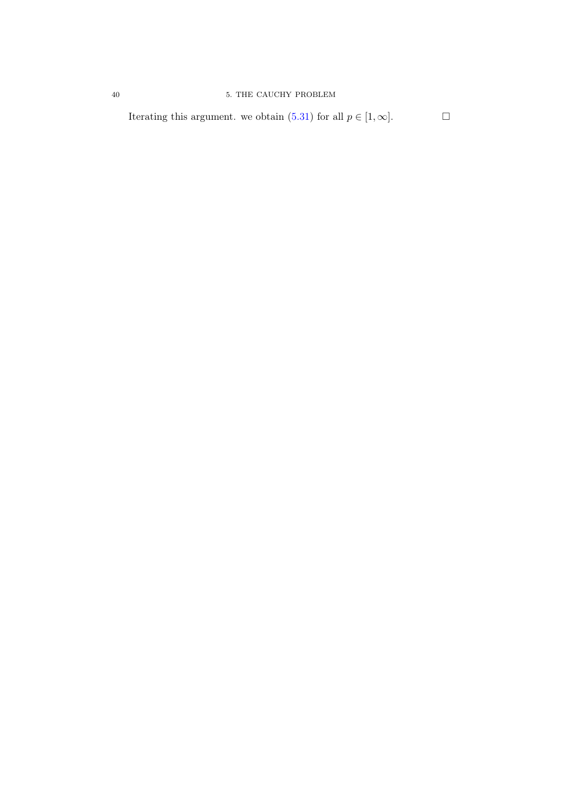Iterating this argument. we obtain [\(5.31\)](#page-40-4) for all  $p \in [1, \infty]$ .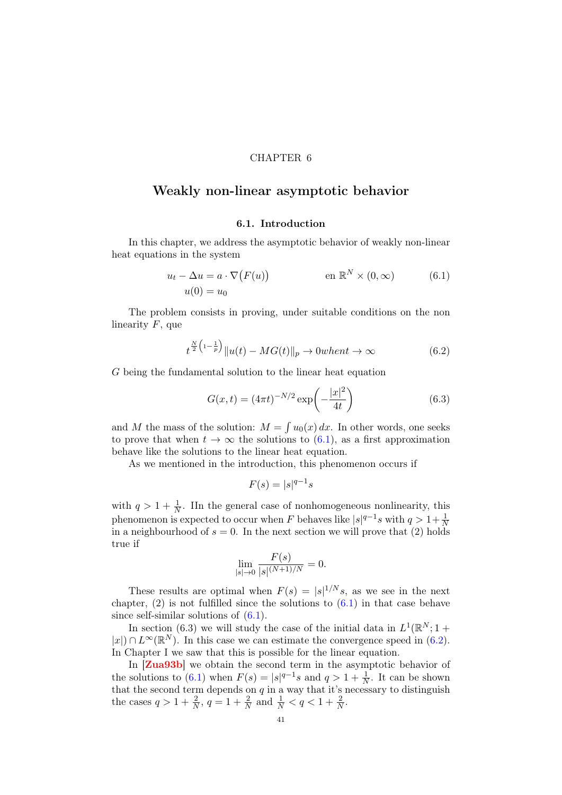### CHAPTER 6

# Weakly non-linear asymptotic behavior

## <span id="page-44-0"></span>6.1. Introduction

In this chapter, we address the asymptotic behavior of weakly non-linear heat equations in the system

$$
u_t - \Delta u = a \cdot \nabla (F(u)) \qquad \text{en } \mathbb{R}^N \times (0, \infty) \qquad (6.1)
$$
  

$$
u(0) = u_0
$$

The problem consists in proving, under suitable conditions on the non linearity  $F$ , que

<span id="page-44-1"></span>
$$
t^{\frac{N}{2}\left(1-\frac{1}{p}\right)}\|u(t) - MG(t)\|_{p} \to 0\text{when }t \to \infty
$$
\n(6.2)

G being the fundamental solution to the linear heat equation

$$
G(x,t) = (4\pi t)^{-N/2} \exp\left(-\frac{|x|^2}{4t}\right)
$$
 (6.3)

and M the mass of the solution:  $M = \int u_0(x) dx$ . In other words, one seeks to prove that when  $t \to \infty$  the solutions to [\(6.1\)](#page-44-0), as a first approximation behave like the solutions to the linear heat equation.

As we mentioned in the introduction, this phenomenon occurs if

$$
F(s) = |s|^{q-1} s
$$

with  $q > 1 + \frac{1}{N}$ . IIn the general case of nonhomogeneous nonlinearity, this phenomenon is expected to occur when F behaves like  $|s|^{q-1}s$  with  $q>1+\frac{1}{N}$ in a neighbourhood of  $s = 0$ . In the next section we will prove that (2) holds true if

$$
\lim_{|s| \to 0} \frac{F(s)}{|s|^{(N+1)/N}} = 0.
$$

These results are optimal when  $F(s) = |s|^{1/N} s$ , as we see in the next chapter,  $(2)$  is not fulfilled since the solutions to  $(6.1)$  in that case behave since self-similar solutions of [\(6.1\)](#page-44-0).

In section (6.3) we will study the case of the initial data in  $L^1(\mathbb{R}^N; 1 +$  $|x|$ ) ∩  $L^{\infty}(\mathbb{R}^{N})$ . In this case we can estimate the convergence speed in [\(6.2\)](#page-44-1). In Chapter I we saw that this is possible for the linear equation.

In [[Zua93b](#page-83-3)] we obtain the second term in the asymptotic behavior of the solutions to [\(6.1\)](#page-44-0) when  $F(s) = |s|^{q-1}s$  and  $q > 1 + \frac{1}{N}$ . It can be shown that the second term depends on  $q$  in a way that it's necessary to distinguish the cases  $q > 1 + \frac{2}{N}$ ,  $q = 1 + \frac{2}{N}$  and  $\frac{1}{N} < q < 1 + \frac{2}{N}$ .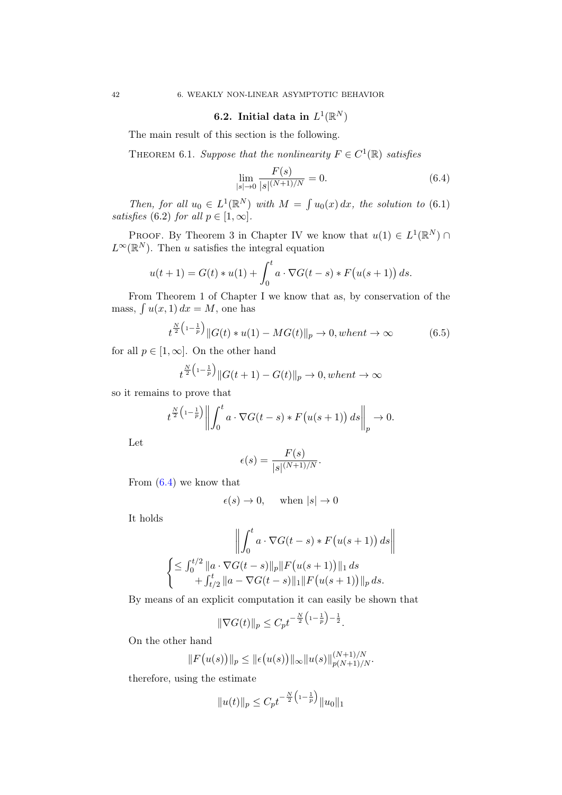# 6.2. Initial data in  $L^1(\mathbb{R}^N)$

The main result of this section is the following.

THEOREM 6.1. Suppose that the nonlinearity  $F \in C^1(\mathbb{R})$  satisfies

<span id="page-45-0"></span>
$$
\lim_{|s| \to 0} \frac{F(s)}{|s|^{(N+1)/N}} = 0.
$$
\n(6.4)

Then, for all  $u_0 \in L^1(\mathbb{R}^N)$  with  $M = \int u_0(x) dx$ , the solution to (6.1) satisfies (6.2) for all  $p \in [1, \infty]$ .

PROOF. By Theorem 3 in Chapter IV we know that  $u(1) \in L^1(\mathbb{R}^N)$  $L^{\infty}(\mathbb{R}^{N})$ . Then u satisfies the integral equation

$$
u(t+1) = G(t) * u(1) + \int_0^t a \cdot \nabla G(t-s) * F(u(s+1)) ds.
$$

From Theorem 1 of Chapter I we know that as, by conservation of the mass,  $\int u(x, 1) dx = M$ , one has

$$
t^{\frac{N}{2}\left(1-\frac{1}{p}\right)}\|G(t) * u(1) - MG(t)\|_p \to 0, when t \to \infty \tag{6.5}
$$

for all  $p \in [1,\infty]$ . On the other hand  $\sim$ 

$$
t^{\frac{N}{2}\left(1-\frac{1}{p}\right)}\|G(t+1) - G(t)\|_{p} \to 0, when t \to \infty
$$

so it remains to prove that

$$
t^{\frac{N}{2}\left(1-\frac{1}{p}\right)}\left\|\int_0^t a\cdot \nabla G(t-s) * F\big(u(s+1)\big) ds\right\|_p \to 0.
$$

Let

$$
\epsilon(s) = \frac{F(s)}{|s|^{(N+1)/N}}.
$$

From [\(6.4\)](#page-45-0) we know that

$$
\epsilon(s) \to 0, \quad \text{when } |s| \to 0
$$

It holds

$$
\left\| \int_0^t a \cdot \nabla G(t-s) * F(u(s+1)) ds \right\|
$$
  

$$
\left\{ \leq \int_0^{t/2} \|a \cdot \nabla G(t-s)\|_p \|F(u(s+1))\|_1 ds + \int_{t/2}^t \|a - \nabla G(t-s)\|_1 \|F(u(s+1))\|_p ds. \right\}
$$

By means of an explicit computation it can easily be shown that

$$
\|\nabla G(t)\|_{p} \leq C_{p} t^{-\frac{N}{2}\left(1-\frac{1}{p}\right)-\frac{1}{2}}.
$$

On the other hand

$$
||F(u(s))||_p \le ||\epsilon(u(s))||_{\infty}||u(s)||_{p(N+1)/N}^{(N+1)/N}.
$$

therefore, using the estimate

$$
||u(t)||_p \leq C_p t^{-\frac{N}{2}\left(1-\frac{1}{p}\right)} ||u_0||_1
$$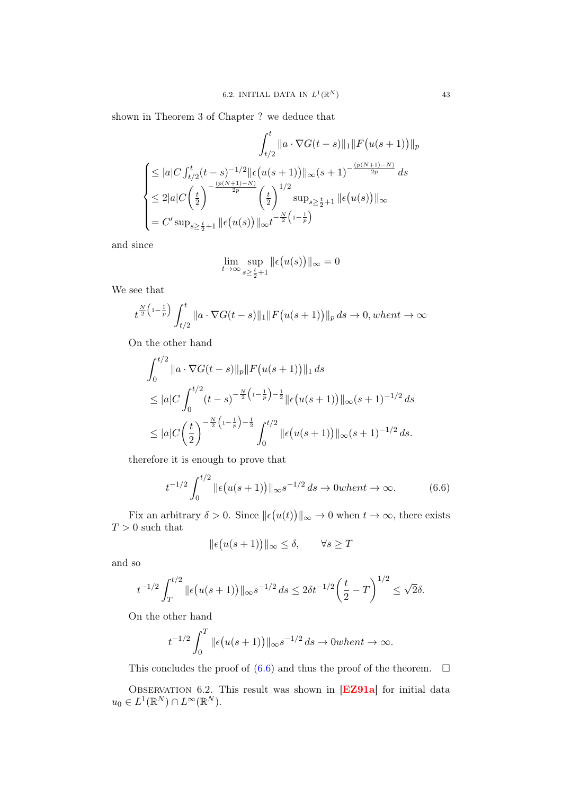shown in Theorem 3 of Chapter ? we deduce that

$$
\int_{t/2}^{t} \|a \cdot \nabla G(t-s)\|_{1} \|F(u(s+1))\|_{p}
$$
\n
$$
\leq |a| C \int_{t/2}^{t} (t-s)^{-1/2} \|\epsilon(u(s+1))\|_{\infty} (s+1)^{-\frac{(p(N+1)-N)}{2p}} ds
$$
\n
$$
\leq 2|a| C \left(\frac{t}{2}\right)^{-\frac{(p(N+1)-N)}{2p}} \left(\frac{t}{2}\right)^{1/2} \sup_{s \geq \frac{t}{2}+1} \|\epsilon(u(s))\|_{\infty}
$$
\n
$$
= C' \sup_{s \geq \frac{t}{2}+1} \|\epsilon(u(s))\|_{\infty} t^{-\frac{N}{2} \left(1-\frac{1}{p}\right)}
$$

and since

$$
\lim_{t \to \infty} \sup_{s \ge \frac{t}{2} + 1} \| \epsilon(u(s)) \|_{\infty} = 0
$$

We see that

$$
t^{\frac{N}{2}\left(1-\frac{1}{p}\right)} \int_{t/2}^{t} \|a \cdot \nabla G(t-s)\|_{1} \|F\big(u(s+1)\big)\|_{p} ds \to 0, when t \to \infty
$$

On the other hand

$$
\int_0^{t/2} \|a \cdot \nabla G(t-s)\|_p \|F(u(s+1))\|_1 ds
$$
  
\n
$$
\leq |a| C \int_0^{t/2} (t-s)^{-\frac{N}{2} (1-\frac{1}{p})-\frac{1}{2}} \| \epsilon(u(s+1)) \|_\infty (s+1)^{-1/2} ds
$$
  
\n
$$
\leq |a| C \left(\frac{t}{2}\right)^{-\frac{N}{2} (1-\frac{1}{p})-\frac{1}{2}} \int_0^{t/2} \| \epsilon(u(s+1)) \|_\infty (s+1)^{-1/2} ds.
$$

therefore it is enough to prove that

<span id="page-46-0"></span>
$$
t^{-1/2} \int_0^{t/2} \|\epsilon(u(s+1))\|_{\infty} s^{-1/2} ds \to 0 \text{ when } t \to \infty.
$$
 (6.6)

Fix an arbitrary  $\delta > 0$ . Since  $\|\epsilon(u(t))\|_{\infty} \to 0$  when  $t \to \infty$ , there exists  $T>0$  such that

$$
\|\epsilon(u(s+1))\|_{\infty} \leq \delta, \qquad \forall s \geq T
$$

and so

$$
t^{-1/2} \int_T^{t/2} \| \epsilon(u(s+1)) \|_{\infty} s^{-1/2} ds \le 2 \delta t^{-1/2} \left(\frac{t}{2} - T\right)^{1/2} \le \sqrt{2} \delta.
$$

On the other hand

$$
t^{-1/2} \int_0^T \|\epsilon(u(s+1))\|_{\infty} s^{-1/2} ds \to 0 when t \to \infty.
$$

This concludes the proof of  $(6.6)$  and thus the proof of the theorem.  $\Box$ 

OBSERVATION 6.2. This result was shown in [[EZ91a](#page-81-0)] for initial data  $u_0 \in L^1(\mathbb{R}^N) \cap L^\infty(\mathbb{R}^N).$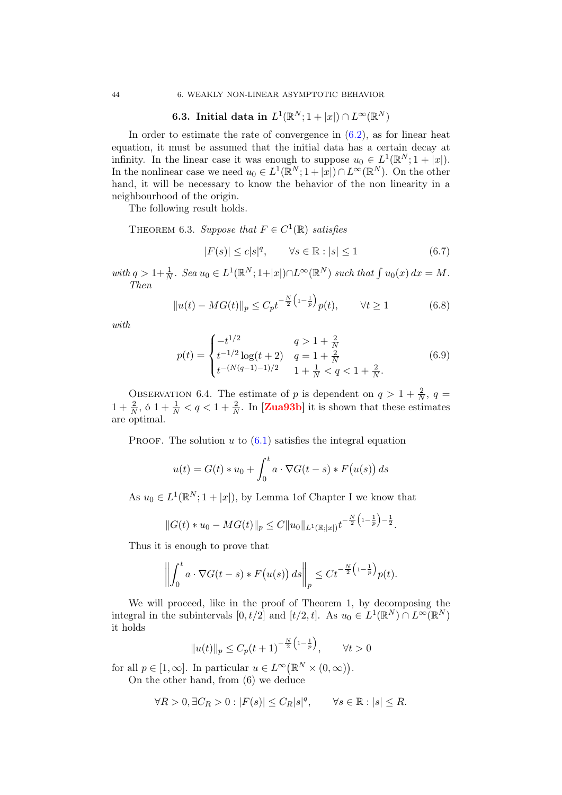# **6.3.** Initial data in  $L^1(\mathbb{R}^N; 1 + |x|) \cap L^\infty(\mathbb{R}^N)$

In order to estimate the rate of convergence in  $(6.2)$ , as for linear heat equation, it must be assumed that the initial data has a certain decay at infinity. In the linear case it was enough to suppose  $u_0 \in L^1(\mathbb{R}^N; 1 + |x|)$ . In the nonlinear case we need  $u_0 \in L^1(\mathbb{R}^N; 1+|x|) \cap L^\infty(\mathbb{R}^N)$ . On the other hand, it will be necessary to know the behavior of the non linearity in a neighbourhood of the origin.

The following result holds.

THEOREM 6.3. Suppose that  $F \in C^1(\mathbb{R})$  satisfies

$$
|F(s)| \le c|s|^q, \qquad \forall s \in \mathbb{R} : |s| \le 1 \tag{6.7}
$$

with  $q > 1 + \frac{1}{N}$ . Sea  $u_0 \in L^1(\mathbb{R}^N; 1 + |x|) \cap L^\infty(\mathbb{R}^N)$  such that  $\int u_0(x) dx = M$ . Then

$$
||u(t) - MG(t)||_p \le C_p t^{-\frac{N}{2} \left(1 - \frac{1}{p}\right)} p(t), \qquad \forall t \ge 1
$$
 (6.8)

with

$$
p(t) = \begin{cases} -t^{1/2} & q > 1 + \frac{2}{N} \\ t^{-1/2} \log(t+2) & q = 1 + \frac{2}{N} \\ t^{-(N(q-1)-1)/2} & 1 + \frac{1}{N} < q < 1 + \frac{2}{N} .\end{cases}
$$
(6.9)

OBSERVATION 6.4. The estimate of p is dependent on  $q > 1 + \frac{2}{N}$ ,  $q =$  $1 + \frac{2}{N}$ , 6  $1 + \frac{1}{N} < q < 1 + \frac{2}{N}$ . In [[Zua93b](#page-83-3)] it is shown that these estimates are optimal.

PROOF. The solution  $u$  to  $(6.1)$  satisfies the integral equation

$$
u(t) = G(t) * u_0 + \int_0^t a \cdot \nabla G(t - s) * F(u(s)) ds
$$

As  $u_0 \in L^1(\mathbb{R}^N; 1+|x|)$ , by Lemma 1of Chapter I we know that

$$
||G(t) * u_0 - MG(t)||_p \leq C||u_0||_{L^1(\mathbb{R};|x|)} t^{-\frac{N}{2}\left(1-\frac{1}{p}\right) - \frac{1}{2}}.
$$

Thus it is enough to prove that

$$
\left\| \int_0^t a \cdot \nabla G(t-s) * F(u(s)) ds \right\|_p \leq C t^{-\frac{N}{2} \left(1 - \frac{1}{p}\right)} p(t).
$$

We will proceed, like in the proof of Theorem 1, by decomposing the integral in the subintervals  $[0, t/2]$  and  $[t/2, t]$ . As  $u_0 \in L^1(\mathbb{R}^N) \cap L^\infty(\mathbb{R}^N)$ it holds

$$
||u(t)||_p \le C_p(t+1)^{-\frac{N}{2}(1-\frac{1}{p})}, \quad \forall t > 0
$$

for all  $p \in [1,\infty]$ . In particular  $u \in L^{\infty}(\mathbb{R}^N \times (0,\infty))$ .

On the other hand, from (6) we deduce

$$
\forall R > 0, \exists C_R > 0 : |F(s)| \le C_R |s|^q, \qquad \forall s \in \mathbb{R} : |s| \le R.
$$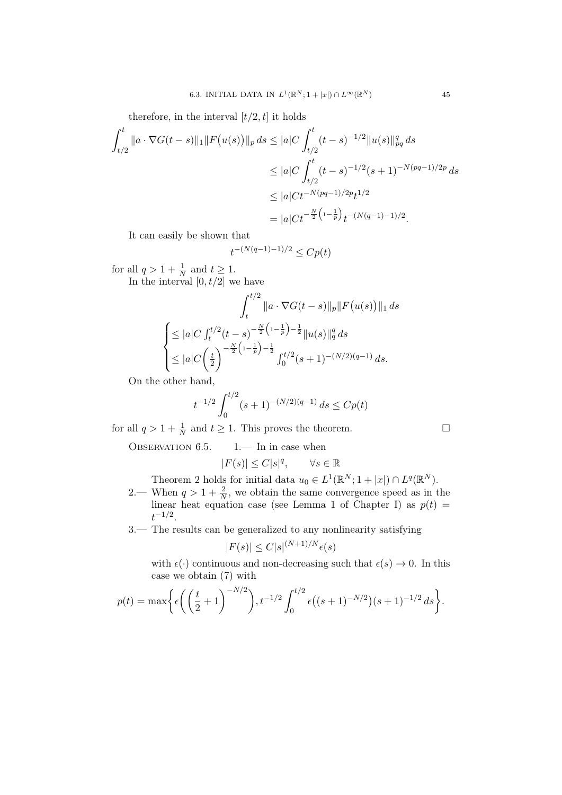therefore, in the interval  $[t/2, t]$  it holds

$$
\int_{t/2}^{t} \|a \cdot \nabla G(t-s)\|_{1} \|F(u(s))\|_{p} ds \leq |a| C \int_{t/2}^{t} (t-s)^{-1/2} \|u(s)\|_{pq}^{q} ds
$$
  
\n
$$
\leq |a| C \int_{t/2}^{t} (t-s)^{-1/2} (s+1)^{-N(pq-1)/2p} ds
$$
  
\n
$$
\leq |a| C t^{-N(pq-1)/2p} t^{1/2}
$$
  
\n
$$
= |a| C t^{-\frac{N}{2} (1-\frac{1}{p})} t^{-(N(q-1)-1)/2}.
$$

It can easily be shown that

$$
t^{-(N(q-1)-1)/2} \le Cp(t)
$$

for all  $q > 1 + \frac{1}{N}$  and  $t \ge 1$ . In the interval  $[0, t/2]$  we have

$$
\int_{t}^{t/2} \|a \cdot \nabla G(t-s)\|_{p} \|F(u(s))\|_{1} ds
$$
  

$$
\begin{cases} \leq |a| C \int_{t}^{t/2} (t-s)^{-\frac{N}{2} \left(1-\frac{1}{p}\right) - \frac{1}{2}} \|u(s)\|_{q}^{q} ds \\ \leq |a| C \left(\frac{t}{2}\right)^{-\frac{N}{2} \left(1-\frac{1}{p}\right) - \frac{1}{2}} \int_{0}^{t/2} (s+1)^{-(N/2)(q-1)} ds. \end{cases}
$$

On the other hand,

$$
t^{-1/2} \int_0^{t/2} (s+1)^{-(N/2)(q-1)} ds \le C p(t)
$$

for all  $q > 1 + \frac{1}{N}$  and  $t \ge 1$ . This proves the theorem.

OBSERVATION  $6.5.$  1.— In in case when

$$
|F(s)| \le C|s|^q, \qquad \forall s \in \mathbb{R}
$$

Theorem 2 holds for initial data  $u_0 \in L^1(\mathbb{R}^N; 1+|x|) \cap L^q(\mathbb{R}^N)$ .

- 2.— When  $q > 1 + \frac{2}{N}$ , we obtain the same convergence speed as in the linear heat equation case (see Lemma 1 of Chapter I) as  $p(t)$  =  $t^{-1/2}.$
- 3.— The results can be generalized to any nonlinearity satisfying

$$
|F(s)| \le C|s|^{(N+1)/N}\epsilon(s)
$$

with  $\epsilon(\cdot)$  continuous and non-decreasing such that  $\epsilon(s) \to 0$ . In this case we obtain (7) with

$$
p(t) = \max\bigg\{\epsilon\bigg(\bigg(\frac{t}{2}+1\bigg)^{-N/2}\bigg), t^{-1/2} \int_0^{t/2} \epsilon\big((s+1)^{-N/2}\big)(s+1)^{-1/2} \, ds\bigg\}.
$$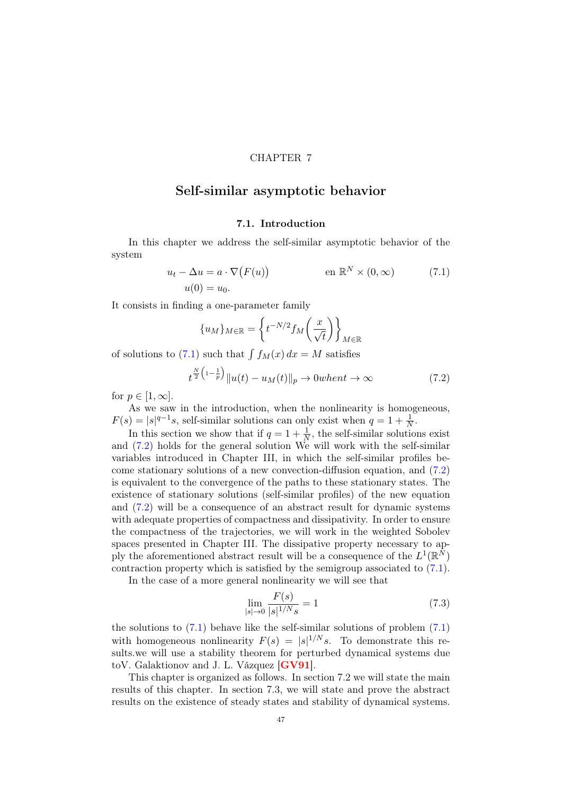### CHAPTER 7

## Self-similar asymptotic behavior

## <span id="page-50-0"></span>7.1. Introduction

In this chapter we address the self-similar asymptotic behavior of the system

$$
u_t - \Delta u = a \cdot \nabla (F(u)) \qquad \text{en } \mathbb{R}^N \times (0, \infty) \qquad (7.1)
$$
  

$$
u(0) = u_0.
$$

It consists in finding a one-parameter family

$$
\{u_M\}_{M \in \mathbb{R}} = \left\{ t^{-N/2} f_M\left(\frac{x}{\sqrt{t}}\right) \right\}_{M \in \mathbb{R}}
$$

of solutions to  $(7.1)$  such that  $\int f_M(x) dx = M$  satisfies

<span id="page-50-1"></span>
$$
t^{\frac{N}{2}\left(1-\frac{1}{p}\right)}\|u(t) - u_M(t)\|_p \to 0 \text{when } t \to \infty \tag{7.2}
$$

for  $p \in [1,\infty]$ .

As we saw in the introduction, when the nonlinearity is homogeneous,  $F(s) = |s|^{q-1}s$ , self-similar solutions can only exist when  $q = 1 + \frac{1}{N}$ .

In this section we show that if  $q = 1 + \frac{1}{N}$ , the self-similar solutions exist and [\(7.2\)](#page-50-1) holds for the general solution We will work with the self-similar variables introduced in Chapter III, in which the self-similar profiles become stationary solutions of a new convection-diffusion equation, and [\(7.2\)](#page-50-1) is equivalent to the convergence of the paths to these stationary states. The existence of stationary solutions (self-similar profiles) of the new equation and [\(7.2\)](#page-50-1) will be a consequence of an abstract result for dynamic systems with adequate properties of compactness and dissipativity. In order to ensure the compactness of the trajectories, we will work in the weighted Sobolev spaces presented in Chapter III. The dissipative property necessary to apply the aforementioned abstract result will be a consequence of the  $L^1(\mathbb{R}^N)$ contraction property which is satisfied by the semigroup associated to [\(7.1\)](#page-50-0).

In the case of a more general nonlinearity we will see that

<span id="page-50-2"></span>
$$
\lim_{|s| \to 0} \frac{F(s)}{|s|^{1/N} s} = 1
$$
\n(7.3)

the solutions to  $(7.1)$  behave like the self-similar solutions of problem  $(7.1)$ with homogeneous nonlinearity  $F(s) = |s|^{1/N} s$ . To demonstrate this results.we will use a stability theorem for perturbed dynamical systems due toV. Galaktionov and J. L. Vázquez [[GV91](#page-82-0)].

This chapter is organized as follows. In section 7.2 we will state the main results of this chapter. In section 7.3, we will state and prove the abstract results on the existence of steady states and stability of dynamical systems.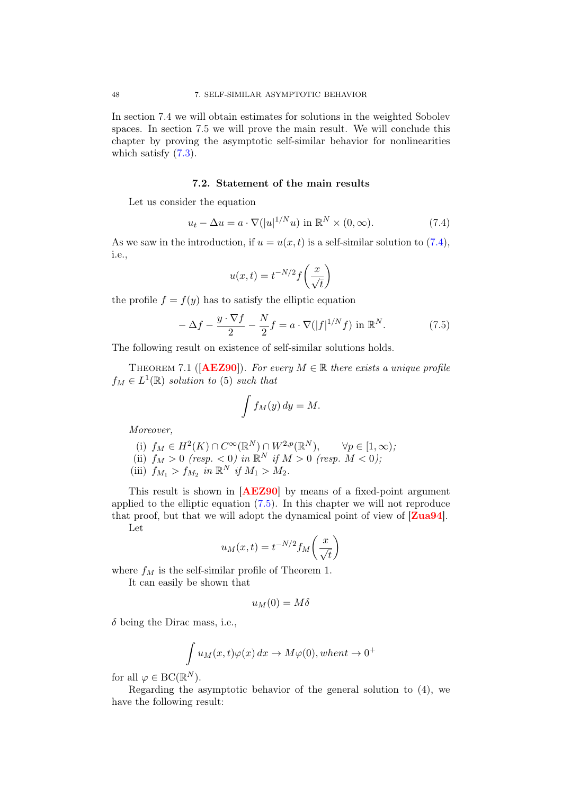In section 7.4 we will obtain estimates for solutions in the weighted Sobolev spaces. In section 7.5 we will prove the main result. We will conclude this chapter by proving the asymptotic self-similar behavior for nonlinearities which satisfy  $(7.3)$ .

### 7.2. Statement of the main results

Let us consider the equation

<span id="page-51-0"></span>
$$
u_t - \Delta u = a \cdot \nabla (|u|^{1/N} u) \text{ in } \mathbb{R}^N \times (0, \infty).
$$
 (7.4)

As we saw in the introduction, if  $u = u(x, t)$  is a self-similar solution to [\(7.4\)](#page-51-0), i.e.,

$$
u(x,t) = t^{-N/2} f\left(\frac{x}{\sqrt{t}}\right)
$$

the profile  $f = f(y)$  has to satisfy the elliptic equation

<span id="page-51-1"></span>
$$
-\Delta f - \frac{y \cdot \nabla f}{2} - \frac{N}{2}f = a \cdot \nabla (|f|^{1/N} f) \text{ in } \mathbb{R}^N. \tag{7.5}
$$

The following result on existence of self-similar solutions holds.

THEOREM 7.1 ( $[AEZ90]$  $[AEZ90]$  $[AEZ90]$ ). For every  $M \in \mathbb{R}$  there exists a unique profile  $f_M \in L^1(\mathbb{R})$  solution to (5) such that

$$
\int f_M(y)\,dy = M.
$$

Moreover,

(i) 
$$
f_M \in H^2(K) \cap C^\infty(\mathbb{R}^N) \cap W^{2,p}(\mathbb{R}^N), \quad \forall p \in [1,\infty);
$$

(ii) 
$$
f_M > 0
$$
 (resp.  $< 0$ ) in  $\mathbb{R}^N$  if  $M > 0$  (resp.  $M < 0$ );

(iii)  $f_{M_1} > f_{M_2}$  in  $\mathbb{R}^N$  if  $M_1 > M_2$ .

This result is shown in [[AEZ90](#page-80-1)] by means of a fixed-point argument applied to the elliptic equation [\(7.5\)](#page-51-1). In this chapter we will not reproduce that proof, but that we will adopt the dynamical point of view of [[Zua94](#page-83-4)]. Let

$$
u_M(x,t) = t^{-N/2} f_M\left(\frac{x}{\sqrt{t}}\right)
$$

where  $f_M$  is the self-similar profile of Theorem 1.

It can easily be shown that

$$
u_M(0)=M\delta
$$

 $\delta$  being the Dirac mass, i.e.,

$$
\int u_M(x,t)\varphi(x) dx \to M\varphi(0), when t \to 0^+
$$

for all  $\varphi \in BC(\mathbb{R}^N)$ .

Regarding the asymptotic behavior of the general solution to (4), we have the following result: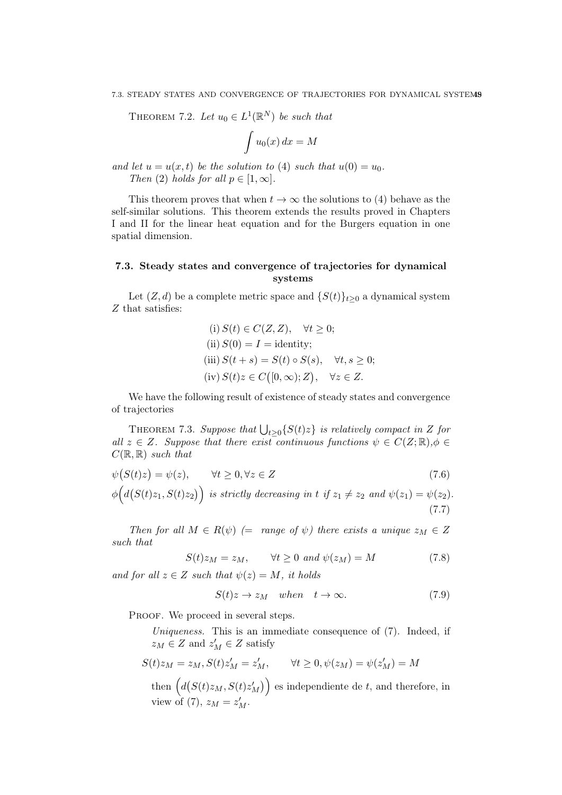THEOREM 7.2. Let  $u_0 \in L^1(\mathbb{R}^N)$  be such that

$$
\int u_0(x) \, dx = M
$$

and let  $u = u(x, t)$  be the solution to (4) such that  $u(0) = u_0$ . Then (2) holds for all  $p \in [1,\infty]$ .

This theorem proves that when  $t \to \infty$  the solutions to (4) behave as the self-similar solutions. This theorem extends the results proved in Chapters I and II for the linear heat equation and for the Burgers equation in one spatial dimension.

## 7.3. Steady states and convergence of trajectories for dynamical systems

Let  $(Z, d)$  be a complete metric space and  $\{S(t)\}_{t\geq0}$  a dynamical system Z that satisfies:

(i) 
$$
S(t) \in C(Z, Z)
$$
,  $\forall t \ge 0$ ;  
\n(ii)  $S(0) = I = \text{identity}$ ;  
\n(iii)  $S(t + s) = S(t) \circ S(s)$ ,  $\forall t, s \ge 0$ ;  
\n(iv)  $S(t)z \in C([0, \infty); Z)$ ,  $\forall z \in Z$ .

We have the following result of existence of steady states and convergence of trajectories

THEOREM 7.3. Suppose that  $\bigcup_{t\geq 0} \{S(t)z\}$  is relatively compact in Z for all  $z \in Z$ . Suppose that there exist continuous functions  $\psi \in C(Z;\mathbb{R}), \phi \in$  $C(\mathbb{R}, \mathbb{R})$  such that

$$
\psi(S(t)z) = \psi(z), \qquad \forall t \ge 0, \forall z \in Z
$$
\n
$$
\phi\Big(d(S(t)z_1, S(t)z_2)\Big) \text{ is strictly decreasing in } t \text{ if } z_1 \ne z_2 \text{ and } \psi(z_1) = \psi(z_2).
$$
\n
$$
(7.7)
$$

Then for all  $M \in R(\psi)$  (= range of  $\psi$ ) there exists a unique  $z_M \in Z$ such that

<span id="page-52-0"></span>
$$
S(t)z_M = z_M, \qquad \forall t \ge 0 \text{ and } \psi(z_M) = M \tag{7.8}
$$

and for all  $z \in Z$  such that  $\psi(z) = M$ , it holds

<span id="page-52-3"></span><span id="page-52-2"></span><span id="page-52-1"></span>
$$
S(t)z \to z_M \quad when \quad t \to \infty. \tag{7.9}
$$

PROOF. We proceed in several steps.

Uniqueness. This is an immediate consequence of (7). Indeed, if  $z_M \in Z$  and  $z'_M \in Z$  satisfy

$$
S(t)z_M = z_M, S(t)z'_M = z'_M, \qquad \forall t \ge 0, \psi(z_M) = \psi(z'_M) = M
$$

then  $(d(S(t)z_M, S(t)z_M'))$  es independiente de t, and therefore, in view of (7),  $z_M = z'_M$ .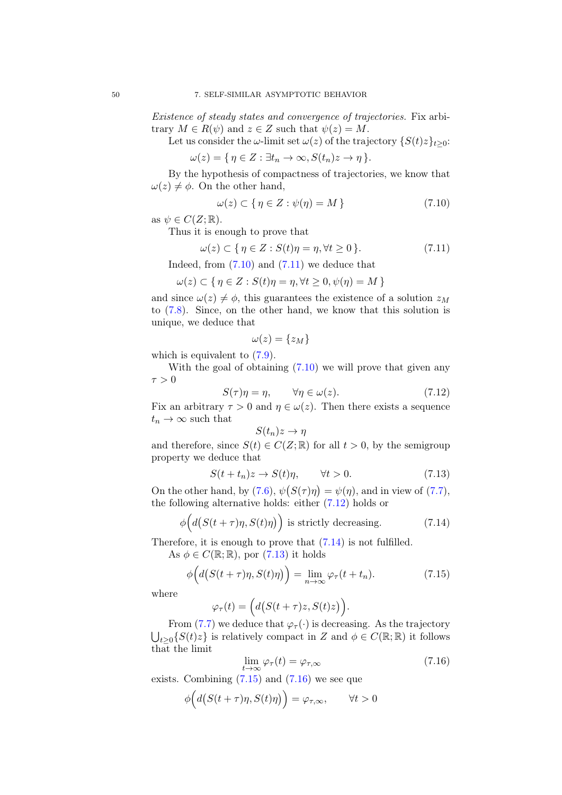Existence of steady states and convergence of trajectories. Fix arbitrary  $M \in R(\psi)$  and  $z \in Z$  such that  $\psi(z) = M$ .

Let us consider the  $\omega$ -limit set  $\omega(z)$  of the trajectory  $\{S(t)z\}_{t\geq 0}$ :

$$
\omega(z) = \{ \eta \in Z : \exists t_n \to \infty, S(t_n)z \to \eta \}.
$$

By the hypothesis of compactness of trajectories, we know that  $\omega(z) \neq \phi$ . On the other hand,

<span id="page-53-0"></span>
$$
\omega(z) \subset \{ \eta \in Z : \psi(\eta) = M \}
$$
\n(7.10)

as  $\psi \in C(Z;\mathbb{R})$ .

Thus it is enough to prove that

<span id="page-53-1"></span>
$$
\omega(z) \subset \{ \eta \in Z : S(t)\eta = \eta, \forall t \ge 0 \}. \tag{7.11}
$$

Indeed, from  $(7.10)$  and  $(7.11)$  we deduce that

$$
\omega(z) \subset \{ \eta \in Z : S(t)\eta = \eta, \forall t \ge 0, \psi(\eta) = M \}
$$

and since  $\omega(z) \neq \phi$ , this guarantees the existence of a solution  $z_M$ to [\(7.8\)](#page-52-0). Since, on the other hand, we know that this solution is unique, we deduce that

$$
\omega(z)=\{z_M\}
$$

which is equivalent to  $(7.9)$ .

With the goal of obtaining  $(7.10)$  we will prove that given any  $\tau > 0$ 

<span id="page-53-2"></span>
$$
S(\tau)\eta = \eta, \qquad \forall \eta \in \omega(z). \tag{7.12}
$$

Fix an arbitrary  $\tau > 0$  and  $\eta \in \omega(z)$ . Then there exists a sequence  $t_n \to \infty$  such that

$$
S(t_n)z \to \eta
$$

and therefore, since  $S(t) \in C(Z;\mathbb{R})$  for all  $t > 0$ , by the semigroup property we deduce that

<span id="page-53-4"></span>
$$
S(t + t_n)z \to S(t)\eta, \qquad \forall t > 0. \tag{7.13}
$$

On the other hand, by  $(7.6)$ ,  $\psi(S(\tau)\eta) = \psi(\eta)$ , and in view of  $(7.7)$ , the following alternative holds: either [\(7.12\)](#page-53-2) holds or

<span id="page-53-3"></span>
$$
\phi\Big(d\big(S(t+\tau)\eta, S(t)\eta\big)\Big) \text{ is strictly decreasing.}\tag{7.14}
$$

Therefore, it is enough to prove that  $(7.14)$  is not fulfilled.

As  $\phi \in C(\mathbb{R}; \mathbb{R})$ , por  $(7.13)$  it holds

<span id="page-53-5"></span>
$$
\phi\Big(d\big(S(t+\tau)\eta, S(t)\eta\big)\Big) = \lim_{n \to \infty} \varphi_{\tau}(t+t_n). \tag{7.15}
$$

where

$$
\varphi_{\tau}(t) = \Big( d\big(S(t+\tau)z, S(t)z\big)\Big).
$$

From [\(7.7\)](#page-52-3) we deduce that  $\varphi_{\tau}(\cdot)$  is decreasing. As the trajectory  $\bigcup_{t\geq 0} \{S(t)z\}$  is relatively compact in Z and  $\phi \in C(\mathbb{R}; \mathbb{R})$  it follows that the limit

<span id="page-53-6"></span>
$$
\lim_{t \to \infty} \varphi_{\tau}(t) = \varphi_{\tau, \infty} \tag{7.16}
$$

exists. Combining  $(7.15)$  and  $(7.16)$  we see que

$$
\phi\Big(d\big(S(t+\tau)\eta,S(t)\eta\big)\Big)=\varphi_{\tau,\infty},\qquad\forall t>0
$$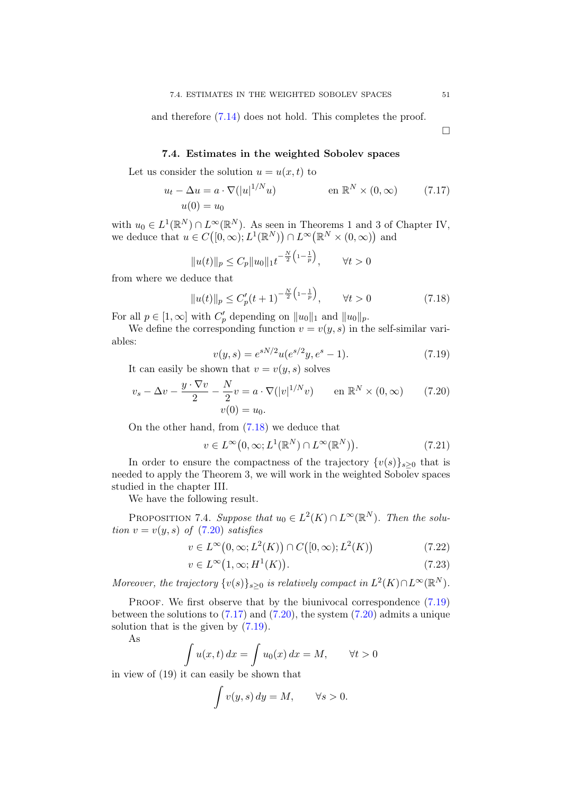and therefore [\(7.14\)](#page-53-3) does not hold. This completes the proof.

<span id="page-54-3"></span> $\Box$ 

### 7.4. Estimates in the weighted Sobolev spaces

Let us consider the solution  $u = u(x, t)$  to

$$
u_t - \Delta u = a \cdot \nabla (|u|^{1/N} u)
$$
 en  $\mathbb{R}^N \times (0, \infty)$  (7.17)  

$$
u(0) = u_0
$$

with  $u_0 \in L^1(\mathbb{R}^N) \cap L^\infty(\mathbb{R}^N)$ . As seen in Theorems 1 and 3 of Chapter IV, we deduce that  $u \in C([0,\infty); L^1(\mathbb{R}^N)) \cap L^{\infty}(\mathbb{R}^N \times (0,\infty))$  and

$$
||u(t)||_p \le C_p ||u_0||_1 t^{-\frac{N}{2} \left(1 - \frac{1}{p}\right)}, \qquad \forall t > 0
$$

from where we deduce that

<span id="page-54-0"></span>
$$
||u(t)||_{p} \leq C'_{p}(t+1)^{-\frac{N}{2}\left(1-\frac{1}{p}\right)}, \qquad \forall t > 0 \tag{7.18}
$$

For all  $p \in [1, \infty]$  with  $C'_p$  depending on  $||u_0||_1$  and  $||u_0||_p$ .

We define the corresponding function  $v = v(y, s)$  in the self-similar variables:

<span id="page-54-2"></span><span id="page-54-1"></span>
$$
v(y,s) = e^{sN/2}u(e^{s/2}y, e^s - 1).
$$
 (7.19)

It can easily be shown that  $v = v(y, s)$  solves

$$
v_s - \Delta v - \frac{y \cdot \nabla v}{2} - \frac{N}{2}v = a \cdot \nabla (|v|^{1/N}v) \qquad \text{en } \mathbb{R}^N \times (0, \infty) \tag{7.20}
$$

$$
v(0) = u_0.
$$

On the other hand, from [\(7.18\)](#page-54-0) we deduce that

$$
v \in L^{\infty}(0,\infty; L^{1}(\mathbb{R}^{N}) \cap L^{\infty}(\mathbb{R}^{N})).
$$
\n(7.21)

In order to ensure the compactness of the trajectory  $\{v(s)\}_{s>0}$  that is needed to apply the Theorem 3, we will work in the weighted Sobolev spaces studied in the chapter III.

We have the following result.

PROPOSITION 7.4. Suppose that  $u_0 \in L^2(K) \cap L^\infty(\mathbb{R}^N)$ . Then the solution  $v = v(y, s)$  of  $(7.20)$  satisfies

$$
v \in L^{\infty}(0,\infty; L^{2}(K)) \cap C([0,\infty); L^{2}(K))
$$
\n(7.22)

<span id="page-54-5"></span><span id="page-54-4"></span>
$$
v \in L^{\infty}(1,\infty;H^1(K)).
$$
\n<sup>(7.23)</sup>

Moreover, the trajectory  $\{v(s)\}_{s\geq 0}$  is relatively compact in  $L^2(K) \cap L^\infty(\mathbb{R}^N)$ .

PROOF. We first observe that by the biunivocal correspondence  $(7.19)$ between the solutions to  $(7.17)$  and  $(7.20)$ , the system  $(7.20)$  admits a unique solution that is the given by [\(7.19\)](#page-54-2).

As

$$
\int u(x,t) dx = \int u_0(x) dx = M, \quad \forall t > 0
$$

in view of (19) it can easily be shown that

$$
\int v(y,s) \, dy = M, \qquad \forall s > 0.
$$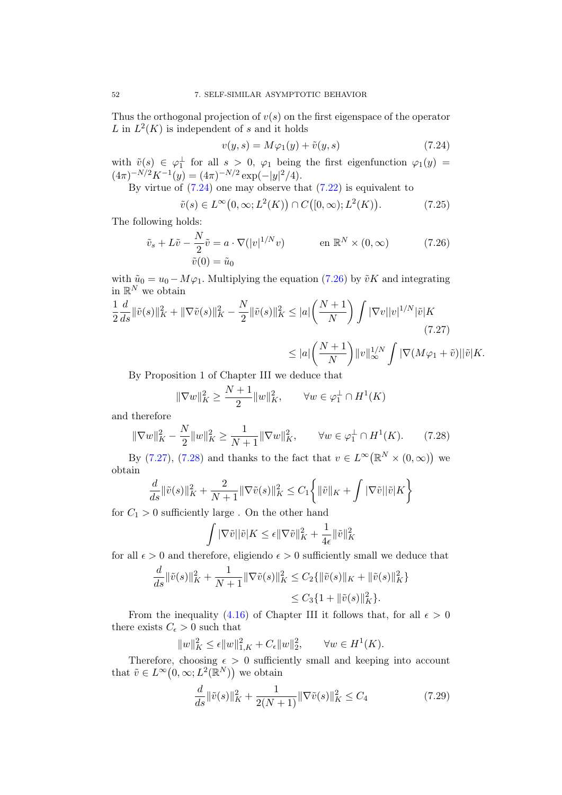Thus the orthogonal projection of  $v(s)$  on the first eigenspace of the operator L in  $L^2(K)$  is independent of s and it holds

<span id="page-55-1"></span><span id="page-55-0"></span>
$$
v(y,s) = M\varphi_1(y) + \tilde{v}(y,s)
$$
\n(7.24)

with  $\tilde{v}(s) \in \varphi_1^{\perp}$  for all  $s > 0$ ,  $\varphi_1$  being the first eigenfunction  $\varphi_1(y) =$  $(4\pi)^{-N/2} K^{-1}(y) = (4\pi)^{-N/2} \exp(-|y|^2/4).$ 

By virtue of  $(7.24)$  one may observe that  $(7.22)$  is equivalent to

$$
\tilde{v}(s) \in L^{\infty}(0,\infty; L^2(K)) \cap C([0,\infty); L^2(K)).
$$
\n(7.25)

The following holds:

$$
\tilde{v}_s + L\tilde{v} - \frac{N}{2}\tilde{v} = a \cdot \nabla(|v|^{1/N}v) \qquad \text{en } \mathbb{R}^N \times (0, \infty)
$$
\n
$$
\tilde{v}(0) = \tilde{u}_0 \qquad (7.26)
$$

with  $\tilde{u}_0 = u_0 - M\varphi_1$ . Multiplying the equation [\(7.26\)](#page-55-1) by  $\tilde{v}K$  and integrating in  $\mathbb{R}^N$  we obtain

$$
\frac{1}{2}\frac{d}{ds}\|\tilde{v}(s)\|_{K}^{2} + \|\nabla \tilde{v}(s)\|_{K}^{2} - \frac{N}{2}\|\tilde{v}(s)\|_{K}^{2} \le |a| \left(\frac{N+1}{N}\right) \int |\nabla v||v|^{1/N} |\tilde{v}|K
$$
\n(7.27)\n
$$
\le |a| \left(\frac{N+1}{N}\right) ||v||_{\infty}^{1/N} \int |\nabla (M\varphi_{1} + \tilde{v})||\tilde{v}|K.
$$

By Proposition 1 of Chapter III we deduce that

<span id="page-55-2"></span>
$$
\|\nabla w\|_K^2 \ge \frac{N+1}{2} \|w\|_K^2, \qquad \forall w \in \varphi_1^\perp \cap H^1(K)
$$

and therefore

<span id="page-55-3"></span>
$$
\|\nabla w\|_{K}^{2} - \frac{N}{2} \|w\|_{K}^{2} \ge \frac{1}{N+1} \|\nabla w\|_{K}^{2}, \qquad \forall w \in \varphi_{1}^{\perp} \cap H^{1}(K). \tag{7.28}
$$

By [\(7.27\)](#page-55-2), [\(7.28\)](#page-55-3) and thanks to the fact that  $v \in L^{\infty}(\mathbb{R}^{N} \times (0,\infty))$  we obtain

$$
\frac{d}{ds} \|\tilde{v}(s)\|_{K}^{2} + \frac{2}{N+1} \|\nabla \tilde{v}(s)\|_{K}^{2} \leq C_{1} \left\{\|\tilde{v}\|_{K} + \int |\nabla \tilde{v}||\tilde{v}|K\right\}
$$

for  $C_1 > 0$  sufficiently large. On the other hand

$$
\int |\nabla \tilde{v}| |\tilde{v}| K \leq \epsilon \|\nabla \tilde{v}\|_K^2 + \frac{1}{4\epsilon} \|\tilde{v}\|_K^2
$$

for all  $\epsilon > 0$  and therefore, eligiendo  $\epsilon > 0$  sufficiently small we deduce that

$$
\frac{d}{ds} \|\tilde{v}(s)\|_{K}^{2} + \frac{1}{N+1} \|\nabla \tilde{v}(s)\|_{K}^{2} \leq C_{2} \{\|\tilde{v}(s)\|_{K} + \|\tilde{v}(s)\|_{K}^{2}\} \leq C_{3} \{1 + \|\tilde{v}(s)\|_{K}^{2}\}.
$$

From the inequality [\(4.16\)](#page-24-0) of Chapter III it follows that, for all  $\epsilon > 0$ there exists  $C_{\epsilon} > 0$  such that

$$
||w||_K^2 \le \epsilon ||w||_{1,K}^2 + C_{\epsilon} ||w||_2^2, \qquad \forall w \in H^1(K).
$$

Therefore, choosing  $\epsilon > 0$  sufficiently small and keeping into account that  $\tilde{v} \in L^{\infty}(0,\infty; L^{2}(\mathbb{R}^{N}))$  we obtain

<span id="page-55-4"></span>
$$
\frac{d}{ds} \|\tilde{v}(s)\|_{K}^{2} + \frac{1}{2(N+1)} \|\nabla \tilde{v}(s)\|_{K}^{2} \le C_{4}
$$
\n(7.29)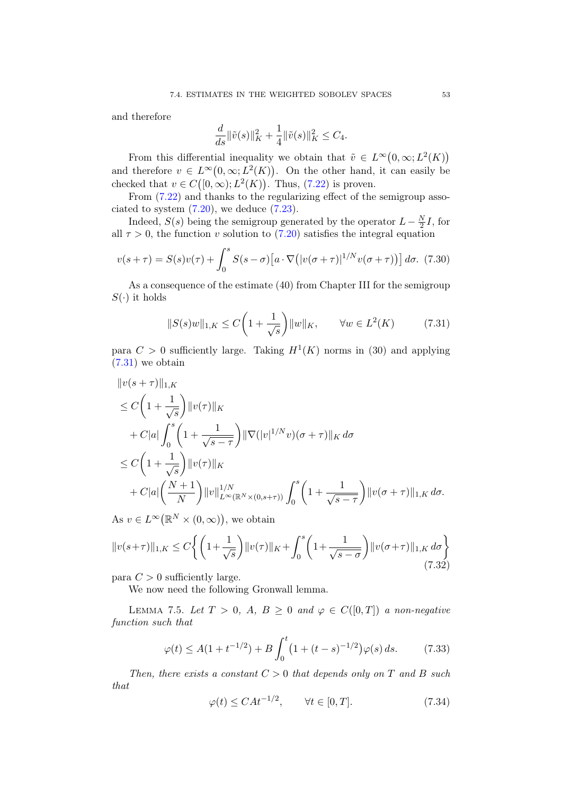and therefore

$$
\frac{d}{ds} \|\tilde{v}(s)\|_{K}^{2} + \frac{1}{4} \|\tilde{v}(s)\|_{K}^{2} \leq C_{4}.
$$

From this differential inequality we obtain that  $\tilde{v} \in L^{\infty}(0,\infty; L^2(K))$ and therefore  $v \in L^{\infty}(0,\infty; L^2(K))$ . On the other hand, it can easily be checked that  $v \in C([0,\infty); L^2(K))$ . Thus, [\(7.22\)](#page-54-4) is proven.

From [\(7.22\)](#page-54-4) and thanks to the regularizing effect of the semigroup associated to system  $(7.20)$ , we deduce  $(7.23)$ .

Indeed,  $S(s)$  being the semigroup generated by the operator  $L - \frac{N}{2}$  $\frac{N}{2}I$ , for all  $\tau > 0$ , the function v solution to [\(7.20\)](#page-54-1) satisfies the integral equation

$$
v(s+\tau) = S(s)v(\tau) + \int_0^s S(s-\sigma)[a \cdot \nabla(|v(\sigma+\tau)|^{1/N}v(\sigma+\tau))] d\sigma.
$$
 (7.30)

As a consequence of the estimate (40) from Chapter III for the semigroup  $S(\cdot)$  it holds

<span id="page-56-0"></span>
$$
||S(s)w||_{1,K} \le C\left(1 + \frac{1}{\sqrt{s}}\right) ||w||_K, \qquad \forall w \in L^2(K) \tag{7.31}
$$

para  $C > 0$  sufficiently large. Taking  $H^1(K)$  norms in (30) and applying  $(7.31)$  we obtain

$$
\|v(s+\tau)\|_{1,K}
$$
  
\n
$$
\leq C\left(1+\frac{1}{\sqrt{s}}\right)\|v(\tau)\|_{K}
$$
  
\n
$$
+ C|a|\int_{0}^{s}\left(1+\frac{1}{\sqrt{s-\tau}}\right)\|\nabla(|v|^{1/N}v)(\sigma+\tau)\|_{K} d\sigma
$$
  
\n
$$
\leq C\left(1+\frac{1}{\sqrt{s}}\right)\|v(\tau)\|_{K}
$$
  
\n
$$
+ C|a|\left(\frac{N+1}{N}\right)\|v\|_{L^{\infty}(\mathbb{R}^{N}\times(0,s+\tau))}^{1/N}\int_{0}^{s}\left(1+\frac{1}{\sqrt{s-\tau}}\right)\|v(\sigma+\tau)\|_{1,K} d\sigma.
$$

As  $v \in L^{\infty}(\mathbb{R}^N \times (0,\infty))$ , we obtain

<span id="page-56-3"></span>
$$
||v(s+\tau)||_{1,K} \le C \left\{ \left( 1 + \frac{1}{\sqrt{s}} \right) ||v(\tau)||_K + \int_0^s \left( 1 + \frac{1}{\sqrt{s-\sigma}} \right) ||v(\sigma+\tau)||_{1,K} d\sigma \right\}
$$
(7.32)

para  $C > 0$  sufficiently large.

We now need the following Gronwall lemma.

LEMMA 7.5. Let  $T > 0$ , A,  $B \ge 0$  and  $\varphi \in C([0, T])$  a non-negative function such that

<span id="page-56-1"></span>
$$
\varphi(t) \le A(1 + t^{-1/2}) + B \int_0^t \left(1 + (t - s)^{-1/2}\right) \varphi(s) \, ds. \tag{7.33}
$$

Then, there exists a constant  $C > 0$  that depends only on T and B such that

<span id="page-56-2"></span>
$$
\varphi(t) \le CAt^{-1/2}, \qquad \forall t \in [0, T]. \tag{7.34}
$$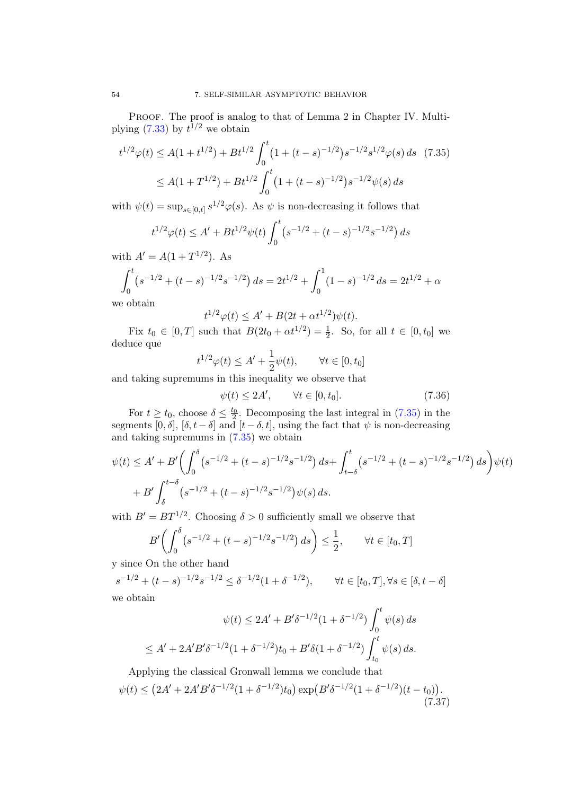PROOF. The proof is analog to that of Lemma 2 in Chapter IV. Multiplying  $(7.33)$  by  $t^{1/2}$  we obtain

$$
t^{1/2}\varphi(t) \le A(1+t^{1/2}) + Bt^{1/2} \int_0^t \left(1 + (t-s)^{-1/2}\right) s^{-1/2} s^{1/2} \varphi(s) ds \quad (7.35)
$$
  

$$
\le A(1+T^{1/2}) + Bt^{1/2} \int_0^t \left(1 + (t-s)^{-1/2}\right) s^{-1/2} \psi(s) ds
$$

with  $\psi(t) = \sup_{s \in [0,t]} s^{1/2} \varphi(s)$ . As  $\psi$  is non-decreasing it follows that

$$
t^{1/2}\varphi(t) \le A' + Bt^{1/2}\psi(t)\int_0^t \left(s^{-1/2} + (t-s)^{-1/2}s^{-1/2}\right)ds
$$

with  $A' = A(1 + T^{1/2})$ . As

$$
\int_0^t (s^{-1/2} + (t - s)^{-1/2} s^{-1/2}) ds = 2t^{1/2} + \int_0^1 (1 - s)^{-1/2} ds = 2t^{1/2} + \alpha
$$

we obtain

<span id="page-57-0"></span>
$$
t^{1/2}\varphi(t) \le A' + B(2t + \alpha t^{1/2})\psi(t).
$$

Fix  $t_0 \in [0, T]$  such that  $B(2t_0 + \alpha t^{1/2}) = \frac{1}{2}$ . So, for all  $t \in [0, t_0]$  we deduce que

$$
t^{1/2}\varphi(t) \le A' + \frac{1}{2}\psi(t), \qquad \forall t \in [0, t_0]
$$

and taking supremums in this inequality we observe that

<span id="page-57-1"></span>
$$
\psi(t) \le 2A', \qquad \forall t \in [0, t_0]. \tag{7.36}
$$

For  $t \geq t_0$ , choose  $\delta \leq \frac{t_0}{2}$ . Decomposing the last integral in [\(7.35\)](#page-57-0) in the segments  $[0, \delta], [\delta, t - \delta]$  and  $[t - \delta, t]$ , using the fact that  $\psi$  is non-decreasing and taking supremums in [\(7.35\)](#page-57-0) we obtain

$$
\psi(t) \le A' + B' \left( \int_0^\delta \left( s^{-1/2} + (t-s)^{-1/2} s^{-1/2} \right) ds + \int_{t-\delta}^t \left( s^{-1/2} + (t-s)^{-1/2} s^{-1/2} \right) ds \right) \psi(t) + B' \int_\delta^{t-\delta} \left( s^{-1/2} + (t-s)^{-1/2} s^{-1/2} \right) \psi(s) ds.
$$

with  $B' = BT^{1/2}$ . Choosing  $\delta > 0$  sufficiently small we observe that

$$
B'\left(\int_0^{\delta} (s^{-1/2} + (t-s)^{-1/2} s^{-1/2}) ds\right) \le \frac{1}{2}, \qquad \forall t \in [t_0, T]
$$

y since On the other hand

$$
s^{-1/2} + (t - s)^{-1/2} s^{-1/2} \le \delta^{-1/2} (1 + \delta^{-1/2}), \qquad \forall t \in [t_0, T], \forall s \in [\delta, t - \delta]
$$
  
we obtain

we obtain

$$
\psi(t) \le 2A' + B'\delta^{-1/2}(1+\delta^{-1/2}) \int_0^t \psi(s) ds
$$
  

$$
\le A' + 2A'B'\delta^{-1/2}(1+\delta^{-1/2})t_0 + B'\delta(1+\delta^{-1/2}) \int_{t_0}^t \psi(s) ds.
$$

Applying the classical Gronwall lemma we conclude that

<span id="page-57-2"></span>
$$
\psi(t) \le (2A' + 2A'B'\delta^{-1/2}(1+\delta^{-1/2})t_0) \exp(B'\delta^{-1/2}(1+\delta^{-1/2})(t-t_0)).
$$
\n(7.37)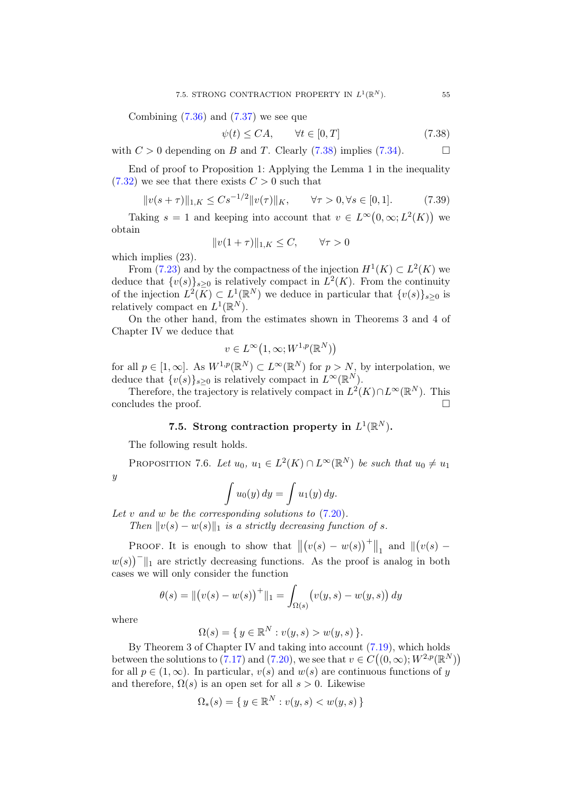Combining  $(7.36)$  and  $(7.37)$  we see que

<span id="page-58-0"></span>
$$
\psi(t) \le CA, \qquad \forall t \in [0, T] \tag{7.38}
$$

with  $C > 0$  depending on B and T. Clearly [\(7.38\)](#page-58-0) implies [\(7.34\)](#page-56-2).

End of proof to Proposition 1: Applying the Lemma 1 in the inequality  $(7.32)$  we see that there exists  $C > 0$  such that

$$
||v(s+\tau)||_{1,K} \le Cs^{-1/2}||v(\tau)||_K, \qquad \forall \tau > 0, \forall s \in [0,1]. \tag{7.39}
$$

Taking  $s = 1$  and keeping into account that  $v \in L^{\infty}(0, \infty; L^2(K))$  we obtain

$$
||v(1+\tau)||_{1,K} \le C, \qquad \forall \tau > 0
$$

which implies (23).

From [\(7.23\)](#page-54-5) and by the compactness of the injection  $H^1(K) \subset L^2(K)$  we deduce that  $\{v(s)\}_{s\geq 0}$  is relatively compact in  $L^2(K)$ . From the continuity of the injection  $L^2(\overline{K}) \subset L^1(\mathbb{R}^N)$  we deduce in particular that  $\{v(s)\}_{s\geq 0}$  is relatively compact en  $L^1(\mathbb{R}^N)$ .

On the other hand, from the estimates shown in Theorems 3 and 4 of Chapter IV we deduce that

$$
v \in L^{\infty}(1,\infty;W^{1,p}(\mathbb{R}^N))
$$

for all  $p \in [1,\infty]$ . As  $W^{1,p}(\mathbb{R}^N) \subset L^\infty(\mathbb{R}^N)$  for  $p > N$ , by interpolation, we deduce that  $\{v(s)\}_{s\geq 0}$  is relatively compact in  $L^{\infty}(\mathbb{R}^N)$ .

Therefore, the trajectory is relatively compact in  $L^2(K) \cap L^\infty(\mathbb{R}^N)$ . This concludes the proof.

# 7.5. Strong contraction property in  $L^1(\mathbb{R}^N)$ .

The following result holds.

PROPOSITION 7.6. Let  $u_0, u_1 \in L^2(K) \cap L^\infty(\mathbb{R}^N)$  be such that  $u_0 \neq u_1$ 

 $\mathcal{Y}$ 

$$
\int u_0(y) dy = \int u_1(y) dy.
$$

Let v and w be the corresponding solutions to  $(7.20)$ .

Then  $||v(s) - w(s)||_1$  is a strictly decreasing function of s.

PROOF. It is enough to show that  $\|(v(s) - w(s))^+\|_1$  and  $\|(v(s) - w(s))^+\|_2$  $w(s)$ <sup>-</sup> $||_1$  are strictly decreasing functions. As the proof is analog in both cases we will only consider the function

$$
\theta(s) = ||(v(s) - w(s))^{+}||_1 = \int_{\Omega(s)} (v(y, s) - w(y, s)) dy
$$

where

$$
\Omega(s) = \{ y \in \mathbb{R}^N : v(y, s) > w(y, s) \}.
$$

By Theorem 3 of Chapter IV and taking into account [\(7.19\)](#page-54-2), which holds between the solutions to [\(7.17\)](#page-54-3) and [\(7.20\)](#page-54-1), we see that  $v \in C((0,\infty);W^{2,p}(\mathbb{R}^N))$ for all  $p \in (1,\infty)$ . In particular,  $v(s)$  and  $w(s)$  are continuous functions of y and therefore,  $\Omega(s)$  is an open set for all  $s > 0$ . Likewise

$$
\Omega_*(s) = \{ y \in \mathbb{R}^N : v(y, s) < w(y, s) \}
$$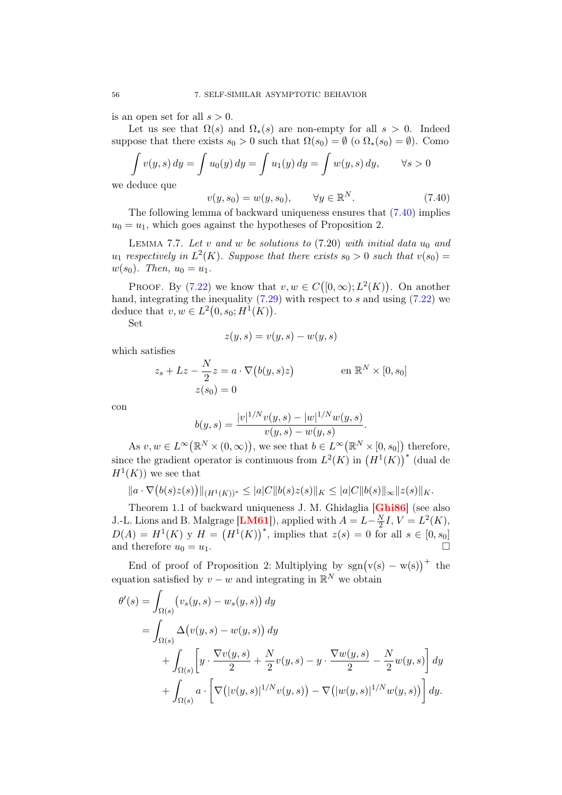is an open set for all  $s > 0$ .

Let us see that  $\Omega(s)$  and  $\Omega_*(s)$  are non-empty for all  $s > 0$ . Indeed suppose that there exists  $s_0 > 0$  such that  $\Omega(s_0) = \emptyset$  (o  $\Omega_*(s_0) = \emptyset$ ). Como

$$
\int v(y, s) dy = \int u_0(y) dy = \int u_1(y) dy = \int w(y, s) dy, \quad \forall s > 0
$$

we deduce que

<span id="page-59-0"></span>
$$
v(y, s_0) = w(y, s_0), \qquad \forall y \in \mathbb{R}^N. \tag{7.40}
$$

The following lemma of backward uniqueness ensures that [\(7.40\)](#page-59-0) implies  $u_0 = u_1$ , which goes against the hypotheses of Proposition 2.

LEMMA 7.7. Let  $v$  and  $w$  be solutions to  $(7.20)$  with initial data  $u_0$  and  $u_1$  respectively in  $L^2(K)$ . Suppose that there exists  $s_0 > 0$  such that  $v(s_0) =$  $w(s_0)$ . Then,  $u_0 = u_1$ .

PROOF. By [\(7.22\)](#page-54-4) we know that  $v, w \in C([0,\infty); L^2(K))$ . On another hand, integrating the inequality  $(7.29)$  with respect to s and using  $(7.22)$  we deduce that  $v, w \in L^2(0, s_0; H^1(K)).$ 

Set

$$
z(y,s) = v(y,s) - w(y,s)
$$

which satisfies

$$
z_s + Lz - \frac{N}{2}z = a \cdot \nabla(b(y, s)z)
$$
 en  $\mathbb{R}^N \times [0, s_0]$   

$$
z(s_0) = 0
$$

con

$$
b(y,s) = \frac{|v|^{1/N}v(y,s) - |w|^{1/N}w(y,s)}{v(y,s) - w(y,s)}.
$$

As  $v, w \in L^{\infty}(\mathbb{R}^N \times (0, \infty))$ , we see that  $b \in L^{\infty}(\mathbb{R}^N \times (0, s_0])$  therefore, since the gradient operator is continuous from  $L^2(K)$  in  $(H^1(K))^*$  (dual de  $H^1(K)$  we see that

$$
||a \cdot \nabla (b(s)z(s))||_{(H^1(K))^*} \leq |a|C||b(s)z(s)||_K \leq |a|C||b(s)||_{\infty}||z(s)||_K.
$$

Theorem 1.1 of backward uniqueness J. M. Ghidaglia [[Ghi86](#page-81-1)] (see also J.-L. Lions and B. Malgrage  $[\text{LM}61]$ , applied with  $A = L - \frac{N}{2}$  $\frac{N}{2}I, V = L^{2}(K),$  $D(A) = H^{1}(K)$  y  $H = (H^{1}(K))^{*}$ , implies that  $z(s) = 0$  for all  $s \in [0, s_{0}]$ and therefore  $u_0 = u_1$ .

End of proof of Proposition 2: Multiplying by  $sgn(v(s) - w(s))$ <sup>+</sup> the equation satisfied by  $v - w$  and integrating in  $\mathbb{R}^N$  we obtain

$$
\theta'(s) = \int_{\Omega(s)} \left( v_s(y, s) - w_s(y, s) \right) dy
$$
  
= 
$$
\int_{\Omega(s)} \Delta(v(y, s) - w(y, s)) dy
$$
  
+ 
$$
\int_{\Omega(s)} \left[ y \cdot \frac{\nabla v(y, s)}{2} + \frac{N}{2} v(y, s) - y \cdot \frac{\nabla w(y, s)}{2} - \frac{N}{2} w(y, s) \right] dy
$$
  
+ 
$$
\int_{\Omega(s)} a \cdot \left[ \nabla (|v(y, s)|^{1/N} v(y, s)) - \nabla (|w(y, s)|^{1/N} w(y, s)) \right] dy.
$$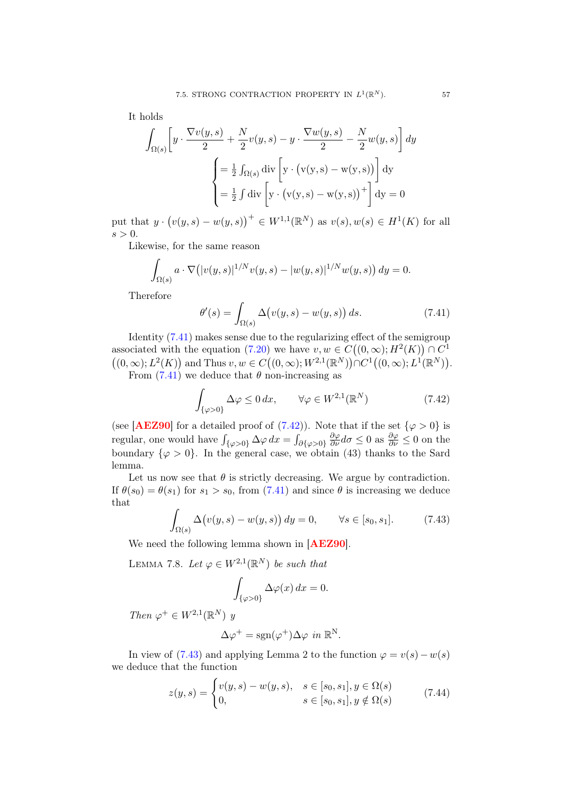It holds

$$
\int_{\Omega(s)} \left[ y \cdot \frac{\nabla v(y,s)}{2} + \frac{N}{2} v(y,s) - y \cdot \frac{\nabla w(y,s)}{2} - \frac{N}{2} w(y,s) \right] dy
$$

$$
= \frac{1}{2} \int_{\Omega(s)} \text{div} \left[ y \cdot (v(y,s) - w(y,s)) \right] dy
$$

$$
= \frac{1}{2} \int \text{div} \left[ y \cdot (v(y,s) - w(y,s)) + \right] dy = 0
$$

put that  $y \cdot (v(y, s) - w(y, s))^+ \in W^{1,1}(\mathbb{R}^N)$  as  $v(s), w(s) \in H^1(K)$  for all  $s > 0$ .

Likewise, for the same reason

$$
\int_{\Omega(s)} a \cdot \nabla \big( |v(y,s)|^{1/N} v(y,s) - |w(y,s)|^{1/N} w(y,s) \big) dy = 0.
$$

Therefore

<span id="page-60-0"></span>
$$
\theta'(s) = \int_{\Omega(s)} \Delta(v(y, s) - w(y, s)) ds.
$$
\n(7.41)

Identity [\(7.41\)](#page-60-0) makes sense due to the regularizing effect of the semigroup associated with the equation [\(7.20\)](#page-54-1) we have  $v, w \in C((0, \infty); H^2(K)) \cap C^1$  $((0,\infty); L^2(K))$  and Thus  $v, w \in C((0,\infty); W^{2,1}(\mathbb{R}^N)) \cap C^1((0,\infty); L^1(\mathbb{R}^N)).$ From  $(7.41)$  we deduce that  $\theta$  non-increasing as

<span id="page-60-1"></span>
$$
\int_{\{\varphi>0\}} \Delta \varphi \le 0 \, dx, \qquad \forall \varphi \in W^{2,1}(\mathbb{R}^N) \tag{7.42}
$$

(see [**[AEZ90](#page-80-1)**] for a detailed proof of [\(7.42\)](#page-60-1)). Note that if the set  $\{\varphi > 0\}$  is regular, one would have  $\int_{\{\varphi>0\}} \Delta \varphi \, dx = \int_{\partial {\{\varphi>0\}}}$  $\frac{\partial \varphi}{\partial \nu} d\sigma \leq 0$  as  $\frac{\partial \varphi}{\partial \nu} \leq 0$  on the boundary  $\{\varphi > 0\}$ . In the general case, we obtain (43) thanks to the Sard lemma.

Let us now see that  $\theta$  is strictly decreasing. We argue by contradiction. If  $\theta(s_0) = \theta(s_1)$  for  $s_1 > s_0$ , from [\(7.41\)](#page-60-0) and since  $\theta$  is increasing we deduce that

<span id="page-60-2"></span>
$$
\int_{\Omega(s)} \Delta(v(y,s) - w(y,s)) dy = 0, \qquad \forall s \in [s_0, s_1].
$$
\n(7.43)

We need the following lemma shown in [[AEZ90](#page-80-1)].

LEMMA 7.8. Let  $\varphi \in W^{2,1}(\mathbb{R}^N)$  be such that

$$
\int_{\{\varphi>0\}} \Delta \varphi(x) \, dx = 0.
$$

Then  $\varphi^+ \in W^{2,1}(\mathbb{R}^N)$  y

$$
\Delta \varphi^+ = \text{sgn}(\varphi^+) \Delta \varphi \text{ in } \mathbb{R}^N.
$$

In view of [\(7.43\)](#page-60-2) and applying Lemma 2 to the function  $\varphi = v(s) - w(s)$ we deduce that the function

$$
z(y,s) = \begin{cases} v(y,s) - w(y,s), & s \in [s_0, s_1], y \in \Omega(s) \\ 0, & s \in [s_0, s_1], y \notin \Omega(s) \end{cases}
$$
(7.44)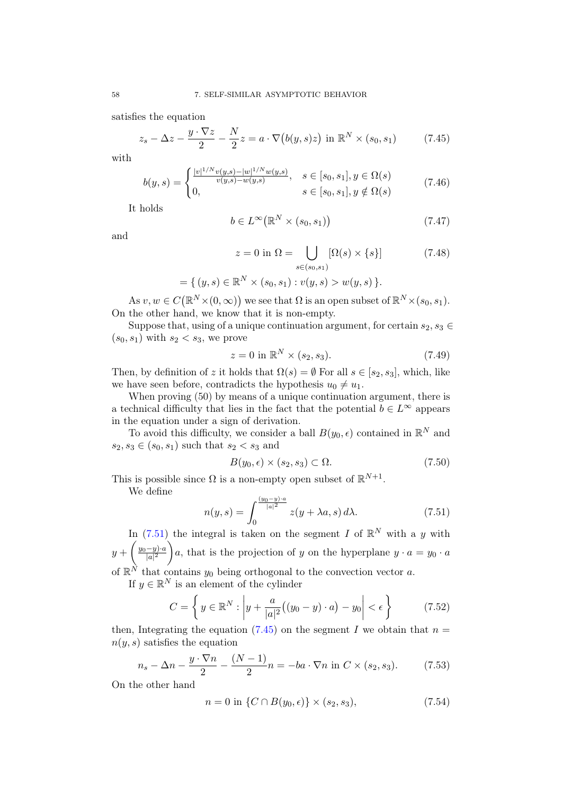satisfies the equation

<span id="page-61-1"></span>
$$
z_s - \Delta z - \frac{y \cdot \nabla z}{2} - \frac{N}{2}z = a \cdot \nabla \big(b(y, s)z\big) \text{ in } \mathbb{R}^N \times (s_0, s_1) \tag{7.45}
$$

with

$$
b(y,s) = \begin{cases} \frac{|v|^{1/N}v(y,s) - |w|^{1/N}w(y,s)}{v(y,s) - w(y,s)}, & s \in [s_0, s_1], y \in \Omega(s) \\ 0, & s \in [s_0, s_1], y \notin \Omega(s) \end{cases}
$$
(7.46)

It holds

$$
b \in L^{\infty}(\mathbb{R}^N \times (s_0, s_1))
$$
\n(7.47)

and

$$
z = 0 \text{ in } \Omega = \bigcup_{s \in (s_0, s_1)} [\Omega(s) \times \{s\}] \tag{7.48}
$$

$$
= \{ (y,s) \in \mathbb{R}^N \times (s_0,s_1) : v(y,s) > w(y,s) \}.
$$

As  $v, w \in C(\mathbb{R}^N \times (0, \infty))$  we see that  $\Omega$  is an open subset of  $\mathbb{R}^N \times (s_0, s_1)$ . On the other hand, we know that it is non-empty.

Suppose that, using of a unique continuation argument, for certain  $s_2, s_3 \in$  $(s_0, s_1)$  with  $s_2 < s_3$ , we prove

$$
z = 0 \text{ in } \mathbb{R}^N \times (s_2, s_3). \tag{7.49}
$$

Then, by definition of z it holds that  $\Omega(s) = \emptyset$  For all  $s \in [s_2, s_3]$ , which, like we have seen before, contradicts the hypothesis  $u_0 \neq u_1$ .

When proving (50) by means of a unique continuation argument, there is a technical difficulty that lies in the fact that the potential  $b \in L^{\infty}$  appears in the equation under a sign of derivation.

To avoid this difficulty, we consider a ball  $B(y_0, \epsilon)$  contained in  $\mathbb{R}^N$  and  $s_2, s_3 \in (s_0, s_1)$  such that  $s_2 < s_3$  and

$$
B(y_0, \epsilon) \times (s_2, s_3) \subset \Omega.
$$
 (7.50)

This is possible since  $\Omega$  is a non-empty open subset of  $\mathbb{R}^{N+1}$ .

We define

<span id="page-61-0"></span>
$$
n(y,s) = \int_0^{\frac{(y_0 - y)\cdot a}{|a|^2}} z(y + \lambda a, s) d\lambda.
$$
 (7.51)

In [\(7.51\)](#page-61-0) the integral is taken on the segment I of  $\mathbb{R}^N$  with a y with  $y+\left(\frac{y_0-y\cdot a}{|a|^2}\right)$  $|a|^2$ )a, that is the projection of y on the hyperplane  $y \cdot a = y_0 \cdot a$ of  $\mathbb{R}^N$  that contains  $y_0$  being orthogonal to the convection vector a.

If  $y \in \mathbb{R}^N$  is an element of the cylinder

$$
C = \left\{ y \in \mathbb{R}^N : \left| y + \frac{a}{|a|^2} \left( (y_0 - y) \cdot a \right) - y_0 \right| < \epsilon \right\} \tag{7.52}
$$

then, Integrating the equation [\(7.45\)](#page-61-1) on the segment I we obtain that  $n =$  $n(y, s)$  satisfies the equation

<span id="page-61-2"></span>
$$
n_s - \Delta n - \frac{y \cdot \nabla n}{2} - \frac{(N-1)}{2}n = -ba \cdot \nabla n \text{ in } C \times (s_2, s_3). \tag{7.53}
$$

On the other hand

<span id="page-61-3"></span>
$$
n = 0 \text{ in } \{C \cap B(y_0, \epsilon)\} \times (s_2, s_3), \tag{7.54}
$$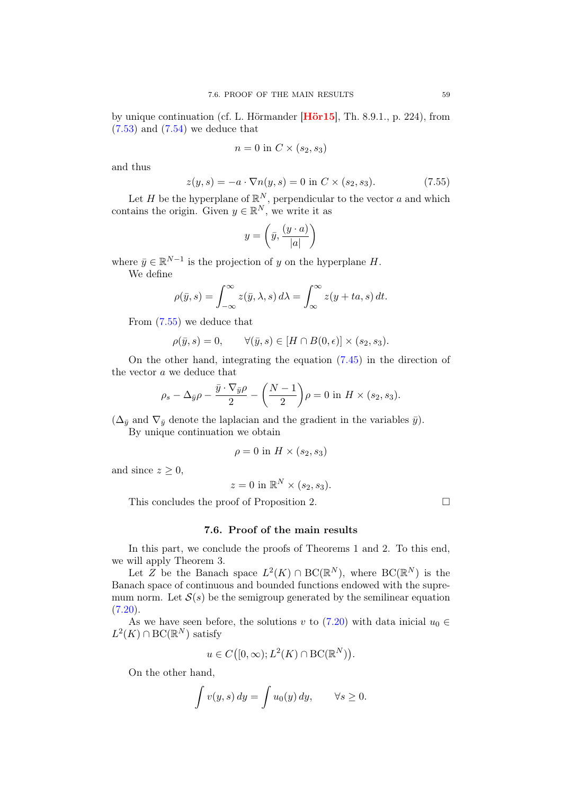by unique continuation (cf. L. Hörmander [[Hör15](#page-82-2)], Th. 8.9.1., p. 224), from  $(7.53)$  and  $(7.54)$  we deduce that

$$
n = 0 \text{ in } C \times (s_2, s_3)
$$

and thus

<span id="page-62-0"></span>
$$
z(y,s) = -a \cdot \nabla n(y,s) = 0 \text{ in } C \times (s_2, s_3). \tag{7.55}
$$

Let H be the hyperplane of  $\mathbb{R}^N$ , perpendicular to the vector a and which contains the origin. Given  $y \in \mathbb{R}^N$ , we write it as

$$
y = \left(\bar{y}, \frac{(y \cdot a)}{|a|}\right)
$$

where  $\bar{y} \in \mathbb{R}^{N-1}$  is the projection of y on the hyperplane H.

We define

$$
\rho(\bar{y}, s) = \int_{-\infty}^{\infty} z(\bar{y}, \lambda, s) d\lambda = \int_{\infty}^{\infty} z(y + ta, s) dt.
$$

From [\(7.55\)](#page-62-0) we deduce that

$$
\rho(\bar{y}, s) = 0, \qquad \forall (\bar{y}, s) \in [H \cap B(0, \epsilon)] \times (s_2, s_3).
$$

On the other hand, integrating the equation [\(7.45\)](#page-61-1) in the direction of the vector a we deduce that

$$
\rho_s - \Delta_{\bar{y}} \rho - \frac{\bar{y} \cdot \nabla_{\bar{y}} \rho}{2} - \left(\frac{N-1}{2}\right) \rho = 0 \text{ in } H \times (s_2, s_3).
$$

 $(\Delta_{\bar{y}}$  and  $\nabla_{\bar{y}}$  denote the laplacian and the gradient in the variables  $\bar{y}$ ).

By unique continuation we obtain

$$
\rho = 0 \text{ in } H \times (s_2, s_3)
$$

and since  $z \geq 0$ ,

$$
z = 0
$$
 in  $\mathbb{R}^N \times (s_2, s_3)$ .

This concludes the proof of Proposition 2.  $\Box$ 

### 7.6. Proof of the main results

In this part, we conclude the proofs of Theorems 1 and 2. To this end, we will apply Theorem 3.

Let Z be the Banach space  $L^2(K) \cap BC(\mathbb{R}^N)$ , where  $BC(\mathbb{R}^N)$  is the Banach space of continuous and bounded functions endowed with the supremum norm. Let  $S(s)$  be the semigroup generated by the semilinear equation  $(7.20).$  $(7.20).$ 

As we have seen before, the solutions v to [\(7.20\)](#page-54-1) with data inicial  $u_0 \in$  $L^2(K) \cap BC(\mathbb{R}^N)$  satisfy

$$
u \in C([0,\infty); L^2(K) \cap BC(\mathbb{R}^N)).
$$

On the other hand,

$$
\int v(y,s) dy = \int u_0(y) dy, \quad \forall s \ge 0.
$$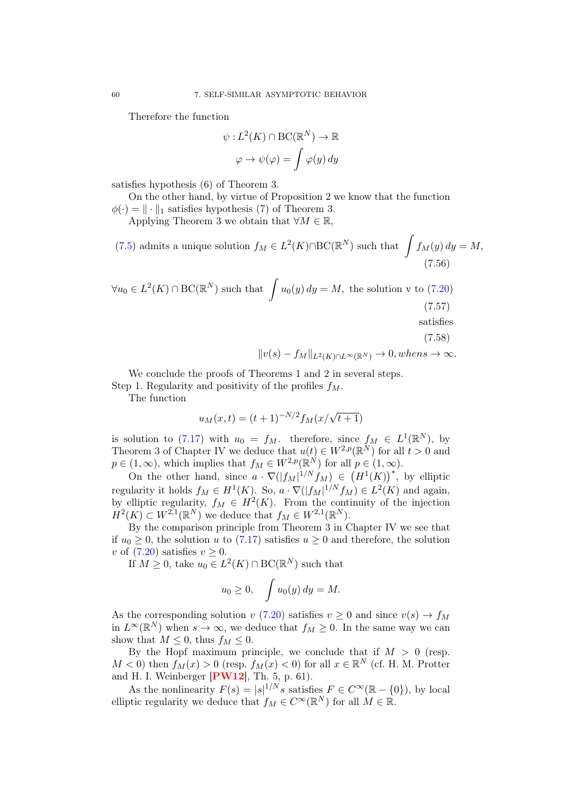Therefore the function

$$
\psi: L^2(K) \cap BC(\mathbb{R}^N) \to \mathbb{R}
$$

$$
\varphi \to \psi(\varphi) = \int \varphi(y) \, dy
$$

satisfies hypothesis (6) of Theorem 3.

On the other hand, by virtue of Proposition 2 we know that the function  $\phi(\cdot) = \|\cdot\|_1$  satisfies hypothesis (7) of Theorem 3.

Applying Theorem 3 we obtain that  $\forall M \in \mathbb{R}$ ,

(7.5) admits a unique solution 
$$
f_M \in L^2(K) \cap BC(\mathbb{R}^N)
$$
 such that  $\int f_M(y) dy = M,$   
(7.56)

$$
\forall u_0 \in L^2(K) \cap BC(\mathbb{R}^N) \text{ such that } \int u_0(y) \, dy = M, \text{ the solution v to (7.20)}
$$
\n
$$
\text{(7.57)}
$$
\nsatisfies\n
$$
\text{(7.58)}
$$

<span id="page-63-0"></span>
$$
||v(s) - f_M||_{L^2(K) \cap L^\infty(\mathbb{R}^N)} \to 0, when s \to \infty.
$$

We conclude the proofs of Theorems 1 and 2 in several steps. Step 1. Regularity and positivity of the profiles  $f_M$ .

The function

$$
u_M(x,t) = (t+1)^{-N/2} f_M(x/\sqrt{t+1})
$$

is solution to [\(7.17\)](#page-54-3) with  $u_0 = f_M$ . therefore, since  $f_M \in L^1(\mathbb{R}^N)$ , by Theorem 3 of Chapter IV we deduce that  $u(t) \in W^{2,p}(\mathbb{R}^N)$  for all  $t > 0$  and  $p \in (1,\infty)$ , which implies that  $f_M \in W^{2,p}(\mathbb{R}^N)$  for all  $p \in (1,\infty)$ .

On the other hand, since  $a \cdot \nabla(|f_M|^{1/N} f_M) \in (H^1(K))^*$ , by elliptic regularity it holds  $f_M \in H^1(K)$ . So,  $a \cdot \nabla(|f_M|^{1/N} f_M) \in L^2(K)$  and again, by elliptic regularity,  $f_M \in H^2(K)$ . From the continuity of the injection  $H^2(K) \subset W^{2,1}(\mathbb{R}^N)$  we deduce that  $f_M \in W^{2,1}(\mathbb{R}^N)$ .

By the comparison principle from Theorem 3 in Chapter IV we see that if  $u_0 \geq 0$ , the solution u to [\(7.17\)](#page-54-3) satisfies  $u \geq 0$  and therefore, the solution v of  $(7.20)$  satisfies  $v \geq 0$ .

If  $M \geq 0$ , take  $u_0 \in L^2(K) \cap BC(\mathbb{R}^N)$  such that

$$
u_0 \ge 0, \quad \int u_0(y) \, dy = M.
$$

As the corresponding solution v [\(7.20\)](#page-54-1) satisfies  $v \ge 0$  and since  $v(s) \to f_M$ in  $L^{\infty}(\mathbb{R}^{N})$  when  $s \to \infty$ , we deduce that  $f_{M} \geq 0$ . In the same way we can show that  $M \leq 0$ , thus  $f_M \leq 0$ .

By the Hopf maximum principle, we conclude that if  $M > 0$  (resp.  $M < 0$ ) then  $f_M(x) > 0$  (resp.  $f_M(x) < 0$ ) for all  $x \in \mathbb{R}^N$  (cf. H. M. Protter and H. I. Weinberger  $[PW12]$  $[PW12]$  $[PW12]$ , Th. 5, p. 61).

As the nonlinearity  $F(s) = |s|^{1/N} s$  satisfies  $F \in C^{\infty}(\mathbb{R} - \{0\})$ , by local elliptic regularity we deduce that  $f_M \in C^{\infty}(\mathbb{R}^N)$  for all  $M \in \mathbb{R}$ .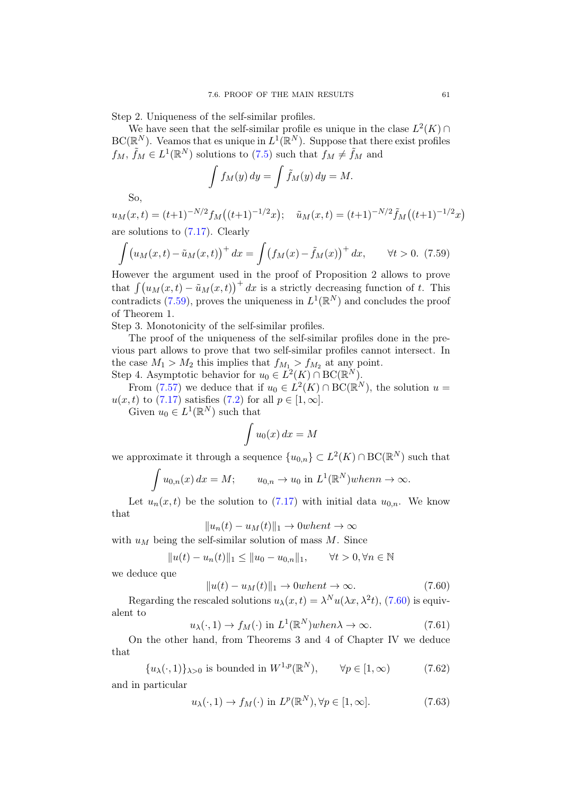Step 2. Uniqueness of the self-similar profiles.

We have seen that the self-similar profile es unique in the clase  $L^2(K) \cap$  $\mathrm{BC}(\mathbb{R}^N)$ . Veamos that es unique in  $L^1(\mathbb{R}^N)$ . Suppose that there exist profiles  $f_M$ ,  $\tilde{f}_M \in L^1(\mathbb{R}^N)$  solutions to  $(7.5)$  such that  $f_M \neq \tilde{f}_M$  and

$$
\int f_M(y) \, dy = \int \tilde{f}_M(y) \, dy = M.
$$

So,

 $u_M(x,t) = (t+1)^{-N/2} f_M((t+1)^{-1/2}x); \quad \tilde{u}_M(x,t) = (t+1)^{-N/2} \tilde{f}_M((t+1)^{-1/2}x)$ are solutions to [\(7.17\)](#page-54-3). Clearly

<span id="page-64-0"></span>
$$
\int (u_M(x,t) - \tilde{u}_M(x,t))^+ dx = \int (f_M(x) - \tilde{f}_M(x))^+ dx, \quad \forall t > 0.
$$
 (7.59)

However the argument used in the proof of Proposition 2 allows to prove that  $\int (u_M(x, t) - \tilde{u}_M(x, t))^+ dx$  is a strictly decreasing function of t. This contradicts [\(7.59\)](#page-64-0), proves the uniqueness in  $L^1(\mathbb{R}^N)$  and concludes the proof of Theorem 1.

Step 3. Monotonicity of the self-similar profiles.

The proof of the uniqueness of the self-similar profiles done in the previous part allows to prove that two self-similar profiles cannot intersect. In the case  $M_1 > M_2$  this implies that  $f_{M_1} > f_{M_2}$  at any point. Step 4. Asymptotic behavior for  $u_0 \in L^2(K) \cap BC(\mathbb{R}^N)$ .

From [\(7.57\)](#page-63-0) we deduce that if  $u_0 \in L^2(K) \cap BC(\mathbb{R}^N)$ , the solution  $u =$  $u(x, t)$  to [\(7.17\)](#page-54-3) satisfies [\(7.2\)](#page-50-1) for all  $p \in [1, \infty]$ .

Given  $u_0 \in L^1(\mathbb{R}^N)$  such that

$$
\int u_0(x) \, dx = M
$$

we approximate it through a sequence  $\{u_{0,n}\} \subset L^2(K) \cap BC(\mathbb{R}^N)$  such that

$$
\int u_{0,n}(x) dx = M; \qquad u_{0,n} \to u_0 \text{ in } L^1(\mathbb{R}^N) when n \to \infty.
$$

Let  $u_n(x, t)$  be the solution to [\(7.17\)](#page-54-3) with initial data  $u_{0,n}$ . We know that

$$
||u_n(t) - u_M(t)||_1 \to 0 when t \to \infty
$$

with  $u_M$  being the self-similar solution of mass M. Since

$$
||u(t) - u_n(t)||_1 \le ||u_0 - u_{0,n}||_1, \quad \forall t > 0, \forall n \in \mathbb{N}
$$

we deduce que

<span id="page-64-1"></span>
$$
||u(t) - uM(t)||_1 \to 0 \text{when } t \to \infty.
$$
 (7.60)

Regarding the rescaled solutions  $u_{\lambda}(x,t) = \lambda^N u(\lambda x, \lambda^2 t)$ , [\(7.60\)](#page-64-1) is equivalent to

$$
u_{\lambda}(\cdot,1) \to f_M(\cdot) \text{ in } L^1(\mathbb{R}^N) when \lambda \to \infty. \tag{7.61}
$$

On the other hand, from Theorems 3 and 4 of Chapter IV we deduce that

 $\{u_{\lambda}(\cdot,1)\}_{\lambda>0}$  is bounded in  $W^{1,p}(\mathbb{R}^N)$ ,  $\forall p \in [1,\infty)$  (7.62)

and in particular

<span id="page-64-2"></span>
$$
u_{\lambda}(\cdot,1) \to f_M(\cdot) \text{ in } L^p(\mathbb{R}^N), \forall p \in [1,\infty].
$$
 (7.63)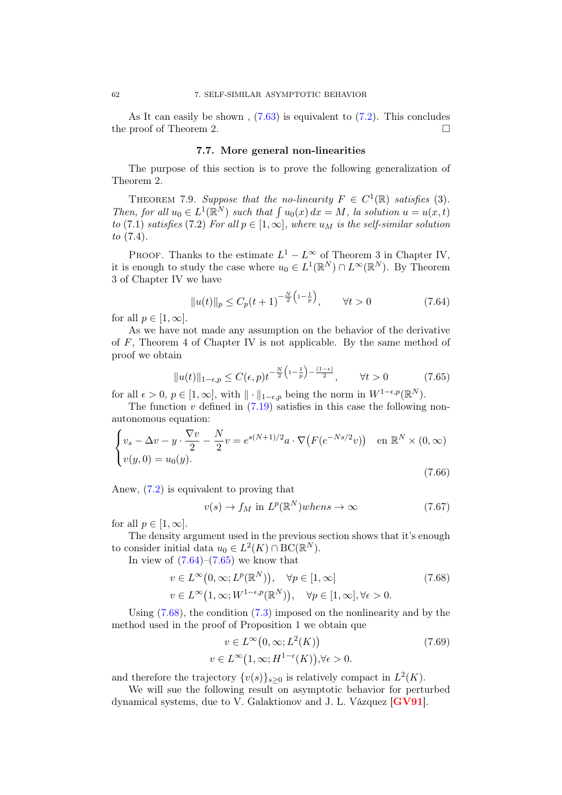As It can easily be shown,  $(7.63)$  is equivalent to  $(7.2)$ . This concludes the proof of Theorem 2.

#### 7.7. More general non-linearities

The purpose of this section is to prove the following generalization of Theorem 2.

THEOREM 7.9. Suppose that the no-linearity  $F \in C^1(\mathbb{R})$  satisfies (3). Then, for all  $u_0 \in L^1(\mathbb{R}^N)$  such that  $\int u_0(x) dx = M$ , la solution  $u = u(x, t)$ to (7.1) satisfies (7.2) For all  $p \in [1,\infty]$ , where  $u_M$  is the self-similar solution to (7.4).

PROOF. Thanks to the estimate  $L^1 - L^{\infty}$  of Theorem 3 in Chapter IV, it is enough to study the case where  $u_0 \in L^1(\mathbb{R}^N) \cap L^\infty(\mathbb{R}^N)$ . By Theorem 3 of Chapter IV we have

<span id="page-65-0"></span>
$$
||u(t)||_p \le C_p(t+1)^{-\frac{N}{2}\left(1-\frac{1}{p}\right)}, \qquad \forall t > 0 \tag{7.64}
$$

for all  $p \in [1, \infty]$ .

As we have not made any assumption on the behavior of the derivative of  $F$ , Theorem 4 of Chapter IV is not applicable. By the same method of proof we obtain

<span id="page-65-1"></span>
$$
||u(t)||_{1-\epsilon,p} \le C(\epsilon,p)t^{-\frac{N}{2}\left(1-\frac{1}{p}\right)-\frac{(1-\epsilon)}{2}}, \qquad \forall t > 0 \tag{7.65}
$$

for all  $\epsilon > 0$ ,  $p \in [1, \infty]$ , with  $\|\cdot\|_{1-\epsilon,p}$  being the norm in  $W^{1-\epsilon,p}(\mathbb{R}^N)$ .

The function  $v$  defined in  $(7.19)$  satisfies in this case the following nonautonomous equation:

$$
\begin{cases}\nv_s - \Delta v - y \cdot \frac{\nabla v}{2} - \frac{N}{2}v = e^{s(N+1)/2}a \cdot \nabla (F(e^{-Ns/2}v)) & \text{en } \mathbb{R}^N \times (0, \infty) \\
v(y, 0) = u_0(y).\n\end{cases}
$$
\n(7.66)

Anew, [\(7.2\)](#page-50-1) is equivalent to proving that

<span id="page-65-5"></span><span id="page-65-3"></span>
$$
v(s) \to f_M \text{ in } L^p(\mathbb{R}^N) \text{ when } s \to \infty \tag{7.67}
$$

for all  $p \in [1, \infty]$ .

The density argument used in the previous section shows that it's enough to consider initial data  $u_0 \in L^2(K) \cap BC(\mathbb{R}^N)$ .

In view of  $(7.64)$ – $(7.65)$  we know that

$$
v \in L^{\infty}(0, \infty; L^{p}(\mathbb{R}^{N})), \quad \forall p \in [1, \infty]
$$
  
\n
$$
v \in L^{\infty}(1, \infty; W^{1-\epsilon, p}(\mathbb{R}^{N})), \quad \forall p \in [1, \infty], \forall \epsilon > 0.
$$
\n(7.68)

Using [\(7.68\)](#page-65-2), the condition [\(7.3\)](#page-50-2) imposed on the nonlinearity and by the method used in the proof of Proposition 1 we obtain que

<span id="page-65-4"></span><span id="page-65-2"></span>
$$
v \in L^{\infty}(0, \infty; L^{2}(K))
$$
  
\n
$$
v \in L^{\infty}(1, \infty; H^{1-\epsilon}(K)), \forall \epsilon > 0.
$$
\n(7.69)

and therefore the trajectory  $\{v(s)\}_{s\geq 0}$  is relatively compact in  $L^2(K)$ .

We will sue the following result on asymptotic behavior for perturbed dynamical systems, due to V. Galaktionov and J. L. Vázquez [[GV91](#page-82-0)].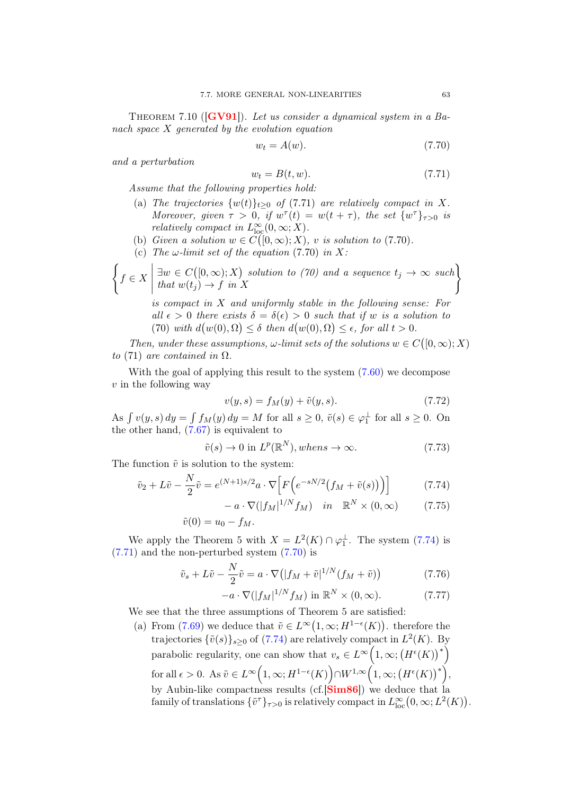THEOREM 7.10 ( $\text{[GV91]}$  $\text{[GV91]}$  $\text{[GV91]}$ ). Let us consider a dynamical system in a Banach space X generated by the evolution equation

<span id="page-66-2"></span>
$$
w_t = A(w). \tag{7.70}
$$

and a perturbation

<span id="page-66-1"></span>
$$
w_t = B(t, w). \tag{7.71}
$$

Assume that the following properties hold:

- (a) The trajectories  $\{w(t)\}_{t\geq0}$  of (7.71) are relatively compact in X. Moreover, given  $\tau > 0$ , if  $w^{\tau}(t) = w(t + \tau)$ , the set  $\{w^{\tau}\}_{\tau>0}$  is relatively compact in  $L^{\infty}_{\text{loc}}(0,\infty;X)$ .
- (b) Given a solution  $w \in C([0,\infty);X)$ , v is solution to (7.70).
- (c) The  $\omega$ -limit set of the equation (7.70) in X:

$$
\left\{ f \in X \mid \exists w \in C([0,\infty);X) \text{ solution to (70) and a sequence } t_j \to \infty \text{ such that } w(t_j) \to f \text{ in } X \right\}
$$

is compact in X and uniformly stable in the following sense: For all  $\epsilon > 0$  there exists  $\delta = \delta(\epsilon) > 0$  such that if w is a solution to (70) with  $d(w(0), \Omega) \leq \delta$  then  $d(w(0), \Omega) \leq \epsilon$ , for all  $t > 0$ .

Then, under these assumptions,  $\omega$ -limit sets of the solutions  $w \in C([0,\infty);X)$ to (71) are contained in  $\Omega$ .

With the goal of applying this result to the system  $(7.60)$  we decompose  $v$  in the following way

<span id="page-66-0"></span>
$$
v(y,s) = f_M(y) + \tilde{v}(y,s).
$$
 (7.72)

As  $\int v(y, s) dy = \int f_M(y) dy = M$  for all  $s \ge 0$ ,  $\tilde{v}(s) \in \varphi_1^{\perp}$  for all  $s \ge 0$ . On the other hand,  $(7.67)$  is equivalent to

$$
\tilde{v}(s) \to 0 \text{ in } L^p(\mathbb{R}^N), \text{when } s \to \infty. \tag{7.73}
$$

The function  $\tilde{v}$  is solution to the system:

$$
\tilde{v}_2 + L\tilde{v} - \frac{N}{2}\tilde{v} = e^{(N+1)s/2}a \cdot \nabla \Big[ F\Big(e^{-sN/2}\big(f_M + \tilde{v}(s)\big)\Big) \Big] \tag{7.74}
$$

$$
- a \cdot \nabla (|f_M|^{1/N} f_M) \quad in \quad \mathbb{R}^N \times (0, \infty) \tag{7.75}
$$

$$
\tilde{v}(0) = u_0 - f_M.
$$

We apply the Theorem 5 with  $X = L^2(K) \cap \varphi_1^{\perp}$ . The system [\(7.74\)](#page-66-0) is  $(7.71)$  and the non-perturbed system  $(7.70)$  is

$$
\tilde{v}_s + L\tilde{v} - \frac{N}{2}\tilde{v} = a \cdot \nabla \big( |f_M + \tilde{v}|^{1/N} (f_M + \tilde{v}) \big) \tag{7.76}
$$

<span id="page-66-3"></span>
$$
-a \cdot \nabla(|f_M|^{1/N} f_M) \text{ in } \mathbb{R}^N \times (0, \infty). \tag{7.77}
$$

We see that the three assumptions of Theorem 5 are satisfied:

(a) From [\(7.69\)](#page-65-4) we deduce that  $\tilde{v} \in L^{\infty}(1,\infty;H^{1-\epsilon}(K))$ . therefore the trajectories  $\{\tilde{v}(s)\}_{s\geq 0}$  of [\(7.74\)](#page-66-0) are relatively compact in  $L^2(K)$ . By parabolic regularity, one can show that  $v_s \in L^{\infty}\left(1,\infty; (H^{\epsilon}(K))^{*}\right)$ for all  $\epsilon > 0$ . As  $\tilde{v} \in L^{\infty}\Big(1,\infty;H^{1-\epsilon}(K)\Big) \cap W^{1,\infty}\Big(1,\infty; \big(H^{\epsilon}(K)\big)^{*}\Big),$ by Aubin-like compactness results (cf.<sup>[[Sim86](#page-83-6)]</sup>) we deduce that la family of translations  $\{\tilde{v}^{\tau}\}_{\tau>0}$  is relatively compact in  $L^{\infty}_{\text{loc}}(0,\infty; L^2(K)).$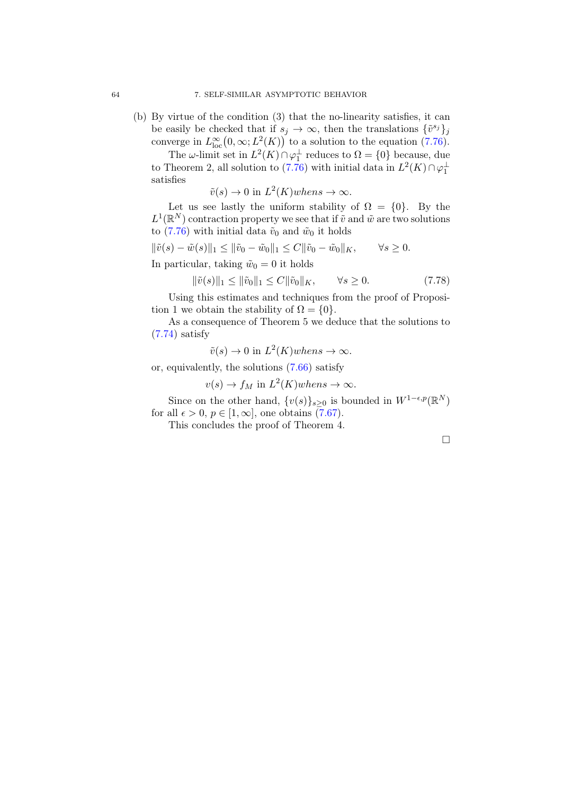(b) By virtue of the condition (3) that the no-linearity satisfies, it can be easily be checked that if  $s_j \to \infty$ , then the translations  $\{\tilde{v}^{s_j}\}_j$ converge in  $L^{\infty}_{loc}(0,\infty; L^2(K))$  to a solution to the equation [\(7.76\)](#page-66-3).

The  $\omega$ -limit set in  $L^2(K) \cap \varphi_1^{\perp}$  reduces to  $\Omega = \{0\}$  because, due to Theorem 2, all solution to [\(7.76\)](#page-66-3) with initial data in  $L^2(K) \cap \varphi_1^{\perp}$ satisfies

 $\tilde{v}(s) \to 0$  in  $L^2(K)$  when  $s \to \infty$ .

Let us see lastly the uniform stability of  $\Omega = \{0\}$ . By the  $L^1(\mathbb{R}^N)$  contraction property we see that if  $\tilde{v}$  and  $\tilde{w}$  are two solutions to [\(7.76\)](#page-66-3) with initial data  $\tilde{v}_0$  and  $\tilde{w}_0$  it holds

$$
\|\tilde{v}(s) - \tilde{w}(s)\|_1 \le \|\tilde{v}_0 - \tilde{w}_0\|_1 \le C \|\tilde{v}_0 - \tilde{w}_0\|_K, \qquad \forall s \ge 0.
$$

In particular, taking  $\tilde{w}_0 = 0$  it holds

$$
\|\tilde{v}(s)\|_1 \le \|\tilde{v}_0\|_1 \le C \|\tilde{v}_0\|_K, \qquad \forall s \ge 0.
$$
 (7.78)

Using this estimates and techniques from the proof of Proposition 1 we obtain the stability of  $\Omega = \{0\}.$ 

As a consequence of Theorem 5 we deduce that the solutions to [\(7.74\)](#page-66-0) satisfy

 $\tilde{v}(s) \to 0$  in  $L^2(K)$  when  $s \to \infty$ .

or, equivalently, the solutions [\(7.66\)](#page-65-5) satisfy

 $v(s) \to f_M$  in  $L^2(K)$  when  $s \to \infty$ .

Since on the other hand,  $\{v(s)\}_{s\geq 0}$  is bounded in  $W^{1-\epsilon,p}(\mathbb{R}^N)$ for all  $\epsilon > 0$ ,  $p \in [1, \infty]$ , one obtains  $(7.67)$ .

This concludes the proof of Theorem 4.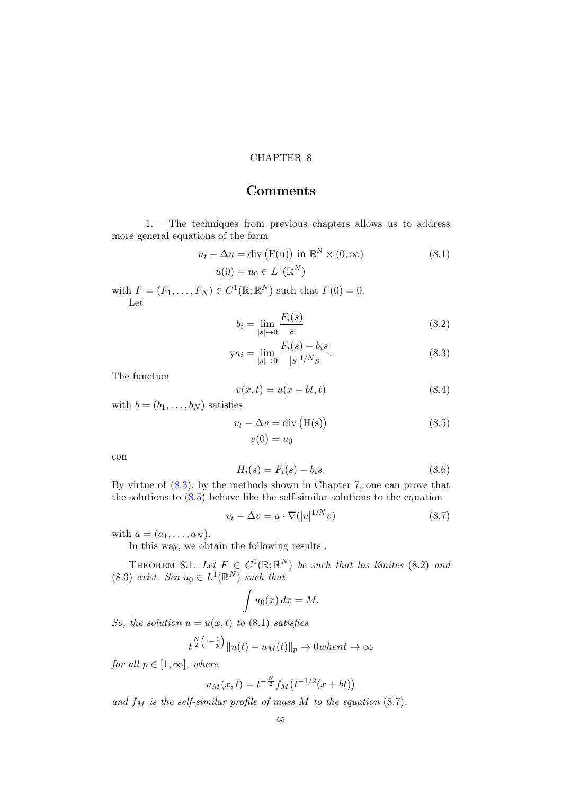### CHAPTER 8

# Comments

1.— The techniques from previous chapters allows us to address more general equations of the form

$$
u_t - \Delta u = \text{div}\left(\mathbf{F}(\mathbf{u})\right) \text{ in } \mathbb{R}^N \times (0, \infty)
$$
  
\n
$$
u(0) = u_0 \in L^1(\mathbb{R}^N)
$$
\n(8.1)

with  $F = (F_1, \ldots, F_N) \in C^1(\mathbb{R}; \mathbb{R}^N)$  such that  $F(0) = 0$ . Let

<span id="page-68-0"></span>
$$
b_i = \lim_{|s| \to 0} \frac{F_i(s)}{s} \tag{8.2}
$$

$$
ya_i = \lim_{|s| \to 0} \frac{F_i(s) - b_i s}{|s|^{1/N} s}.
$$
\n(8.3)

The function

<span id="page-68-2"></span><span id="page-68-1"></span>
$$
v(x,t) = u(x - bt, t) \tag{8.4}
$$

with  $b = (b_1, \ldots, b_N)$  satisfies

$$
v_t - \Delta v = \text{div} (\text{H(s)})
$$
  
\n
$$
v(0) = u_0
$$
\n(8.5)

con

$$
H_i(s) = F_i(s) - b_i s.
$$
 (8.6)

By virtue of [\(8.3\)](#page-68-0), by the methods shown in Chapter 7, one can prove that the solutions to  $(8.5)$  behave like the self-similar solutions to the equation

$$
v_t - \Delta v = a \cdot \nabla (|v|^{1/N} v)
$$
\n(8.7)

with  $a = (a_1, \ldots, a_N)$ .

In this way, we obtain the following results .

THEOREM 8.1. Let  $F \in C^1(\mathbb{R}; \mathbb{R}^N)$  be such that los límites (8.2) and (8.3) exist. Sea  $u_0 \in L^1(\mathbb{R}^N)$  such that

$$
\int u_0(x) \, dx = M.
$$

So, the solution  $u = u(x, t)$  to (8.1) satisfies

$$
t^{\frac{N}{2}(1-\frac{1}{p})}||u(t) - u_M(t)||_p \to 0 when t \to \infty
$$

for all  $p \in [1,\infty]$ , where

$$
u_M(x,t) = t^{-\frac{N}{2}} f_M(t^{-1/2}(x+bt))
$$

and  $f_M$  is the self-similar profile of mass  $M$  to the equation (8.7).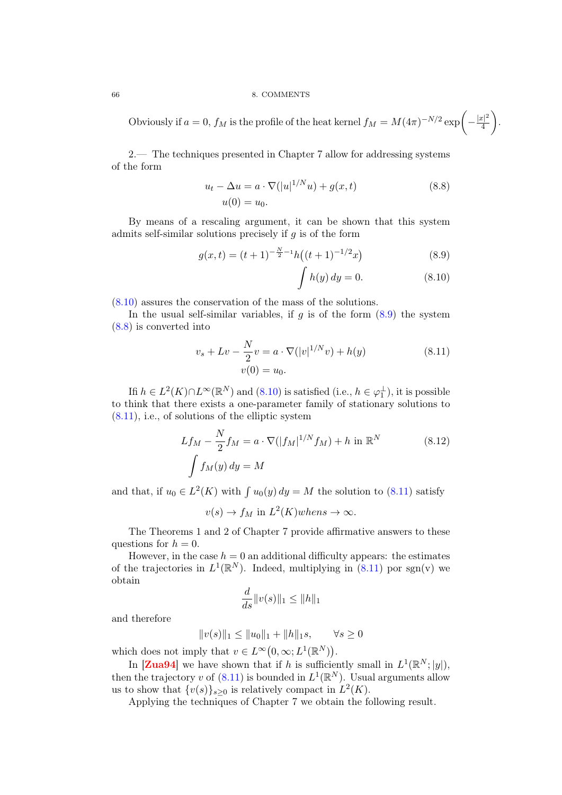#### 66 8. COMMENTS

Obviously if  $a = 0$ ,  $f_M$  is the profile of the heat kernel  $f_M = M(4\pi)^{-N/2} \exp\left(-\frac{|x|^2}{4}\right)$ 4 .

2.— The techniques presented in Chapter 7 allow for addressing systems of the form

$$
u_t - \Delta u = a \cdot \nabla (|u|^{1/N} u) + g(x, t)
$$
  
 
$$
u(0) = u_0.
$$
 (8.8)

By means of a rescaling argument, it can be shown that this system admits self-similar solutions precisely if  $g$  is of the form

$$
g(x,t) = (t+1)^{-\frac{N}{2}-1}h((t+1)^{-1/2}x)
$$
\n(8.9)

<span id="page-69-3"></span><span id="page-69-2"></span><span id="page-69-1"></span><span id="page-69-0"></span>
$$
\int h(y) dy = 0. \tag{8.10}
$$

[\(8.10\)](#page-69-0) assures the conservation of the mass of the solutions.

In the usual self-similar variables, if  $q$  is of the form  $(8.9)$  the system [\(8.8\)](#page-69-2) is converted into

$$
v_s + Lv - \frac{N}{2}v = a \cdot \nabla(|v|^{1/N}v) + h(y)
$$
\n
$$
v(0) = u_0.
$$
\n(8.11)

Ifi  $h \in L^2(K) \cap L^{\infty}(\mathbb{R}^N)$  and  $(8.10)$  is satisfied (i.e.,  $h \in \varphi_1^{\perp}$ ), it is possible to think that there exists a one-parameter family of stationary solutions to  $(8.11)$ , i.e., of solutions of the elliptic system

$$
Lf_M - \frac{N}{2}f_M = a \cdot \nabla(|f_M|^{1/N} f_M) + h \text{ in } \mathbb{R}^N
$$
\n
$$
\int f_M(y) dy = M
$$
\n(8.12)

and that, if  $u_0 \in L^2(K)$  with  $\int u_0(y) dy = M$  the solution to [\(8.11\)](#page-69-3) satisfy

 $v(s) \to f_M$  in  $L^2(K)$  when  $s \to \infty$ .

The Theorems 1 and 2 of Chapter 7 provide affirmative answers to these questions for  $h = 0$ .

However, in the case  $h = 0$  an additional difficulty appears: the estimates of the trajectories in  $L^1(\mathbb{R}^N)$ . Indeed, multiplying in [\(8.11\)](#page-69-3) por sgn(v) we obtain

$$
\frac{d}{ds}||v(s)||_1 \le ||h||_1
$$

and therefore

$$
||v(s)||_1 \le ||u_0||_1 + ||h||_1 s, \qquad \forall s \ge 0
$$

which does not imply that  $v \in L^{\infty}(0, \infty; L^{1}(\mathbb{R}^{N}))$ .

In [[Zua94](#page-83-4)] we have shown that if h is sufficiently small in  $L^1(\mathbb{R}^N; |y|)$ , then the trajectory v of [\(8.11\)](#page-69-3) is bounded in  $L^1(\mathbb{R}^N)$ . Usual arguments allow us to show that  $\{v(s)\}_{s\geq 0}$  is relatively compact in  $L^2(K)$ .

Applying the techniques of Chapter 7 we obtain the following result.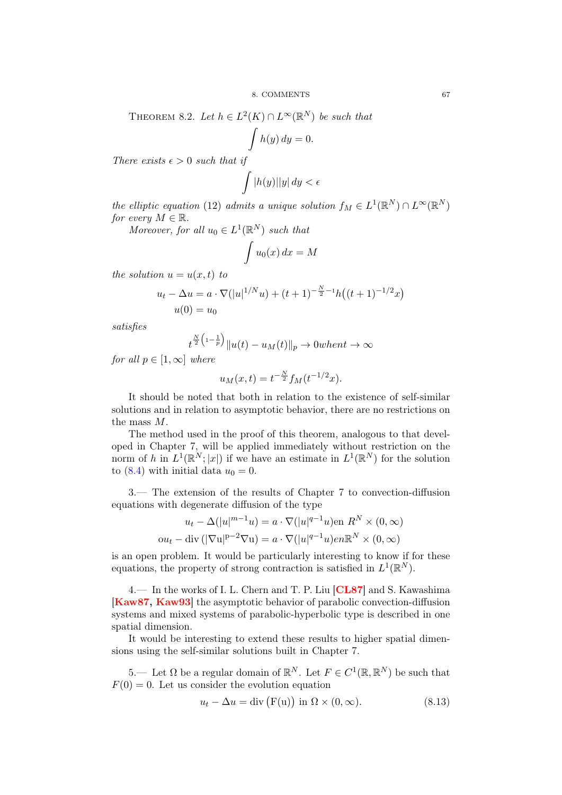THEOREM 8.2. Let  $h \in L^2(K) \cap L^\infty(\mathbb{R}^N)$  be such that

$$
\int h(y) \, dy = 0.
$$

There exists  $\epsilon > 0$  such that if

$$
\int |h(y)| |y| \, dy < \epsilon
$$

the elliptic equation (12) admits a unique solution  $f_M \in L^1(\mathbb{R}^N) \cap L^{\infty}(\mathbb{R}^N)$ for every  $M \in \mathbb{R}$ .

Moreover, for all  $u_0 \in L^1(\mathbb{R}^N)$  such that

$$
\int u_0(x) \, dx = M
$$

the solution  $u = u(x, t)$  to

$$
u_t - \Delta u = a \cdot \nabla (|u|^{1/N}u) + (t+1)^{-\frac{N}{2}-1}h((t+1)^{-1/2}x)
$$

$$
u(0) = u_0
$$

satisfies

$$
t^{\frac{N}{2}\left(1-\frac{1}{p}\right)}\|u(t) - u_M(t)\|_p \to 0\text{ when }t \to \infty
$$

for all  $p \in [1,\infty]$  where

$$
u_M(x,t) = t^{-\frac{N}{2}} f_M(t^{-1/2}x).
$$

It should be noted that both in relation to the existence of self-similar solutions and in relation to asymptotic behavior, there are no restrictions on the mass M.

The method used in the proof of this theorem, analogous to that developed in Chapter 7, will be applied immediately without restriction on the norm of h in  $L^1(\mathbb{R}^N; |x|)$  if we have an estimate in  $L^1(\mathbb{R}^N)$  for the solution to [\(8.4\)](#page-68-2) with initial data  $u_0 = 0$ .

3.— The extension of the results of Chapter 7 to convection-diffusion equations with degenerate diffusion of the type

$$
u_t - \Delta(|u|^{m-1}u) = a \cdot \nabla(|u|^{q-1}u) \text{ en } R^N \times (0, \infty)
$$
  
ou<sub>t</sub> - div ( $|\nabla u|^{p-2} \nabla u$ ) =  $a \cdot \nabla(|u|^{q-1}u) \text{ en } \mathbb{R}^N \times (0, \infty)$ 

is an open problem. It would be particularly interesting to know if for these equations, the property of strong contraction is satisfied in  $L^1(\mathbb{R}^N)$ .

4.— In the works of I. L. Chern and T. P. Liu [[CL87](#page-80-2)] and S. Kawashima [[Kaw87,](#page-82-3) [Kaw93](#page-82-4)] the asymptotic behavior of parabolic convection-diffusion systems and mixed systems of parabolic-hyperbolic type is described in one spatial dimension.

It would be interesting to extend these results to higher spatial dimensions using the self-similar solutions built in Chapter 7.

5.— Let Ω be a regular domain of  $\mathbb{R}^N$ . Let  $F \in C^1(\mathbb{R}, \mathbb{R}^N)$  be such that  $F(0) = 0$ . Let us consider the evolution equation

<span id="page-70-0"></span>
$$
u_t - \Delta u = \text{div}\left(\mathbf{F}(\mathbf{u})\right) \text{ in } \Omega \times (0, \infty). \tag{8.13}
$$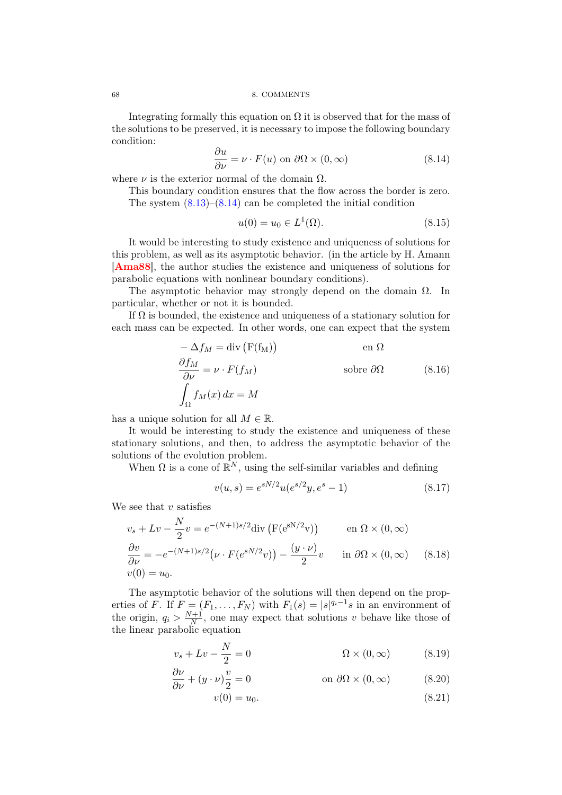68 8. COMMENTS

Integrating formally this equation on  $\Omega$  it is observed that for the mass of the solutions to be preserved, it is necessary to impose the following boundary condition:

<span id="page-71-0"></span>
$$
\frac{\partial u}{\partial \nu} = \nu \cdot F(u) \text{ on } \partial \Omega \times (0, \infty)
$$
 (8.14)

where  $\nu$  is the exterior normal of the domain  $\Omega$ .

This boundary condition ensures that the flow across the border is zero. The system  $(8.13)$ – $(8.14)$  can be completed the initial condition

$$
u(0) = u_0 \in L^1(\Omega). \tag{8.15}
$$

It would be interesting to study existence and uniqueness of solutions for this problem, as well as its asymptotic behavior. (in the article by H. Amann [[Ama88](#page-80-3)], the author studies the existence and uniqueness of solutions for parabolic equations with nonlinear boundary conditions).

The asymptotic behavior may strongly depend on the domain  $\Omega$ . In particular, whether or not it is bounded.

If  $\Omega$  is bounded, the existence and uniqueness of a stationary solution for each mass can be expected. In other words, one can expect that the system

$$
-\Delta f_M = \text{div} (F(f_M)) \qquad \text{en } \Omega
$$
  
\n
$$
\frac{\partial f_M}{\partial \nu} = \nu \cdot F(f_M) \qquad \text{sobre } \partial \Omega \qquad (8.16)
$$
  
\n
$$
\int_{\Omega} f_M(x) dx = M
$$

has a unique solution for all  $M \in \mathbb{R}$ .

It would be interesting to study the existence and uniqueness of these stationary solutions, and then, to address the asymptotic behavior of the solutions of the evolution problem.

When  $\Omega$  is a cone of  $\mathbb{R}^N$ , using the self-similar variables and defining

$$
v(u,s) = e^{sN/2}u(e^{s/2}y, e^s - 1)
$$
\n(8.17)

We see that  $v$  satisfies

$$
v_s + Lv - \frac{N}{2}v = e^{-(N+1)s/2} \text{div} \left( F(e^{sN/2}v) \right) \qquad \text{en } \Omega \times (0, \infty)
$$
  
\n
$$
\frac{\partial v}{\partial \nu} = -e^{-(N+1)s/2} \left( \nu \cdot F(e^{sN/2}v) \right) - \frac{(y \cdot \nu)}{2} v \qquad \text{in } \partial\Omega \times (0, \infty) \tag{8.18}
$$
  
\n
$$
v(0) = u_0.
$$

The asymptotic behavior of the solutions will then depend on the properties of F. If  $F = (F_1, \ldots, F_N)$  with  $F_1(s) = |s|^{q_i-1} s$  in an environment of the origin,  $q_i > \frac{N+1}{N}$  $\frac{n+1}{N}$ , one may expect that solutions v behave like those of the linear parabolic equation

$$
v_s + Lv - \frac{N}{2} = 0 \qquad \qquad \Omega \times (0, \infty) \qquad (8.19)
$$

$$
\frac{\partial \nu}{\partial \nu} + (y \cdot \nu)\frac{v}{2} = 0 \qquad \text{on } \partial\Omega \times (0, \infty) \tag{8.20}
$$

$$
v(0) = u_0. \t\t(8.21)
$$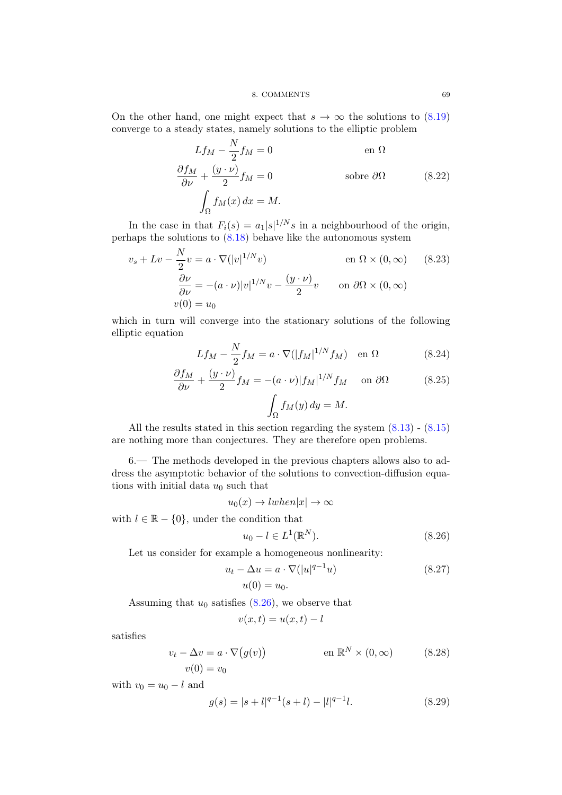#### 8. COMMENTS 69

On the other hand, one might expect that  $s \to \infty$  the solutions to [\(8.19\)](#page-71-0) converge to a steady states, namely solutions to the elliptic problem

$$
Lf_M - \frac{N}{2}f_M = 0 \qquad \text{en } \Omega
$$

$$
\frac{\partial f_M}{\partial \nu} + \frac{(y \cdot \nu)}{2} f_M = 0 \qquad \text{sobre } \partial \Omega \qquad (8.22)
$$

$$
\int_{\Omega} f_M(x) dx = M.
$$

In the case in that  $F_i(s) = a_1 |s|^{1/N} s$  in a neighbourhood of the origin, perhaps the solutions to [\(8.18\)](#page-71-1) behave like the autonomous system

$$
v_s + Lv - \frac{N}{2}v = a \cdot \nabla(|v|^{1/N}v)
$$
 en  $\Omega \times (0, \infty)$  (8.23)  
\n
$$
\frac{\partial \nu}{\partial \nu} = -(a \cdot \nu)|v|^{1/N}v - \frac{(y \cdot \nu)}{2}v
$$
 on  $\partial\Omega \times (0, \infty)$   
\n
$$
v(0) = u_0
$$

which in turn will converge into the stationary solutions of the following elliptic equation  $\ddotsc$ 

$$
Lf_M - \frac{N}{2}f_M = a \cdot \nabla(|f_M|^{1/N} f_M) \quad \text{en } \Omega \tag{8.24}
$$

$$
\frac{\partial f_M}{\partial \nu} + \frac{(y \cdot \nu)}{2} f_M = -(a \cdot \nu)|f_M|^{1/N} f_M \quad \text{on } \partial \Omega \tag{8.25}
$$

$$
\int_{\Omega} f_M(y) \, dy = M.
$$

All the results stated in this section regarding the system [\(8.13\)](#page-70-0) - [\(8.15\)](#page-71-2) are nothing more than conjectures. They are therefore open problems.

6.— The methods developed in the previous chapters allows also to address the asymptotic behavior of the solutions to convection-diffusion equations with initial data  $u_0$  such that

$$
u_0(x) \to lwhen |x| \to \infty
$$

with  $l \in \mathbb{R} - \{0\}$ , under the condition that

<span id="page-72-0"></span>
$$
u_0 - l \in L^1(\mathbb{R}^N). \tag{8.26}
$$

Let us consider for example a homogeneous nonlinearity:

$$
u_t - \Delta u = a \cdot \nabla(|u|^{q-1}u)
$$
  
\n
$$
u(0) = u_0.
$$
\n(8.27)

Assuming that  $u_0$  satisfies  $(8.26)$ , we observe that

$$
v(x,t) = u(x,t) - l
$$

satisfies

$$
v_t - \Delta v = a \cdot \nabla (g(v)) \qquad \text{en } \mathbb{R}^N \times (0, \infty)
$$
 (8.28)  

$$
v(0) = v_0
$$

with  $v_0 = u_0 - l$  and

$$
g(s) = |s+l|^{q-1}(s+l) - |l|^{q-1}l.
$$
\n(8.29)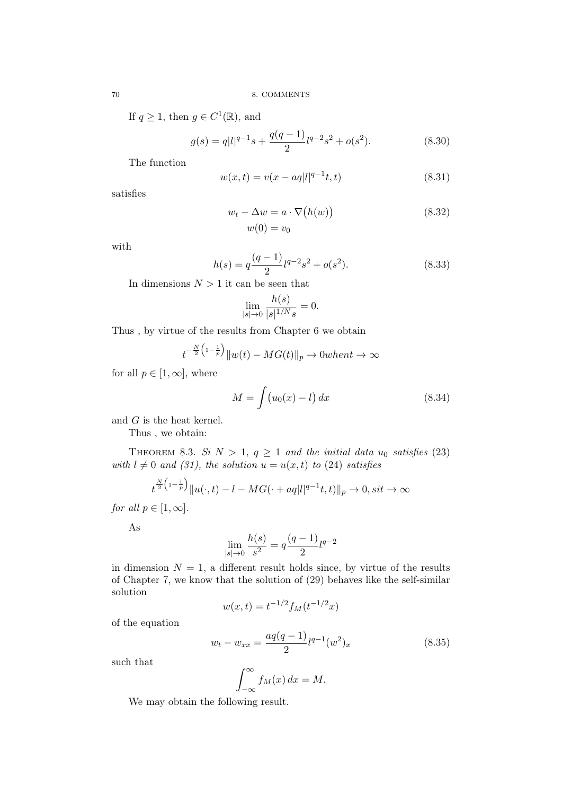If  $q \geq 1$ , then  $g \in C^1(\mathbb{R})$ , and

$$
g(s) = q|l|^{q-1}s + \frac{q(q-1)}{2}l^{q-2}s^2 + o(s^2).
$$
 (8.30)

The function

$$
w(x,t) = v(x - aq|l|^{q-1}t, t)
$$
\n(8.31)

satisfies

$$
w_t - \Delta w = a \cdot \nabla (h(w))
$$
  
\n
$$
w(0) = v_0
$$
\n(8.32)

with

$$
h(s) = q \frac{(q-1)}{2} l^{q-2} s^2 + o(s^2).
$$
 (8.33)

In dimensions  $N > 1$  it can be seen that

$$
\lim_{|s| \to 0} \frac{h(s)}{|s|^{1/N} s} = 0.
$$

Thus , by virtue of the results from Chapter 6 we obtain

$$
t^{-\frac{N}{2}\left(1-\frac{1}{p}\right)}\|w(t) - MG(t)\|_{p} \to 0\text{ when }t \to \infty
$$

for all  $p \in [1, \infty]$ , where

$$
M = \int (u_0(x) - l) dx \qquad (8.34)
$$

and G is the heat kernel.

Thus , we obtain:

THEOREM 8.3. Si  $N > 1$ ,  $q \ge 1$  and the initial data  $u_0$  satisfies (23) with  $l \neq 0$  and (31), the solution  $u = u(x, t)$  to (24) satisfies

$$
t^{\frac{N}{2}\left(1-\frac{1}{p}\right)}\|u(\cdot,t)-l-MG(\cdot+aq|l|^{q-1}t,t)\|_{p}\to 0, sit\to\infty
$$

for all  $p \in [1,\infty]$ .

As

$$
\lim_{|s|\to 0} \frac{h(s)}{s^2} = q \frac{(q-1)}{2} l^{q-2}
$$

in dimension  $N = 1$ , a different result holds since, by virtue of the results of Chapter 7, we know that the solution of (29) behaves like the self-similar solution

$$
w(x,t) = t^{-1/2} f_M(t^{-1/2}x)
$$

of the equation

$$
w_t - w_{xx} = \frac{aq(q-1)}{2}l^{q-1}(w^2)_x
$$
\n(8.35)

such that

$$
\int_{-\infty}^{\infty} f_M(x) \, dx = M.
$$

We may obtain the following result.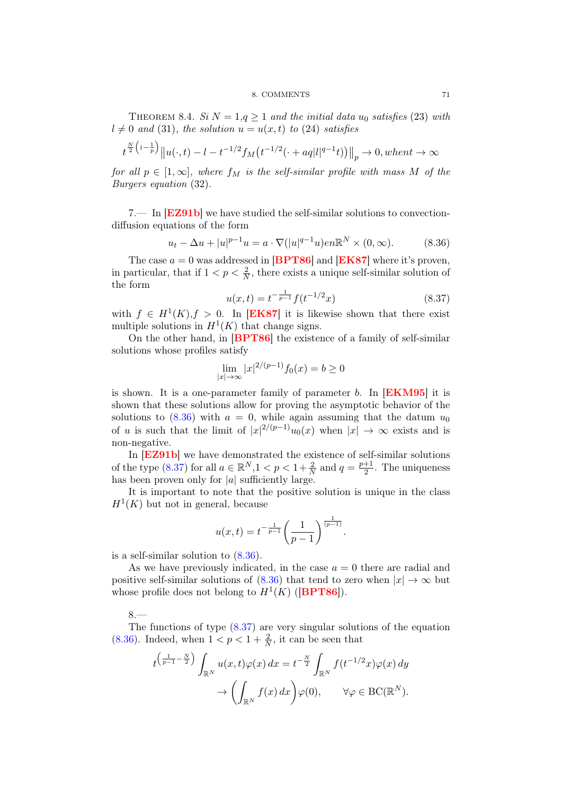#### 8. COMMENTS 71

THEOREM 8.4. Si  $N = 1, q \geq 1$  and the initial data u<sub>0</sub> satisfies (23) with  $l \neq 0$  and (31), the solution  $u = u(x, t)$  to (24) satisfies

$$
t^{\frac{N}{2}(1-\frac{1}{p})}||u(\cdot,t) - t - t^{-1/2}f_M(t^{-1/2}(\cdot + aq|l|^{q-1}t))||_p \to 0, when t \to \infty
$$

for all  $p \in [1,\infty]$ , where  $f_M$  is the self-similar profile with mass M of the Burgers equation (32).

7.— In [[EZ91b](#page-81-0)] we have studied the self-similar solutions to convectiondiffusion equations of the form

<span id="page-74-0"></span>
$$
u_t - \Delta u + |u|^{p-1}u = a \cdot \nabla(|u|^{q-1}u) e^{n\mathbb{R}^N \times (0, \infty). \tag{8.36}
$$

The case  $a = 0$  was addressed in [[BPT86](#page-80-0)] and [[EK87](#page-81-1)] where it's proven, in particular, that if  $1 < p < \frac{2}{N}$ , there exists a unique self-similar solution of the form

<span id="page-74-1"></span>
$$
u(x,t) = t^{-\frac{1}{p-1}} f(t^{-1/2}x)
$$
\n(8.37)

with  $f \in H^1(K), f > 0$ . In [[EK87](#page-81-1)] it is likewise shown that there exist multiple solutions in  $H^1(K)$  that change signs.

On the other hand, in [[BPT86](#page-80-0)] the existence of a family of self-similar solutions whose profiles satisfy

$$
\lim_{|x| \to \infty} |x|^{2/(p-1)} f_0(x) = b \ge 0
$$

is shown. It is a one-parameter family of parameter b. In  $[EKM95]$  $[EKM95]$  $[EKM95]$  it is shown that these solutions allow for proving the asymptotic behavior of the solutions to  $(8.36)$  with  $a = 0$ , while again assuming that the datum  $u_0$ of u is such that the limit of  $|x|^{2/(p-1)}u_0(x)$  when  $|x| \to \infty$  exists and is non-negative.

In [[EZ91b](#page-81-0)] we have demonstrated the existence of self-similar solutions of the type [\(8.37\)](#page-74-1) for all  $a \in \mathbb{R}^N, 1 < p < 1 + \frac{2}{N}$  and  $q = \frac{p+1}{2}$  $\frac{+1}{2}$ . The uniqueness has been proven only for  $|a|$  sufficiently large.

It is important to note that the positive solution is unique in the class  $H<sup>1</sup>(K)$  but not in general, because

$$
u(x,t) = t^{-\frac{1}{p-1}} \left(\frac{1}{p-1}\right)^{\frac{1}{(p-1)}}.
$$

is a self-similar solution to [\(8.36\)](#page-74-0).

As we have previously indicated, in the case  $a = 0$  there are radial and positive self-similar solutions of [\(8.36\)](#page-74-0) that tend to zero when  $|x| \to \infty$  but whose profile does not belong to  $H^1(K)$  ([[BPT86](#page-80-0)]).

# 8.—

The functions of type  $(8.37)$  are very singular solutions of the equation [\(8.36\)](#page-74-0). Indeed, when  $1 < p < 1 + \frac{2}{N}$ , it can be seen that

$$
t^{\left(\frac{1}{p-1}-\frac{N}{2}\right)} \int_{\mathbb{R}^N} u(x,t)\varphi(x) \, dx = t^{-\frac{N}{2}} \int_{\mathbb{R}^N} f(t^{-1/2}x)\varphi(x) \, dy
$$

$$
\to \left(\int_{\mathbb{R}^N} f(x) \, dx\right) \varphi(0), \qquad \forall \varphi \in BC(\mathbb{R}^N).
$$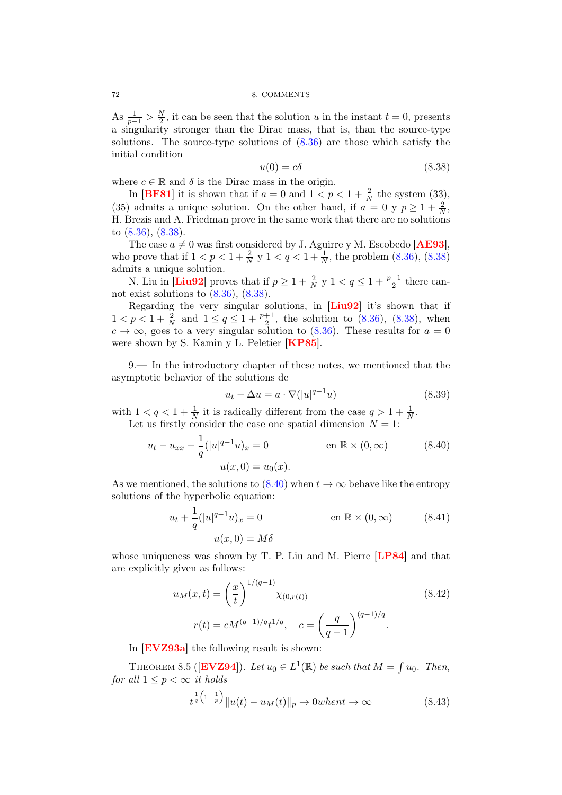### 72 8. COMMENTS

As  $\frac{1}{p-1} > \frac{N}{2}$  $\frac{N}{2}$ , it can be seen that the solution u in the instant  $t = 0$ , presents a singularity stronger than the Dirac mass, that is, than the source-type solutions. The source-type solutions of  $(8.36)$  are those which satisfy the initial condition

<span id="page-75-0"></span>
$$
u(0) = c\delta \tag{8.38}
$$

where  $c \in \mathbb{R}$  and  $\delta$  is the Dirac mass in the origin.

In [[BF81](#page-80-1)] it is shown that if  $a = 0$  and  $1 < p < 1 + \frac{2}{N}$  the system (33), (35) admits a unique solution. On the other hand, if  $a = 0$  y  $p \ge 1 + \frac{2}{N}$ , H. Brezis and A. Friedman prove in the same work that there are no solutions to [\(8.36\)](#page-74-0), [\(8.38\)](#page-75-0).

The case  $a \neq 0$  was first considered by J. Aguirre y M. Escobedo [**[AE93](#page-80-2)**], who prove that if  $1 < p < 1 + \frac{2}{N}$  y  $1 < q < 1 + \frac{1}{N}$ , the problem  $(8.36)$ ,  $(8.38)$ admits a unique solution.

N. Liu in [[Liu92](#page-82-0)] proves that if  $p \geq 1 + \frac{2}{N}$  y  $1 < q \leq 1 + \frac{p+1}{2}$  there cannot exist solutions to  $(8.36)$ ,  $(8.38)$ .

Regarding the very singular solutions, in [[Liu92](#page-82-0)] it's shown that if  $1 < p < 1 + \frac{2}{N}$  and  $1 \le q \le 1 + \frac{p+1}{2}$ , the solution to [\(8.36\)](#page-74-0), [\(8.38\)](#page-75-0), when  $c \to \infty$ , goes to a very singular solution to [\(8.36\)](#page-74-0). These results for  $a = 0$ were shown by S. Kamin y L. Peletier [[KP85](#page-82-1)].

9.— In the introductory chapter of these notes, we mentioned that the asymptotic behavior of the solutions de

<span id="page-75-2"></span><span id="page-75-1"></span>
$$
u_t - \Delta u = a \cdot \nabla (|u|^{q-1}u)
$$
\n(8.39)

with  $1 < q < 1 + \frac{1}{N}$  it is radically different from the case  $q > 1 + \frac{1}{N}$ . Let us firstly consider the case one spatial dimension  $N = 1$ :

$$
u_t - u_{xx} + \frac{1}{q}(|u|^{q-1}u)_x = 0 \qquad \text{en } \mathbb{R} \times (0, \infty)
$$
 (8.40)  

$$
u(x, 0) = u_0(x).
$$

As we mentioned, the solutions to  $(8.40)$  when  $t \to \infty$  behave like the entropy solutions of the hyperbolic equation:

$$
u_t + \frac{1}{q}(|u|^{q-1}u)_x = 0 \qquad \text{en } \mathbb{R} \times (0, \infty)
$$
 (8.41)  

$$
u(x, 0) = M\delta
$$

whose uniqueness was shown by T. P. Liu and M. Pierre [[LP84](#page-82-2)] and that are explicitly given as follows:

$$
u_M(x,t) = \left(\frac{x}{t}\right)^{1/(q-1)} \chi_{(0,r(t))}
$$
\n
$$
r(t) = cM^{(q-1)/q}t^{1/q}, \quad c = \left(\frac{q}{q-1}\right)^{(q-1)/q}.
$$
\n(8.42)

In **[EVZ93a](#page-81-3)** the following result is shown:

THEOREM 8.5 ([**[EVZ94](#page-81-4)**]). Let  $u_0 \in L^1(\mathbb{R})$  be such that  $M = \int u_0$ . Then, for all  $1 \leq p \leq \infty$  it holds

$$
t^{\frac{1}{q}\left(1-\frac{1}{p}\right)}\|u(t) - u_M(t)\|_p \to 0\text{when }t \to \infty\tag{8.43}
$$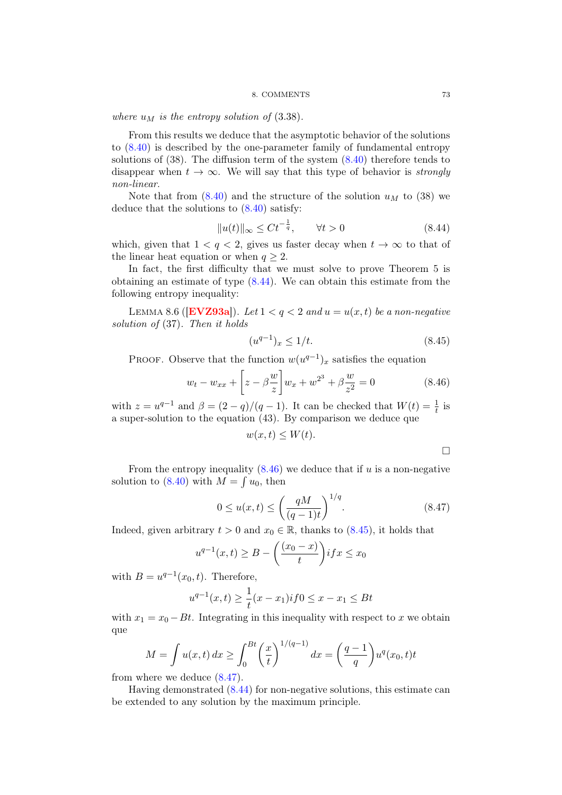#### 8. COMMENTS 73

where  $u_M$  is the entropy solution of  $(3.38)$ .

From this results we deduce that the asymptotic behavior of the solutions to [\(8.40\)](#page-75-1) is described by the one-parameter family of fundamental entropy solutions of (38). The diffusion term of the system [\(8.40\)](#page-75-1) therefore tends to disappear when  $t \to \infty$ . We will say that this type of behavior is *strongly* non-linear.

Note that from  $(8.40)$  and the structure of the solution  $u_M$  to  $(38)$  we deduce that the solutions to [\(8.40\)](#page-75-1) satisfy:

<span id="page-76-0"></span>
$$
||u(t)||_{\infty} \leq Ct^{-\frac{1}{q}}, \qquad \forall t > 0 \tag{8.44}
$$

which, given that  $1 < q < 2$ , gives us faster decay when  $t \to \infty$  to that of the linear heat equation or when  $q \geq 2$ .

In fact, the first difficulty that we must solve to prove Theorem 5 is obtaining an estimate of type [\(8.44\)](#page-76-0). We can obtain this estimate from the following entropy inequality:

LEMMA 8.6 (**[[EVZ93a](#page-81-3)]**). Let  $1 < q < 2$  and  $u = u(x, t)$  be a non-negative solution of (37). Then it holds

<span id="page-76-2"></span>
$$
(u^{q-1})_x \le 1/t. \tag{8.45}
$$

PROOF. Observe that the function  $w(u^{q-1})_x$  satisfies the equation

<span id="page-76-1"></span>
$$
w_t - w_{xx} + \left[z - \beta \frac{w}{z}\right] w_x + w^{2^3} + \beta \frac{w}{z^2} = 0
$$
 (8.46)

with  $z = u^{q-1}$  and  $\beta = (2 - q)/(q - 1)$ . It can be checked that  $W(t) = \frac{1}{t}$  is a super-solution to the equation (43). By comparison we deduce que

$$
w(x,t) \le W(t).
$$

 $\Box$ 

From the entropy inequality  $(8.46)$  we deduce that if u is a non-negative solution to  $(8.40)$  with  $M = \int u_0$ , then

<span id="page-76-3"></span>
$$
0 \le u(x,t) \le \left(\frac{qM}{(q-1)t}\right)^{1/q}.\tag{8.47}
$$

Indeed, given arbitrary  $t > 0$  and  $x_0 \in \mathbb{R}$ , thanks to  $(8.45)$ , it holds that

$$
u^{q-1}(x,t) \ge B - \left(\frac{(x_0 - x)}{t}\right) if x \le x_0
$$

with  $B = u^{q-1}(x_0, t)$ . Therefore,

$$
u^{q-1}(x,t) \ge \frac{1}{t}(x-x_1) \text{ if } 0 \le x - x_1 \le Bt
$$

with  $x_1 = x_0 - Bt$ . Integrating in this inequality with respect to x we obtain que

$$
M = \int u(x, t) dx \ge \int_0^{Bt} \left(\frac{x}{t}\right)^{1/(q-1)} dx = \left(\frac{q-1}{q}\right) u^q(x_0, t) t
$$

from where we deduce [\(8.47\)](#page-76-3).

Having demonstrated [\(8.44\)](#page-76-0) for non-negative solutions, this estimate can be extended to any solution by the maximum principle.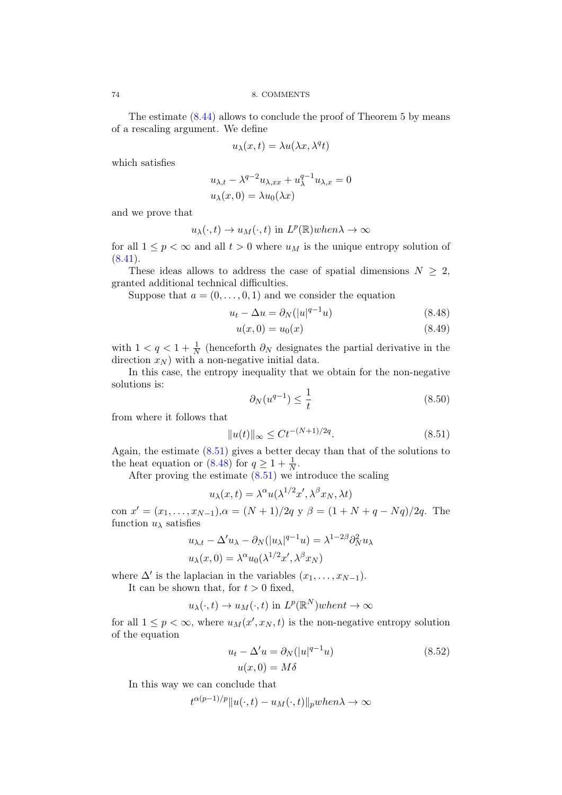The estimate [\(8.44\)](#page-76-0) allows to conclude the proof of Theorem 5 by means of a rescaling argument. We define

$$
u_{\lambda}(x,t) = \lambda u(\lambda x, \lambda^q t)
$$

which satisfies

$$
u_{\lambda,t} - \lambda^{q-2} u_{\lambda,xx} + u_{\lambda}^{q-1} u_{\lambda,x} = 0
$$
  

$$
u_{\lambda}(x,0) = \lambda u_0(\lambda x)
$$

and we prove that

$$
u_{\lambda}(\cdot, t) \to u_M(\cdot, t)
$$
 in  $L^p(\mathbb{R})$  when  $\lambda \to \infty$ 

for all  $1 \leq p < \infty$  and all  $t > 0$  where  $u_M$  is the unique entropy solution of  $(8.41).$  $(8.41).$ 

These ideas allows to address the case of spatial dimensions  $N \geq 2$ , granted additional technical difficulties.

Suppose that  $a = (0, \ldots, 0, 1)$  and we consider the equation

$$
u_t - \Delta u = \partial_N(|u|^{q-1}u) \tag{8.48}
$$

<span id="page-77-1"></span>
$$
u(x,0) = u_0(x) \tag{8.49}
$$

with  $1 < q < 1 + \frac{1}{N}$  (henceforth  $\partial_N$  designates the partial derivative in the direction  $x_N$ ) with a non-negative initial data.

In this case, the entropy inequality that we obtain for the non-negative solutions is:

$$
\partial_N(u^{q-1}) \le \frac{1}{t} \tag{8.50}
$$

from where it follows that

<span id="page-77-0"></span>
$$
||u(t)||_{\infty} \le Ct^{-(N+1)/2q}.\tag{8.51}
$$

Again, the estimate [\(8.51\)](#page-77-0) gives a better decay than that of the solutions to the heat equation or [\(8.48\)](#page-77-1) for  $q \ge 1 + \frac{1}{N}$ .

After proving the estimate  $(8.51)$  we introduce the scaling

$$
u_{\lambda}(x,t) = \lambda^{\alpha} u(\lambda^{1/2} x', \lambda^{\beta} x_N, \lambda t)
$$

con  $x' = (x_1, \ldots, x_{N-1}), \alpha = (N+1)/2q$  y  $\beta = (1 + N + q - Nq)/2q$ . The function  $u_{\lambda}$  satisfies

$$
u_{\lambda,t} - \Delta' u_{\lambda} - \partial_N(|u_{\lambda}|^{q-1}u) = \lambda^{1-2\beta} \partial_N^2 u_{\lambda}
$$
  

$$
u_{\lambda}(x,0) = \lambda^{\alpha} u_0(\lambda^{1/2}x', \lambda^{\beta} x_N)
$$

where  $\Delta'$  is the laplacian in the variables  $(x_1, \ldots, x_{N-1})$ .

It can be shown that, for  $t > 0$  fixed,

$$
u_{\lambda}(\cdot, t) \to u_M(\cdot, t)
$$
 in  $L^p(\mathbb{R}^N)$  when  $t \to \infty$ 

for all  $1 \leq p < \infty$ , where  $u_M(x', x_N, t)$  is the non-negative entropy solution of the equation

<span id="page-77-2"></span>
$$
u_t - \Delta' u = \partial_N (|u|^{q-1} u)
$$
  
 
$$
u(x, 0) = M\delta
$$
 (8.52)

In this way we can conclude that

 $t^{\alpha(p-1)/p} \| u(\cdot, t) - u_M(\cdot, t) \|_p$ when $\lambda \to \infty$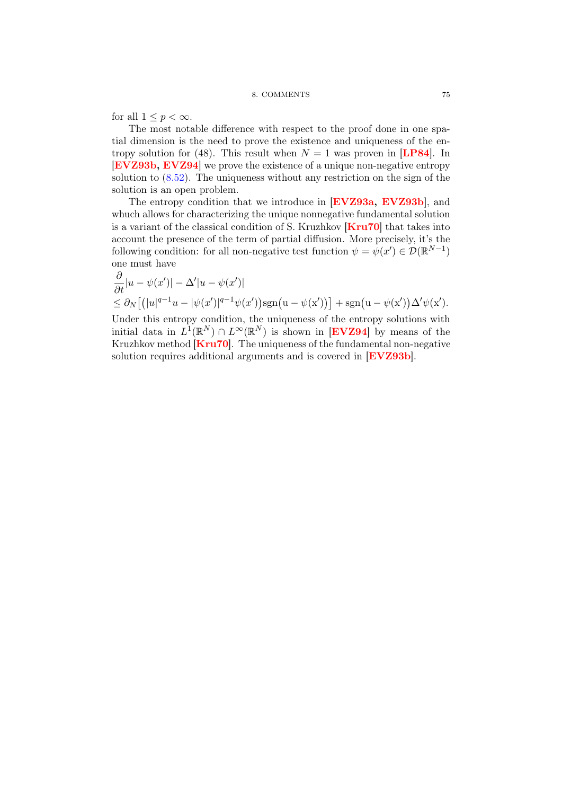for all  $1 \leq p < \infty$ .

The most notable difference with respect to the proof done in one spatial dimension is the need to prove the existence and uniqueness of the entropy solution for (48). This result when  $N = 1$  was proven in [[LP84](#page-82-2)]. In [[EVZ93b,](#page-81-5) [EVZ94](#page-81-4)] we prove the existence of a unique non-negative entropy solution to [\(8.52\)](#page-77-2). The uniqueness without any restriction on the sign of the solution is an open problem.

The entropy condition that we introduce in [[EVZ93a,](#page-81-3) [EVZ93b](#page-81-5)], and whuch allows for characterizing the unique nonnegative fundamental solution is a variant of the classical condition of S. Kruzhkov [[Kru70](#page-82-3)] that takes into account the presence of the term of partial diffusion. More precisely, it's the following condition: for all non-negative test function  $\psi = \psi(x') \in \mathcal{D}(\mathbb{R}^{N-1})$ one must have

$$
\frac{\partial}{\partial t}|u - \psi(x')| - \Delta'|u - \psi(x')|
$$
\n
$$
\leq \partial_N [ (|u|^{q-1}u - |\psi(x')|^{q-1}\psi(x')) \text{sgn}(u - \psi(x'))] + \text{sgn}(u - \psi(x'))\Delta'\psi(x').
$$

Under this entropy condition, the uniqueness of the entropy solutions with initial data in  $L^1(\mathbb{R}^N) \cap L^\infty(\mathbb{R}^N)$  is shown in [[EVZ94](#page-81-4)] by means of the Kruzhkov method  $\text{Kru70}$  $\text{Kru70}$  $\text{Kru70}$ . The uniqueness of the fundamental non-negative solution requires additional arguments and is covered in [[EVZ93b](#page-81-5)].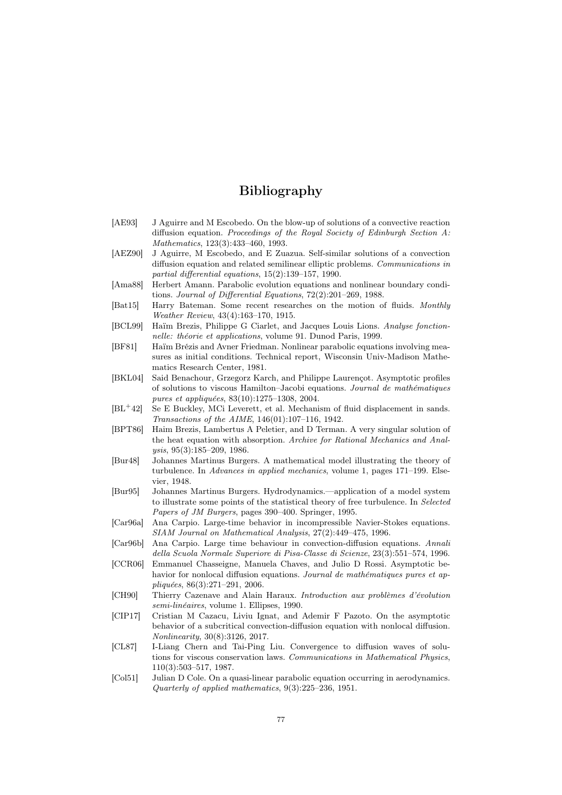# Bibliography

- <span id="page-80-2"></span>[AE93] J Aguirre and M Escobedo. On the blow-up of solutions of a convective reaction diffusion equation. Proceedings of the Royal Society of Edinburgh Section A: Mathematics, 123(3):433–460, 1993.
- [AEZ90] J Aguirre, M Escobedo, and E Zuazua. Self-similar solutions of a convection diffusion equation and related semilinear elliptic problems. Communications in partial differential equations, 15(2):139–157, 1990.
- [Ama88] Herbert Amann. Parabolic evolution equations and nonlinear boundary conditions. Journal of Differential Equations, 72(2):201–269, 1988.
- [Bat15] Harry Bateman. Some recent researches on the motion of fluids. Monthly Weather Review, 43(4):163–170, 1915.
- [BCL99] Haïm Brezis, Philippe G Ciarlet, and Jacques Louis Lions. Analyse fonctionnelle: théorie et applications, volume 91. Dunod Paris, 1999.
- <span id="page-80-1"></span>[BF81] Haïm Brézis and Avner Friedman. Nonlinear parabolic equations involving measures as initial conditions. Technical report, Wisconsin Univ-Madison Mathematics Research Center, 1981.
- [BKL04] Said Benachour, Grzegorz Karch, and Philippe Laurençot. Asymptotic profiles of solutions to viscous Hamilton–Jacobi equations. Journal de mathématiques pures et appliquées, 83(10):1275–1308, 2004.
- [BL<sup>+</sup>42] Se E Buckley, MCi Leverett, et al. Mechanism of fluid displacement in sands. Transactions of the AIME, 146(01):107–116, 1942.
- <span id="page-80-0"></span>[BPT86] Haim Brezis, Lambertus A Peletier, and D Terman. A very singular solution of the heat equation with absorption. Archive for Rational Mechanics and Analysis, 95(3):185–209, 1986.
- [Bur48] Johannes Martinus Burgers. A mathematical model illustrating the theory of turbulence. In Advances in applied mechanics, volume 1, pages 171–199. Elsevier, 1948.
- [Bur95] Johannes Martinus Burgers. Hydrodynamics.—application of a model system to illustrate some points of the statistical theory of free turbulence. In Selected Papers of JM Burgers, pages 390–400. Springer, 1995.
- [Car96a] Ana Carpio. Large-time behavior in incompressible Navier-Stokes equations. SIAM Journal on Mathematical Analysis, 27(2):449–475, 1996.
- [Car96b] Ana Carpio. Large time behaviour in convection-diffusion equations. Annali della Scuola Normale Superiore di Pisa-Classe di Scienze, 23(3):551–574, 1996.
- [CCR06] Emmanuel Chasseigne, Manuela Chaves, and Julio D Rossi. Asymptotic behavior for nonlocal diffusion equations. Journal de mathématiques pures et appliquées, 86(3):271–291, 2006.
- [CH90] Thierry Cazenave and Alain Haraux. Introduction aux problèmes d'évolution semi-linéaires, volume 1. Ellipses, 1990.
- [CIP17] Cristian M Cazacu, Liviu Ignat, and Ademir F Pazoto. On the asymptotic behavior of a subcritical convection-diffusion equation with nonlocal diffusion. Nonlinearity, 30(8):3126, 2017.
- [CL87] I-Liang Chern and Tai-Ping Liu. Convergence to diffusion waves of solutions for viscous conservation laws. Communications in Mathematical Physics, 110(3):503–517, 1987.
- [Col51] Julian D Cole. On a quasi-linear parabolic equation occurring in aerodynamics. Quarterly of applied mathematics, 9(3):225–236, 1951.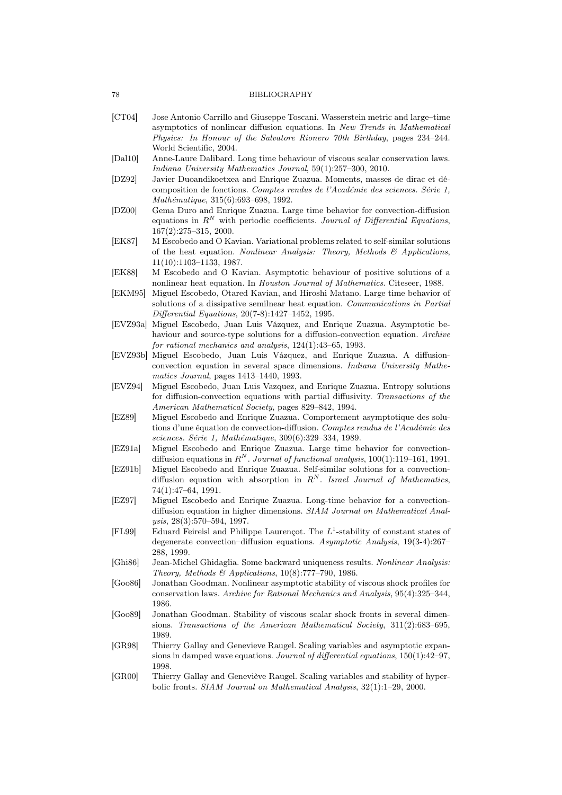- [CT04] Jose Antonio Carrillo and Giuseppe Toscani. Wasserstein metric and large–time asymptotics of nonlinear diffusion equations. In New Trends in Mathematical Physics: In Honour of the Salvatore Rionero 70th Birthday, pages 234–244. World Scientific, 2004.
- [Dal10] Anne-Laure Dalibard. Long time behaviour of viscous scalar conservation laws. Indiana University Mathematics Journal, 59(1):257–300, 2010.
- [DZ92] Javier Duoandikoetxea and Enrique Zuazua. Moments, masses de dirac et décomposition de fonctions. Comptes rendus de l'Académie des sciences. Série 1, Mathématique, 315(6):693–698, 1992.
- [DZ00] Gema Duro and Enrique Zuazua. Large time behavior for convection-diffusion equations in  $R^N$  with periodic coefficients. Journal of Differential Equations, 167(2):275–315, 2000.
- <span id="page-81-1"></span>[EK87] M Escobedo and O Kavian. Variational problems related to self-similar solutions of the heat equation. Nonlinear Analysis: Theory, Methods  $\mathcal{B}$  Applications, 11(10):1103–1133, 1987.
- [EK88] M Escobedo and O Kavian. Asymptotic behaviour of positive solutions of a nonlinear heat equation. In Houston Journal of Mathematics. Citeseer, 1988.
- <span id="page-81-2"></span>[EKM95] Miguel Escobedo, Otared Kavian, and Hiroshi Matano. Large time behavior of solutions of a dissipative semilnear heat equation. Communications in Partial Differential Equations, 20(7-8):1427–1452, 1995.
- <span id="page-81-3"></span>[EVZ93a] Miguel Escobedo, Juan Luis Vázquez, and Enrique Zuazua. Asymptotic behaviour and source-type solutions for a diffusion-convection equation. Archive for rational mechanics and analysis, 124(1):43–65, 1993.
- <span id="page-81-5"></span>[EVZ93b] Miguel Escobedo, Juan Luis Vázquez, and Enrique Zuazua. A diffusionconvection equation in several space dimensions. Indiana University Mathematics Journal, pages 1413–1440, 1993.
- <span id="page-81-4"></span>[EVZ94] Miguel Escobedo, Juan Luis Vazquez, and Enrique Zuazua. Entropy solutions for diffusion-convection equations with partial diffusivity. Transactions of the American Mathematical Society, pages 829–842, 1994.
- [EZ89] Miguel Escobedo and Enrique Zuazua. Comportement asymptotique des solutions d'une équation de convection-diffusion. Comptes rendus de l'Académie des sciences. Série 1, Mathématique, 309(6):329–334, 1989.
- [EZ91a] Miguel Escobedo and Enrique Zuazua. Large time behavior for convectiondiffusion equations in  $R^N$ . Journal of functional analysis, 100(1):119–161, 1991.
- <span id="page-81-0"></span>[EZ91b] Miguel Escobedo and Enrique Zuazua. Self-similar solutions for a convectiondiffusion equation with absorption in  $R^N$ . Israel Journal of Mathematics, 74(1):47–64, 1991.
- [EZ97] Miguel Escobedo and Enrique Zuazua. Long-time behavior for a convectiondiffusion equation in higher dimensions. SIAM Journal on Mathematical Analysis, 28(3):570–594, 1997.
- [FL99] Eduard Feireisl and Philippe Laurençot. The  $L^1$ -stability of constant states of degenerate convection–diffusion equations. Asymptotic Analysis, 19(3-4):267– 288, 1999.
- [Ghi86] Jean-Michel Ghidaglia. Some backward uniqueness results. Nonlinear Analysis: Theory, Methods & Applications,  $10(8)$ :777-790, 1986.
- [Goo86] Jonathan Goodman. Nonlinear asymptotic stability of viscous shock profiles for conservation laws. Archive for Rational Mechanics and Analysis, 95(4):325–344, 1986.
- [Goo89] Jonathan Goodman. Stability of viscous scalar shock fronts in several dimensions. Transactions of the American Mathematical Society, 311(2):683–695, 1989.
- [GR98] Thierry Gallay and Genevieve Raugel. Scaling variables and asymptotic expansions in damped wave equations. Journal of differential equations, 150(1):42–97, 1998.
- [GR00] Thierry Gallay and Geneviève Raugel. Scaling variables and stability of hyperbolic fronts. SIAM Journal on Mathematical Analysis, 32(1):1–29, 2000.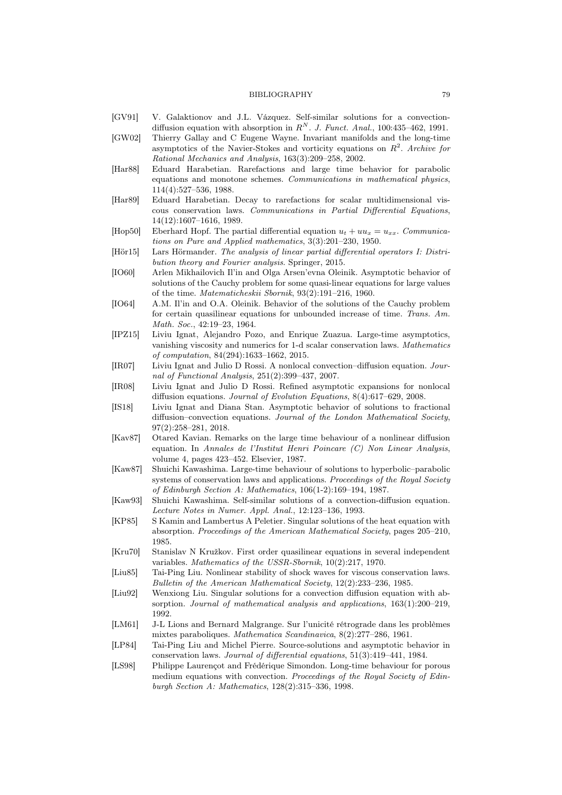- [GV91] V. Galaktionov and J.L. Vázquez. Self-similar solutions for a convectiondiffusion equation with absorption in  $R^N$ . J. Funct. Anal., 100:435-462, 1991.
- [GW02] Thierry Gallay and C Eugene Wayne. Invariant manifolds and the long-time asymptotics of the Navier-Stokes and vorticity equations on  $R^2$ . Archive for Rational Mechanics and Analysis, 163(3):209–258, 2002.
- [Har88] Eduard Harabetian. Rarefactions and large time behavior for parabolic equations and monotone schemes. Communications in mathematical physics, 114(4):527–536, 1988.
- [Har89] Eduard Harabetian. Decay to rarefactions for scalar multidimensional viscous conservation laws. Communications in Partial Differential Equations, 14(12):1607–1616, 1989.
- [Hop50] Eberhard Hopf. The partial differential equation  $u_t + uu_x = u_{xx}$ . Communications on Pure and Applied mathematics, 3(3):201–230, 1950.
- [Hör15] Lars Hörmander. The analysis of linear partial differential operators I: Distribution theory and Fourier analysis. Springer, 2015.
- [IO60] Arlen Mikhailovich Il'in and Olga Arsen'evna Oleinik. Asymptotic behavior of solutions of the Cauchy problem for some quasi-linear equations for large values of the time. Matematicheskii Sbornik, 93(2):191–216, 1960.
- [IO64] A.M. Il'in and O.A. Oleinik. Behavior of the solutions of the Cauchy problem for certain quasilinear equations for unbounded increase of time. Trans. Am. Math. Soc., 42:19–23, 1964.
- [IPZ15] Liviu Ignat, Alejandro Pozo, and Enrique Zuazua. Large-time asymptotics, vanishing viscosity and numerics for 1-d scalar conservation laws. Mathematics of computation, 84(294):1633–1662, 2015.
- [IR07] Liviu Ignat and Julio D Rossi. A nonlocal convection–diffusion equation. Journal of Functional Analysis, 251(2):399–437, 2007.
- [IR08] Liviu Ignat and Julio D Rossi. Refined asymptotic expansions for nonlocal diffusion equations. Journal of Evolution Equations, 8(4):617–629, 2008.
- [IS18] Liviu Ignat and Diana Stan. Asymptotic behavior of solutions to fractional diffusion–convection equations. Journal of the London Mathematical Society, 97(2):258–281, 2018.
- [Kav87] Otared Kavian. Remarks on the large time behaviour of a nonlinear diffusion equation. In Annales de l'Institut Henri Poincare (C) Non Linear Analysis, volume 4, pages 423–452. Elsevier, 1987.
- [Kaw87] Shuichi Kawashima. Large-time behaviour of solutions to hyperbolic–parabolic systems of conservation laws and applications. Proceedings of the Royal Society of Edinburgh Section A: Mathematics, 106(1-2):169–194, 1987.
- [Kaw93] Shuichi Kawashima. Self-similar solutions of a convection-diffusion equation. Lecture Notes in Numer. Appl. Anal., 12:123–136, 1993.
- <span id="page-82-1"></span>[KP85] S Kamin and Lambertus A Peletier. Singular solutions of the heat equation with absorption. Proceedings of the American Mathematical Society, pages 205–210, 1985.
- <span id="page-82-3"></span>[Kru70] Stanislav N Kružkov. First order quasilinear equations in several independent variables. Mathematics of the USSR-Sbornik, 10(2):217, 1970.
- [Liu85] Tai-Ping Liu. Nonlinear stability of shock waves for viscous conservation laws. Bulletin of the American Mathematical Society, 12(2):233–236, 1985.
- <span id="page-82-0"></span>[Liu92] Wenxiong Liu. Singular solutions for a convection diffusion equation with absorption. Journal of mathematical analysis and applications, 163(1):200–219, 1992.
- [LM61] J-L Lions and Bernard Malgrange. Sur l'unicité rétrograde dans les problèmes mixtes paraboliques. Mathematica Scandinavica, 8(2):277–286, 1961.
- <span id="page-82-2"></span>[LP84] Tai-Ping Liu and Michel Pierre. Source-solutions and asymptotic behavior in conservation laws. Journal of differential equations, 51(3):419–441, 1984.
- [LS98] Philippe Laurençot and Frédérique Simondon. Long-time behaviour for porous medium equations with convection. Proceedings of the Royal Society of Edinburgh Section A: Mathematics, 128(2):315–336, 1998.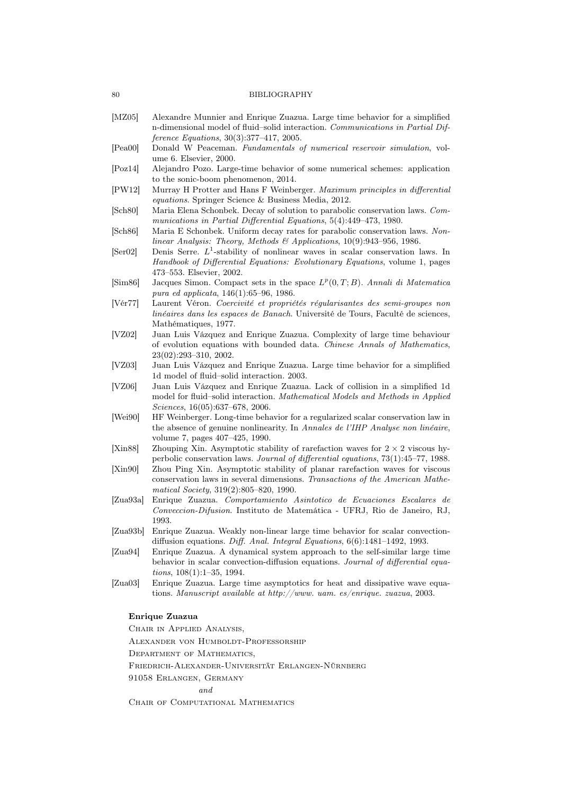- [MZ05] Alexandre Munnier and Enrique Zuazua. Large time behavior for a simplified n-dimensional model of fluid–solid interaction. Communications in Partial Difference Equations, 30(3):377–417, 2005.
- [Pea00] Donald W Peaceman. Fundamentals of numerical reservoir simulation, volume 6. Elsevier, 2000.
- [Poz14] Alejandro Pozo. Large-time behavior of some numerical schemes: application to the sonic-boom phenomenon, 2014.
- [PW12] Murray H Protter and Hans F Weinberger. Maximum principles in differential equations. Springer Science & Business Media, 2012.
- [Sch80] Maria Elena Schonbek. Decay of solution to parabolic conservation laws. Communications in Partial Differential Equations, 5(4):449–473, 1980.
- [Sch86] Maria E Schonbek. Uniform decay rates for parabolic conservation laws. Nonlinear Analysis: Theory, Methods & Applications,  $10(9)$ :943-956, 1986.
- $[Ser02]$  Denis Serre.  $L^1$ -stability of nonlinear waves in scalar conservation laws. In Handbook of Differential Equations: Evolutionary Equations, volume 1, pages 473–553. Elsevier, 2002.
- [Sim86] Jacques Simon. Compact sets in the space  $L^p(0,T;B)$ . Annali di Matematica pura ed applicata, 146(1):65–96, 1986.
- [Vér77] Laurent Véron. Coercivité et propriétés régularisantes des semi-groupes non linéaires dans les espaces de Banach. Université de Tours, Faculté de sciences, Mathématiques, 1977.
- [VZ02] Juan Luis Vázquez and Enrique Zuazua. Complexity of large time behaviour of evolution equations with bounded data. Chinese Annals of Mathematics, 23(02):293–310, 2002.
- [VZ03] Juan Luis Vázquez and Enrique Zuazua. Large time behavior for a simplified 1d model of fluid–solid interaction. 2003.
- [VZ06] Juan Luis Vázquez and Enrique Zuazua. Lack of collision in a simplified 1d model for fluid–solid interaction. Mathematical Models and Methods in Applied Sciences, 16(05):637–678, 2006.
- [Wei90] HF Weinberger. Long-time behavior for a regularized scalar conservation law in the absence of genuine nonlinearity. In Annales de l'IHP Analyse non linéaire, volume 7, pages 407–425, 1990.
- [Xin88] Zhouping Xin. Asymptotic stability of rarefaction waves for  $2 \times 2$  viscous hyperbolic conservation laws. Journal of differential equations, 73(1):45–77, 1988.
- [Xin90] Zhou Ping Xin. Asymptotic stability of planar rarefaction waves for viscous conservation laws in several dimensions. Transactions of the American Mathematical Society, 319(2):805–820, 1990.
- [Zua93a] Enrique Zuazua. Comportamiento Asintotico de Ecuaciones Escalares de Conveccion-Difusion. Instituto de Matemática - UFRJ, Rio de Janeiro, RJ, 1993.
- [Zua93b] Enrique Zuazua. Weakly non-linear large time behavior for scalar convectiondiffusion equations. Diff. Anal. Integral Equations,  $6(6)$ :1481-1492, 1993.
- [Zua94] Enrique Zuazua. A dynamical system approach to the self-similar large time behavior in scalar convection-diffusion equations. Journal of differential equations, 108(1):1–35, 1994.
- [Zua03] Enrique Zuazua. Large time asymptotics for heat and dissipative wave equations. Manuscript available at http://www. uam. es/enrique. zuazua, 2003.

## Enrique Zuazua

Chair in Applied Analysis, Alexander von Humboldt-Professorship Department of Mathematics, Friedrich-Alexander-Universität Erlangen-Nürnberg

91058 Erlangen, Germany

and

CHAIR OF COMPUTATIONAL MATHEMATICS